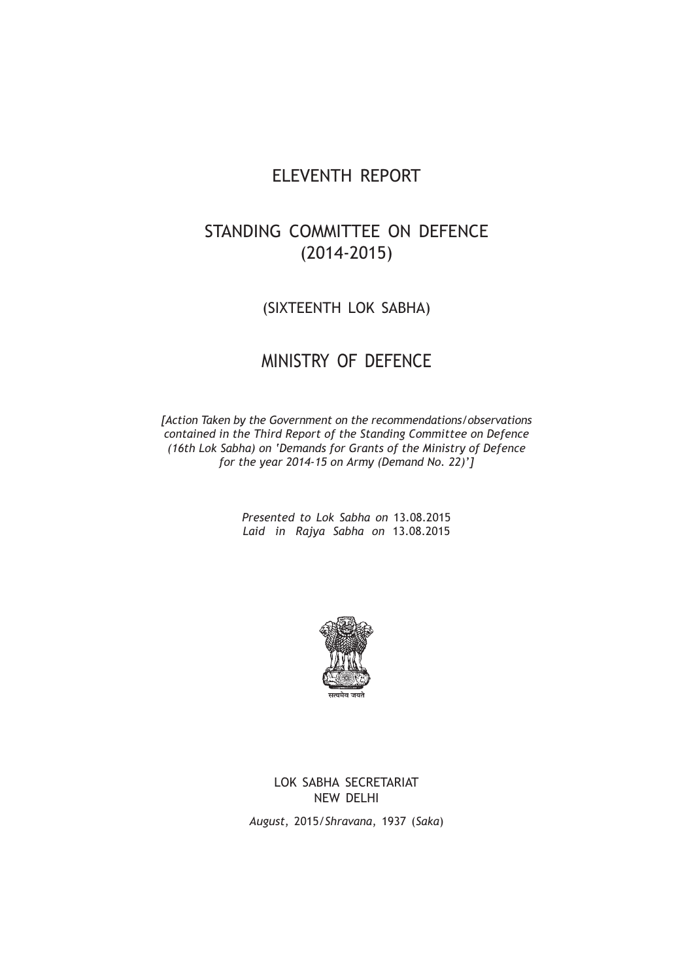# ELEVENTH REPORT

# STANDING COMMITTEE ON DEFENCE (2014-2015)

# (SIXTEENTH LOK SABHA)

# MINISTRY OF DEFENCE

*[Action Taken by the Government on the recommendations/observations contained in the Third Report of the Standing Committee on Defence (16th Lok Sabha) on 'Demands for Grants of the Ministry of Defence for the year 2014-15 on Army (Demand No. 22)']*

> *Presented to Lok Sabha on* 13.08.2015 *Laid in Rajya Sabha on* 13.08.2015



LOK SABHA SECRETARIAT NEW DELHI

*August*, 2015/*Shravana*, 1937 (*Saka*)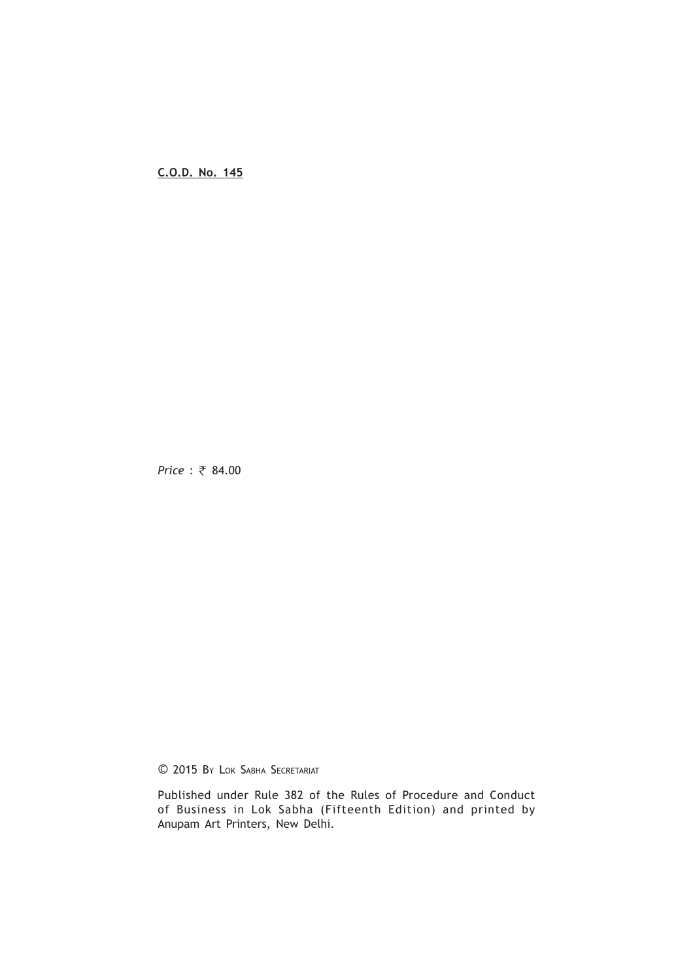**C.O.D. No. 145**

*Price* : ₹ 84.00

© 2015 BY LOK SABHA SECRETARIAT

Published under Rule 382 of the Rules of Procedure and Conduct of Business in Lok Sabha (Fifteenth Edition) and printed by Anupam Art Printers, New Delhi.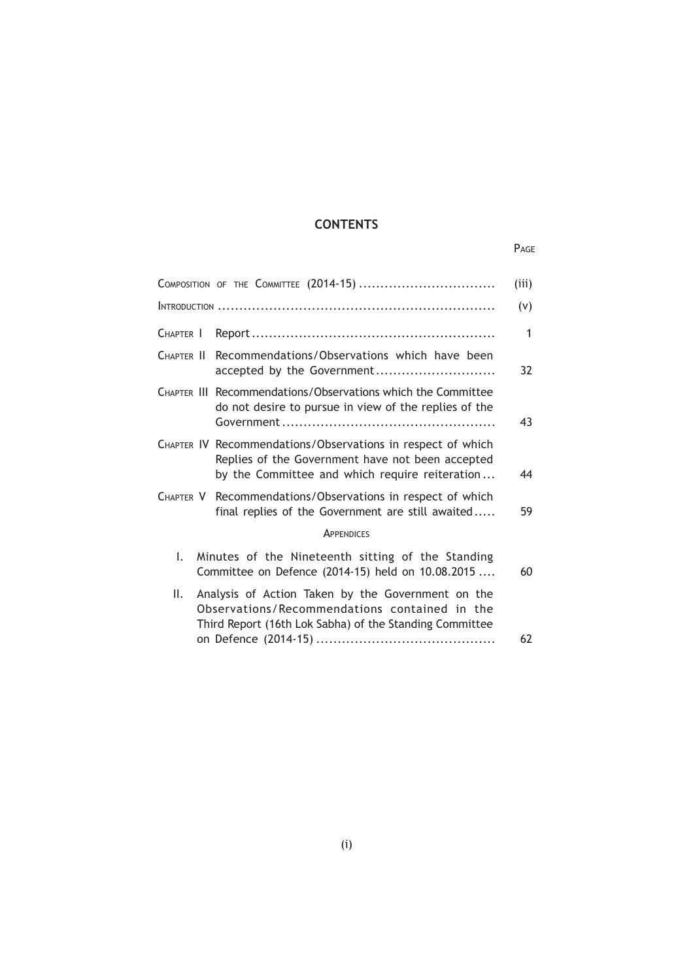# **CONTENTS**

# PAGE

| (iii)        |
|--------------|
| (v)          |
| $\mathbf{1}$ |
| 32           |
| 43           |
| 44           |
| 59           |
|              |
| 60           |
| 62           |
|              |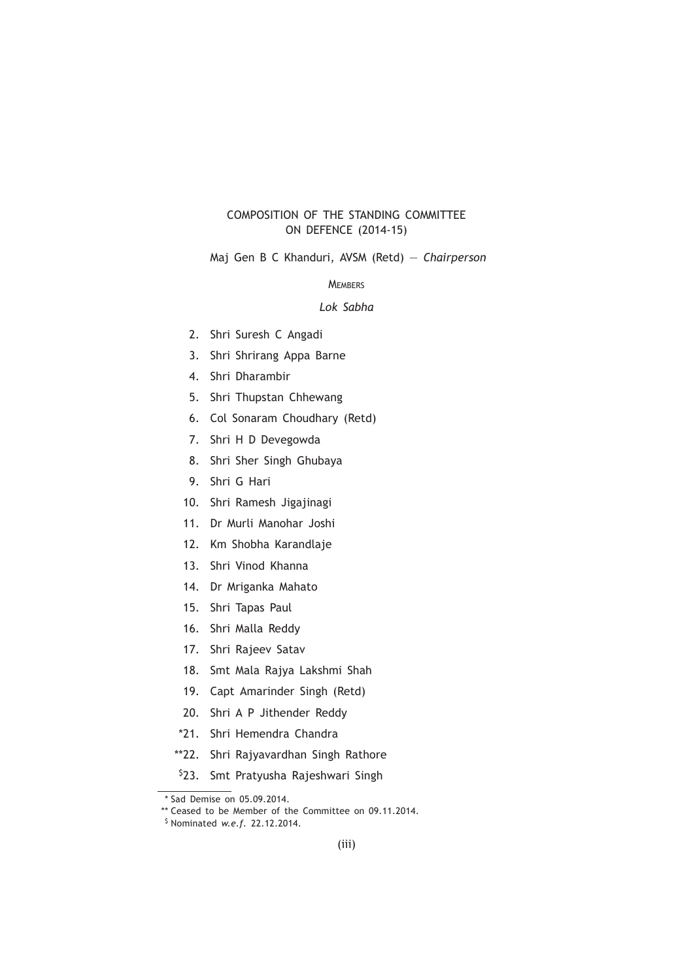# COMPOSITION OF THE STANDING COMMITTEE ON DEFENCE (2014-15)

Maj Gen B C Khanduri, AVSM (Retd) — *Chairperson*

# **MEMBERS**

# *Lok Sabha*

- 2. Shri Suresh C Angadi
- 3. Shri Shrirang Appa Barne
- 4. Shri Dharambir
- 5. Shri Thupstan Chhewang
- 6. Col Sonaram Choudhary (Retd)
- 7. Shri H D Devegowda
- 8. Shri Sher Singh Ghubaya
- 9. Shri G Hari
- 10. Shri Ramesh Jigajinagi
- 11. Dr Murli Manohar Joshi
- 12. Km Shobha Karandlaje
- 13. Shri Vinod Khanna
- 14. Dr Mriganka Mahato
- 15. Shri Tapas Paul
- 16. Shri Malla Reddy
- 17. Shri Rajeev Satav
- 18. Smt Mala Rajya Lakshmi Shah
- 19. Capt Amarinder Singh (Retd)
- 20. Shri A P Jithender Reddy
- \*21. Shri Hemendra Chandra
- \*\*22. Shri Rajyavardhan Singh Rathore
- \$23. Smt Pratyusha Rajeshwari Singh

<sup>\*</sup> Sad Demise on 05.09.2014.

<sup>\*\*</sup> Ceased to be Member of the Committee on 09.11.2014.

<sup>\$</sup> Nominated *w.e.f.* 22.12.2014.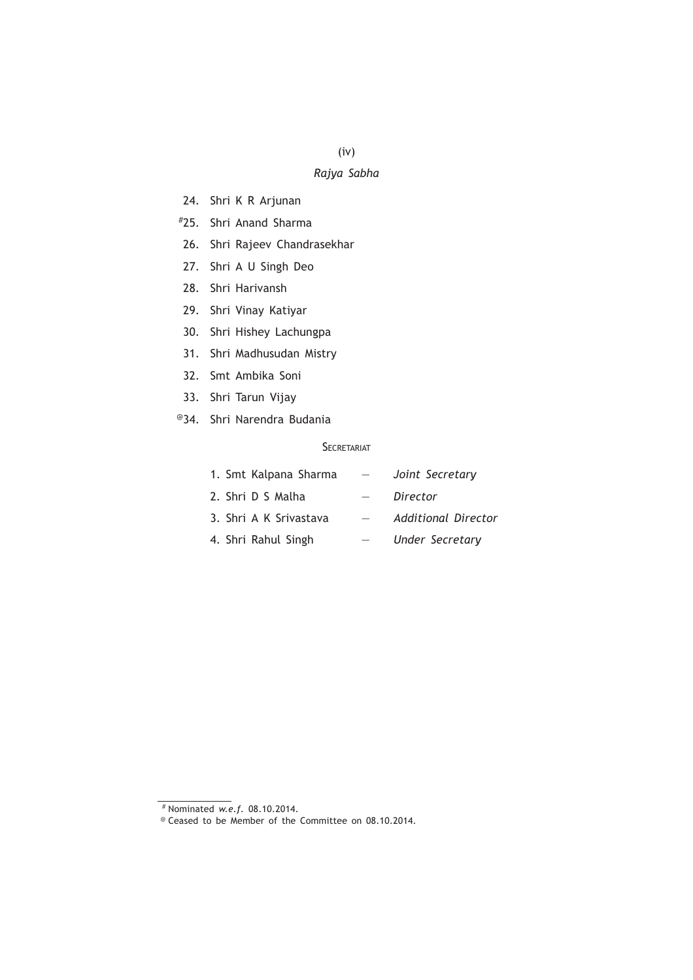(iv)

# *Rajya Sabha*

- 24. Shri K R Arjunan
- #25. Shri Anand Sharma
- 26. Shri Rajeev Chandrasekhar
- 27. Shri A U Singh Deo
- 28. Shri Harivansh
- 29. Shri Vinay Katiyar
- 30. Shri Hishey Lachungpa
- 31. Shri Madhusudan Mistry
- 32. Smt Ambika Soni
- 33. Shri Tarun Vijay
- @34. Shri Narendra Budania

# **SECRETARIAT**

| 1. Smt Kalpana Sharma  |  | Joint Secretary     |
|------------------------|--|---------------------|
| 2. Shri D S Malha      |  | Director            |
| 3. Shri A K Srivastava |  | Additional Director |
| 4. Shri Rahul Singh    |  | Under Secretary     |

<sup>#</sup> Nominated *w.e.f.* 08.10.2014.

<sup>@</sup> Ceased to be Member of the Committee on 08.10.2014.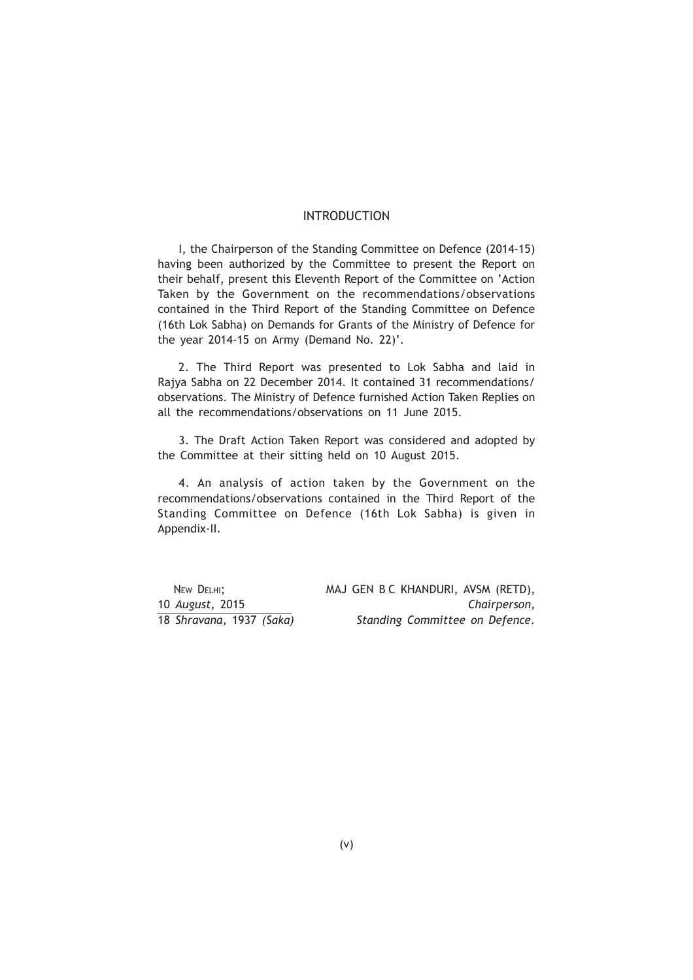# INTRODUCTION

I, the Chairperson of the Standing Committee on Defence (2014-15) having been authorized by the Committee to present the Report on their behalf, present this Eleventh Report of the Committee on 'Action Taken by the Government on the recommendations/observations contained in the Third Report of the Standing Committee on Defence (16th Lok Sabha) on Demands for Grants of the Ministry of Defence for the year 2014-15 on Army (Demand No. 22)'.

2. The Third Report was presented to Lok Sabha and laid in Rajya Sabha on 22 December 2014. It contained 31 recommendations/ observations. The Ministry of Defence furnished Action Taken Replies on all the recommendations/observations on 11 June 2015.

3. The Draft Action Taken Report was considered and adopted by the Committee at their sitting held on 10 August 2015.

4. An analysis of action taken by the Government on the recommendations/observations contained in the Third Report of the Standing Committee on Defence (16th Lok Sabha) is given in Appendix-II.

NEW DELHI; MAJ GEN B C KHANDURI, AVSM (RETD), 10 *August,* 2015 *Chairperson,* 18 *Shravana,* 1937 *(Saka) Standing Committee on Defence.*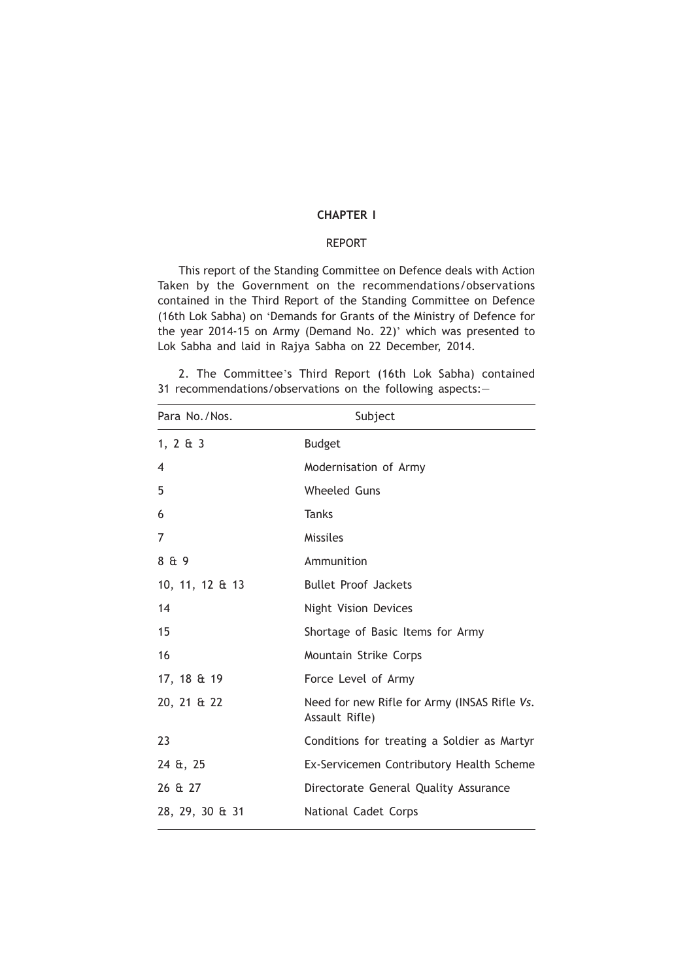# **CHAPTER I**

# REPORT

This report of the Standing Committee on Defence deals with Action Taken by the Government on the recommendations/observations contained in the Third Report of the Standing Committee on Defence (16th Lok Sabha) on 'Demands for Grants of the Ministry of Defence for the year 2014-15 on Army (Demand No. 22)' which was presented to Lok Sabha and laid in Rajya Sabha on 22 December, 2014.

2. The Committee's Third Report (16th Lok Sabha) contained 31 recommendations/observations on the following aspects:—

| Para No./Nos.   | Subject                                                        |
|-----------------|----------------------------------------------------------------|
| 1, 2 $\&$ 3     | <b>Budget</b>                                                  |
| $\overline{4}$  | Modernisation of Army                                          |
| 5               | <b>Wheeled Guns</b>                                            |
| 6               | <b>Tanks</b>                                                   |
| 7               | <b>Missiles</b>                                                |
| 8 & 9           | Ammunition                                                     |
| 10, 11, 12 & 13 | <b>Bullet Proof Jackets</b>                                    |
| 14              | <b>Night Vision Devices</b>                                    |
| 15              | Shortage of Basic Items for Army                               |
| 16              | Mountain Strike Corps                                          |
| 17, 18 & 19     | Force Level of Army                                            |
| 20, 21 & 22     | Need for new Rifle for Army (INSAS Rifle Vs.<br>Assault Rifle) |
| 23              | Conditions for treating a Soldier as Martyr                    |
| 24 &, 25        | Ex-Servicemen Contributory Health Scheme                       |
| 26 & 27         | Directorate General Quality Assurance                          |
| 28, 29, 30 & 31 | National Cadet Corps                                           |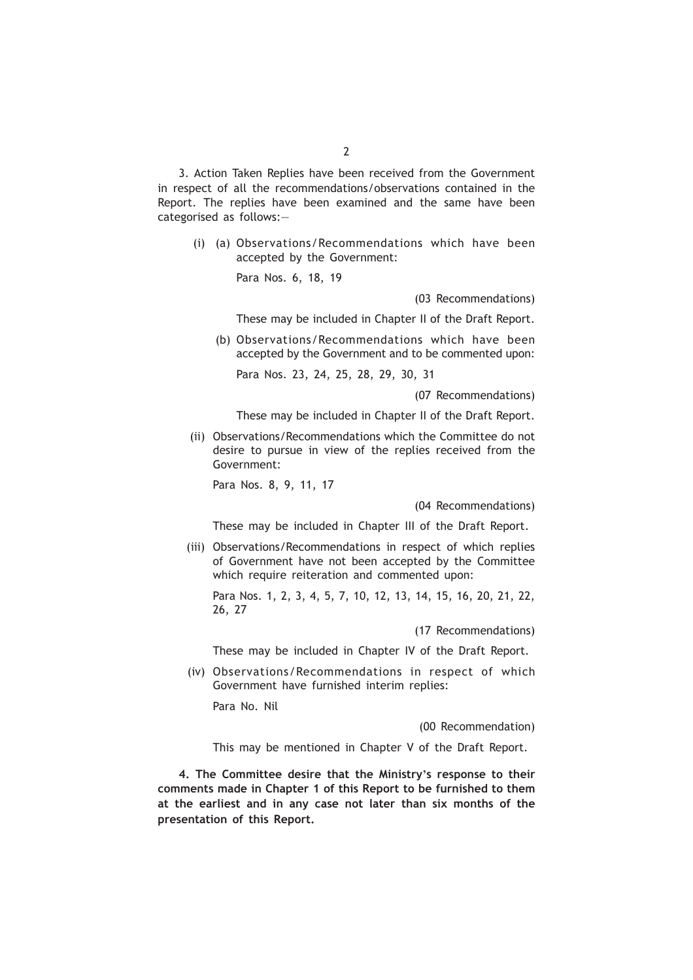3. Action Taken Replies have been received from the Government in respect of all the recommendations/observations contained in the Report. The replies have been examined and the same have been categorised as follows:—

(i) (a) Observations/Recommendations which have been accepted by the Government:

Para Nos. 6, 18, 19

(03 Recommendations)

These may be included in Chapter II of the Draft Report.

(b) Observations/Recommendations which have been accepted by the Government and to be commented upon:

Para Nos. 23, 24, 25, 28, 29, 30, 31

(07 Recommendations)

These may be included in Chapter II of the Draft Report.

(ii) Observations/Recommendations which the Committee do not desire to pursue in view of the replies received from the Government:

Para Nos. 8, 9, 11, 17

(04 Recommendations)

These may be included in Chapter III of the Draft Report.

(iii) Observations/Recommendations in respect of which replies of Government have not been accepted by the Committee which require reiteration and commented upon:

Para Nos. 1, 2, 3, 4, 5, 7, 10, 12, 13, 14, 15, 16, 20, 21, 22, 26, 27

(17 Recommendations)

These may be included in Chapter IV of the Draft Report.

(iv) Observations/Recommendations in respect of which Government have furnished interim replies:

Para No. Nil

(00 Recommendation)

This may be mentioned in Chapter V of the Draft Report.

**4. The Committee desire that the Ministry's response to their comments made in Chapter 1 of this Report to be furnished to them at the earliest and in any case not later than six months of the presentation of this Report.**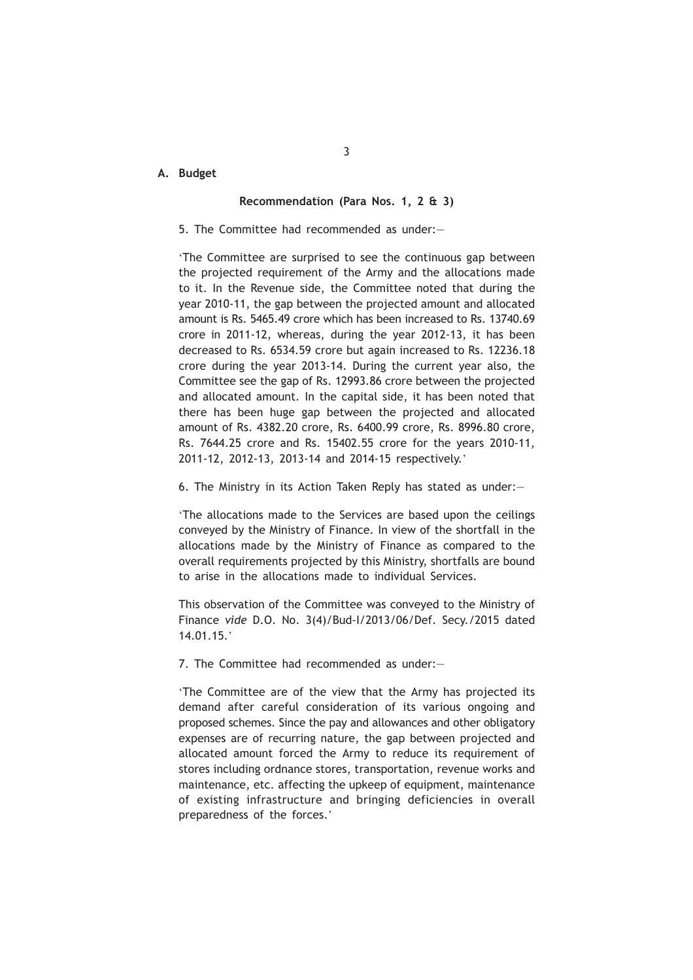# **A. Budget**

# **Recommendation (Para Nos. 1, 2 & 3)**

## 5. The Committee had recommended as under:—

'The Committee are surprised to see the continuous gap between the projected requirement of the Army and the allocations made to it. In the Revenue side, the Committee noted that during the year 2010-11, the gap between the projected amount and allocated amount is Rs. 5465.49 crore which has been increased to Rs. 13740.69 crore in 2011-12, whereas, during the year 2012-13, it has been decreased to Rs. 6534.59 crore but again increased to Rs. 12236.18 crore during the year 2013-14. During the current year also, the Committee see the gap of Rs. 12993.86 crore between the projected and allocated amount. In the capital side, it has been noted that there has been huge gap between the projected and allocated amount of Rs. 4382.20 crore, Rs. 6400.99 crore, Rs. 8996.80 crore, Rs. 7644.25 crore and Rs. 15402.55 crore for the years 2010-11, 2011-12, 2012-13, 2013-14 and 2014-15 respectively.'

6. The Ministry in its Action Taken Reply has stated as under:—

'The allocations made to the Services are based upon the ceilings conveyed by the Ministry of Finance. In view of the shortfall in the allocations made by the Ministry of Finance as compared to the overall requirements projected by this Ministry, shortfalls are bound to arise in the allocations made to individual Services.

This observation of the Committee was conveyed to the Ministry of Finance *vide* D.O. No. 3(4)/Bud-I/2013/06/Def. Secy./2015 dated 14.01.15.'

7. The Committee had recommended as under:—

'The Committee are of the view that the Army has projected its demand after careful consideration of its various ongoing and proposed schemes. Since the pay and allowances and other obligatory expenses are of recurring nature, the gap between projected and allocated amount forced the Army to reduce its requirement of stores including ordnance stores, transportation, revenue works and maintenance, etc. affecting the upkeep of equipment, maintenance of existing infrastructure and bringing deficiencies in overall preparedness of the forces.'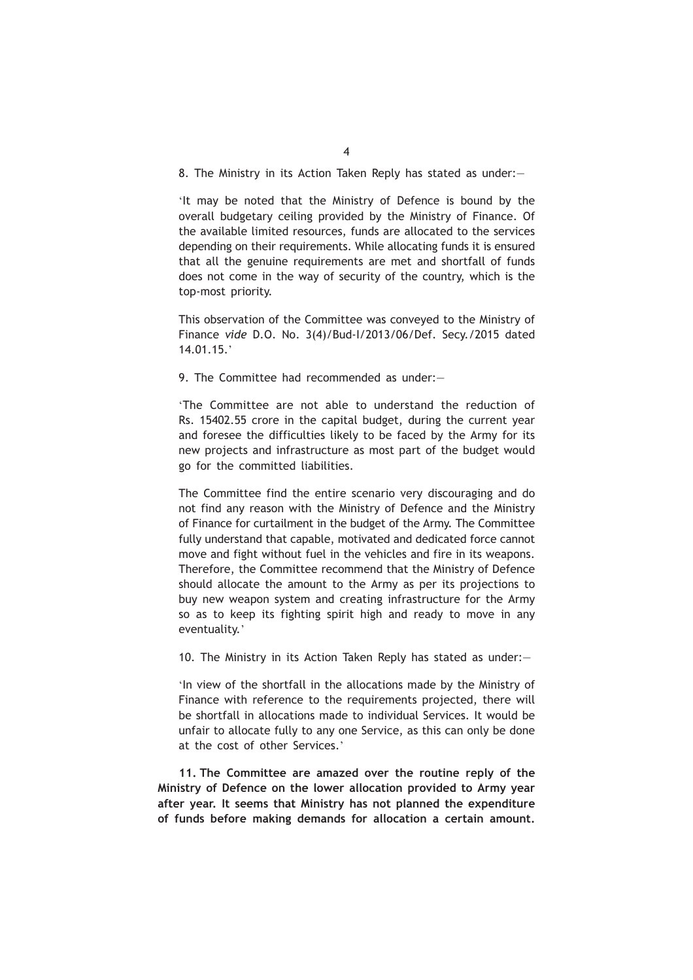8. The Ministry in its Action Taken Reply has stated as under:—

'It may be noted that the Ministry of Defence is bound by the overall budgetary ceiling provided by the Ministry of Finance. Of the available limited resources, funds are allocated to the services depending on their requirements. While allocating funds it is ensured that all the genuine requirements are met and shortfall of funds does not come in the way of security of the country, which is the top-most priority.

This observation of the Committee was conveyed to the Ministry of Finance *vide* D.O. No. 3(4)/Bud-I/2013/06/Def. Secy./2015 dated 14.01.15.'

9. The Committee had recommended as under:—

'The Committee are not able to understand the reduction of Rs. 15402.55 crore in the capital budget, during the current year and foresee the difficulties likely to be faced by the Army for its new projects and infrastructure as most part of the budget would go for the committed liabilities.

The Committee find the entire scenario very discouraging and do not find any reason with the Ministry of Defence and the Ministry of Finance for curtailment in the budget of the Army. The Committee fully understand that capable, motivated and dedicated force cannot move and fight without fuel in the vehicles and fire in its weapons. Therefore, the Committee recommend that the Ministry of Defence should allocate the amount to the Army as per its projections to buy new weapon system and creating infrastructure for the Army so as to keep its fighting spirit high and ready to move in any eventuality.'

10. The Ministry in its Action Taken Reply has stated as under:—

'In view of the shortfall in the allocations made by the Ministry of Finance with reference to the requirements projected, there will be shortfall in allocations made to individual Services. It would be unfair to allocate fully to any one Service, as this can only be done at the cost of other Services.'

**11. The Committee are amazed over the routine reply of the Ministry of Defence on the lower allocation provided to Army year after year. It seems that Ministry has not planned the expenditure of funds before making demands for allocation a certain amount.**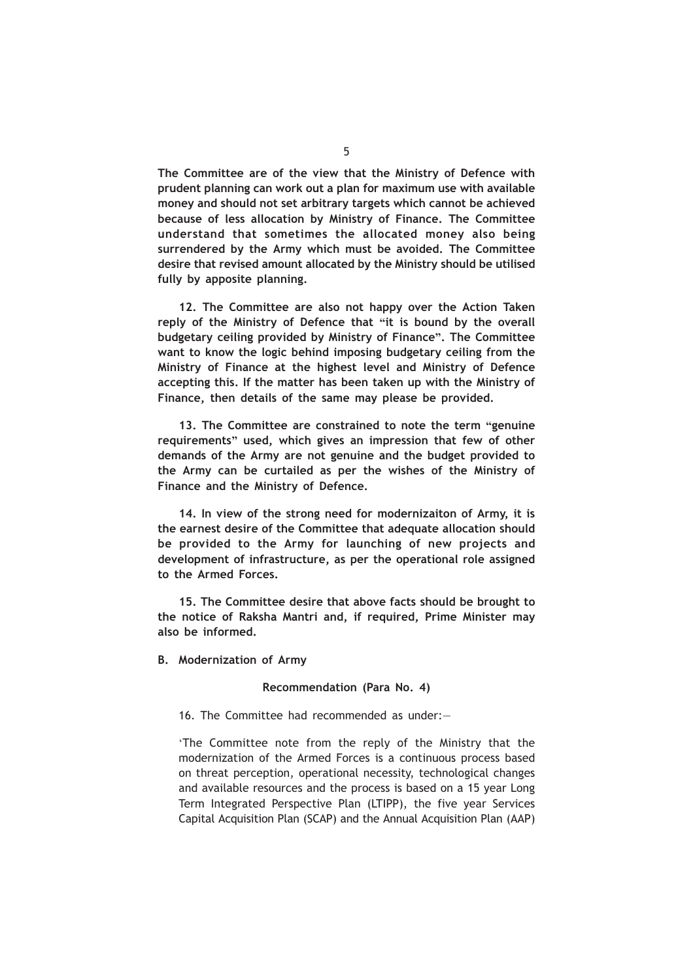**The Committee are of the view that the Ministry of Defence with prudent planning can work out a plan for maximum use with available money and should not set arbitrary targets which cannot be achieved because of less allocation by Ministry of Finance. The Committee understand that sometimes the allocated money also being surrendered by the Army which must be avoided. The Committee desire that revised amount allocated by the Ministry should be utilised fully by apposite planning.**

**12. The Committee are also not happy over the Action Taken reply of the Ministry of Defence that "it is bound by the overall budgetary ceiling provided by Ministry of Finance". The Committee want to know the logic behind imposing budgetary ceiling from the Ministry of Finance at the highest level and Ministry of Defence accepting this. If the matter has been taken up with the Ministry of Finance, then details of the same may please be provided.**

**13. The Committee are constrained to note the term "genuine requirements" used, which gives an impression that few of other demands of the Army are not genuine and the budget provided to the Army can be curtailed as per the wishes of the Ministry of Finance and the Ministry of Defence.**

**14. In view of the strong need for modernizaiton of Army, it is the earnest desire of the Committee that adequate allocation should be provided to the Army for launching of new projects and development of infrastructure, as per the operational role assigned to the Armed Forces.**

**15. The Committee desire that above facts should be brought to the notice of Raksha Mantri and, if required, Prime Minister may also be informed.**

**B. Modernization of Army**

#### **Recommendation (Para No. 4)**

## 16. The Committee had recommended as under:—

'The Committee note from the reply of the Ministry that the modernization of the Armed Forces is a continuous process based on threat perception, operational necessity, technological changes and available resources and the process is based on a 15 year Long Term Integrated Perspective Plan (LTIPP), the five year Services Capital Acquisition Plan (SCAP) and the Annual Acquisition Plan (AAP)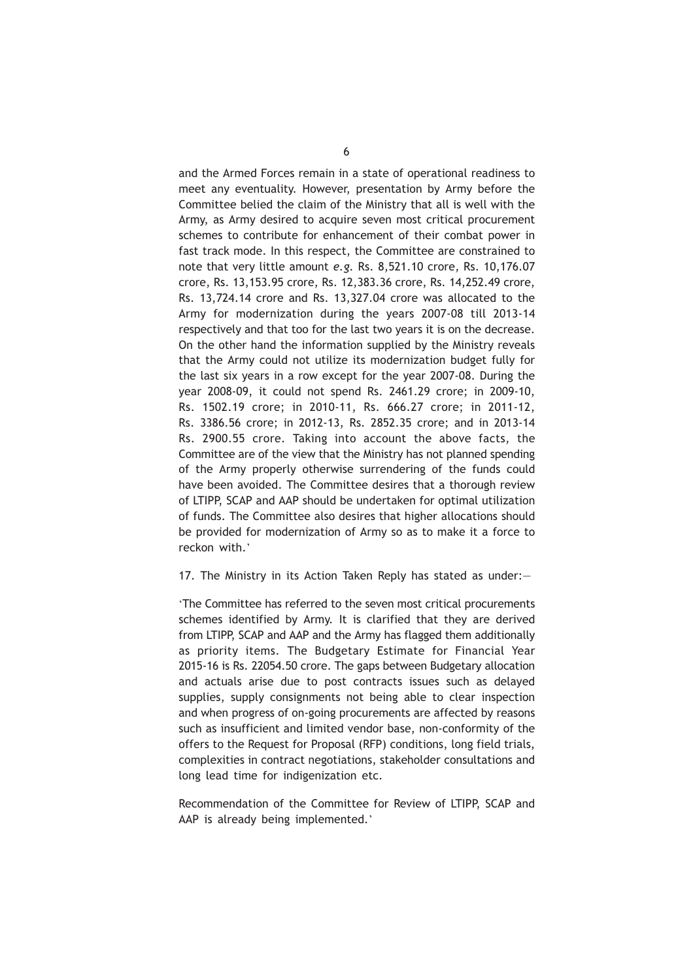and the Armed Forces remain in a state of operational readiness to meet any eventuality. However, presentation by Army before the Committee belied the claim of the Ministry that all is well with the Army, as Army desired to acquire seven most critical procurement schemes to contribute for enhancement of their combat power in fast track mode. In this respect, the Committee are constrained to note that very little amount *e.g.* Rs. 8,521.10 crore, Rs. 10,176.07 crore, Rs. 13,153.95 crore, Rs. 12,383.36 crore, Rs. 14,252.49 crore, Rs. 13,724.14 crore and Rs. 13,327.04 crore was allocated to the Army for modernization during the years 2007-08 till 2013-14 respectively and that too for the last two years it is on the decrease. On the other hand the information supplied by the Ministry reveals that the Army could not utilize its modernization budget fully for the last six years in a row except for the year 2007-08. During the year 2008-09, it could not spend Rs. 2461.29 crore; in 2009-10, Rs. 1502.19 crore; in 2010-11, Rs. 666.27 crore; in 2011-12, Rs. 3386.56 crore; in 2012-13, Rs. 2852.35 crore; and in 2013-14 Rs. 2900.55 crore. Taking into account the above facts, the Committee are of the view that the Ministry has not planned spending of the Army properly otherwise surrendering of the funds could have been avoided. The Committee desires that a thorough review of LTIPP, SCAP and AAP should be undertaken for optimal utilization of funds. The Committee also desires that higher allocations should be provided for modernization of Army so as to make it a force to reckon with.'

17. The Ministry in its Action Taken Reply has stated as under:—

'The Committee has referred to the seven most critical procurements schemes identified by Army. It is clarified that they are derived from LTIPP, SCAP and AAP and the Army has flagged them additionally as priority items. The Budgetary Estimate for Financial Year 2015-16 is Rs. 22054.50 crore. The gaps between Budgetary allocation and actuals arise due to post contracts issues such as delayed supplies, supply consignments not being able to clear inspection and when progress of on-going procurements are affected by reasons such as insufficient and limited vendor base, non-conformity of the offers to the Request for Proposal (RFP) conditions, long field trials, complexities in contract negotiations, stakeholder consultations and long lead time for indigenization etc.

Recommendation of the Committee for Review of LTIPP, SCAP and AAP is already being implemented.'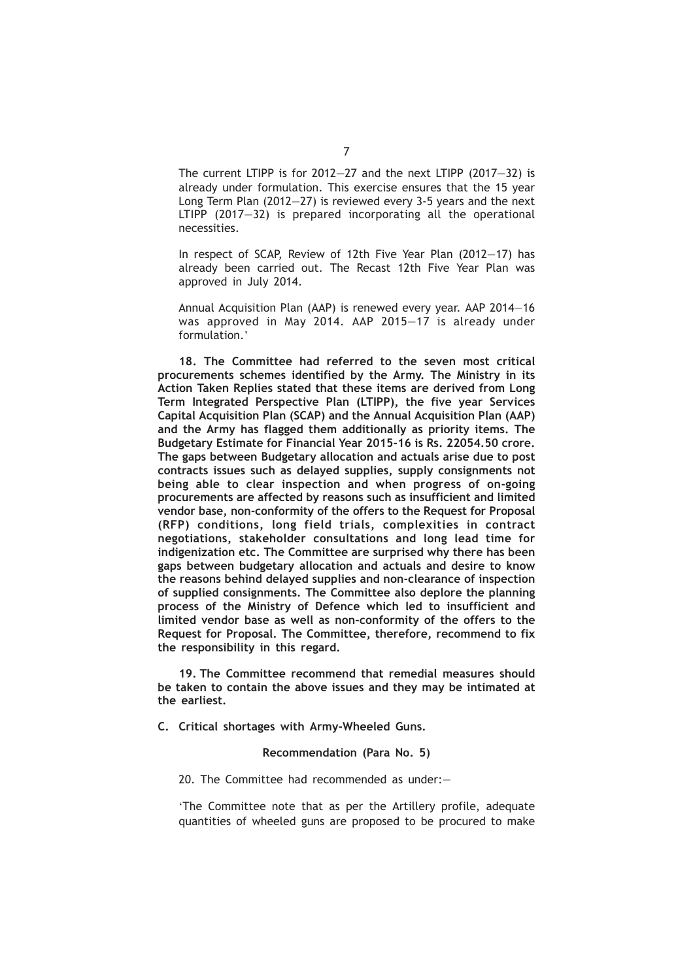The current LTIPP is for 2012—27 and the next LTIPP (2017—32) is already under formulation. This exercise ensures that the 15 year Long Term Plan (2012—27) is reviewed every 3-5 years and the next LTIPP (2017—32) is prepared incorporating all the operational necessities.

In respect of SCAP, Review of 12th Five Year Plan (2012—17) has already been carried out. The Recast 12th Five Year Plan was approved in July 2014.

Annual Acquisition Plan (AAP) is renewed every year. AAP 2014—16 was approved in May 2014. AAP 2015—17 is already under formulation.'

**18. The Committee had referred to the seven most critical procurements schemes identified by the Army. The Ministry in its Action Taken Replies stated that these items are derived from Long Term Integrated Perspective Plan (LTIPP), the five year Services Capital Acquisition Plan (SCAP) and the Annual Acquisition Plan (AAP) and the Army has flagged them additionally as priority items. The Budgetary Estimate for Financial Year 2015-16 is Rs. 22054.50 crore. The gaps between Budgetary allocation and actuals arise due to post contracts issues such as delayed supplies, supply consignments not being able to clear inspection and when progress of on-going procurements are affected by reasons such as insufficient and limited vendor base, non-conformity of the offers to the Request for Proposal (RFP) conditions, long field trials, complexities in contract negotiations, stakeholder consultations and long lead time for indigenization etc. The Committee are surprised why there has been gaps between budgetary allocation and actuals and desire to know the reasons behind delayed supplies and non-clearance of inspection of supplied consignments. The Committee also deplore the planning process of the Ministry of Defence which led to insufficient and limited vendor base as well as non-conformity of the offers to the Request for Proposal. The Committee, therefore, recommend to fix the responsibility in this regard.**

**19. The Committee recommend that remedial measures should be taken to contain the above issues and they may be intimated at the earliest.**

**C. Critical shortages with Army-Wheeled Guns.**

#### **Recommendation (Para No. 5)**

20. The Committee had recommended as under:—

'The Committee note that as per the Artillery profile, adequate quantities of wheeled guns are proposed to be procured to make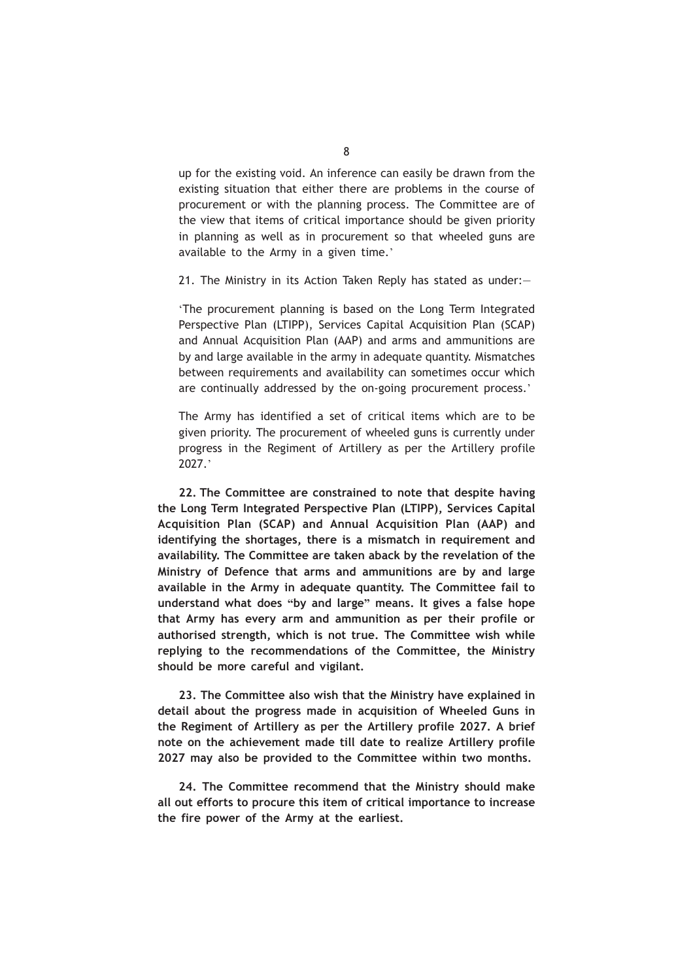up for the existing void. An inference can easily be drawn from the existing situation that either there are problems in the course of procurement or with the planning process. The Committee are of the view that items of critical importance should be given priority in planning as well as in procurement so that wheeled guns are available to the Army in a given time.'

21. The Ministry in its Action Taken Reply has stated as under:—

'The procurement planning is based on the Long Term Integrated Perspective Plan (LTIPP), Services Capital Acquisition Plan (SCAP) and Annual Acquisition Plan (AAP) and arms and ammunitions are by and large available in the army in adequate quantity. Mismatches between requirements and availability can sometimes occur which are continually addressed by the on-going procurement process.'

The Army has identified a set of critical items which are to be given priority. The procurement of wheeled guns is currently under progress in the Regiment of Artillery as per the Artillery profile 2027.'

**22. The Committee are constrained to note that despite having the Long Term Integrated Perspective Plan (LTIPP), Services Capital Acquisition Plan (SCAP) and Annual Acquisition Plan (AAP) and identifying the shortages, there is a mismatch in requirement and availability. The Committee are taken aback by the revelation of the Ministry of Defence that arms and ammunitions are by and large available in the Army in adequate quantity. The Committee fail to understand what does "by and large" means. It gives a false hope that Army has every arm and ammunition as per their profile or authorised strength, which is not true. The Committee wish while replying to the recommendations of the Committee, the Ministry should be more careful and vigilant.**

**23. The Committee also wish that the Ministry have explained in detail about the progress made in acquisition of Wheeled Guns in the Regiment of Artillery as per the Artillery profile 2027. A brief note on the achievement made till date to realize Artillery profile 2027 may also be provided to the Committee within two months.**

**24. The Committee recommend that the Ministry should make all out efforts to procure this item of critical importance to increase the fire power of the Army at the earliest.**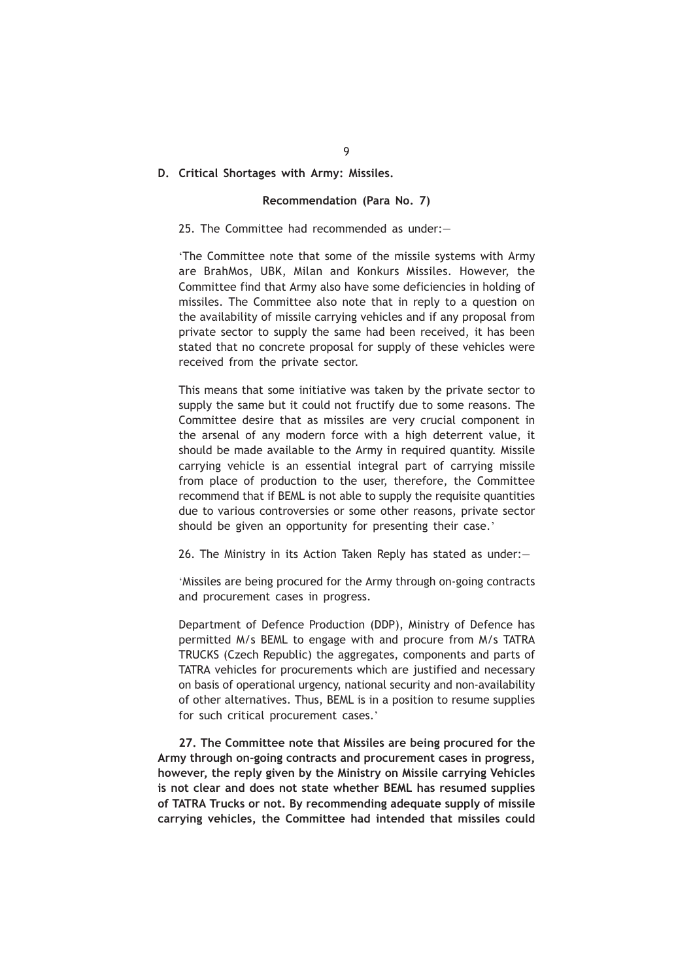# **D. Critical Shortages with Army: Missiles.**

# **Recommendation (Para No. 7)**

## 25. The Committee had recommended as under:—

'The Committee note that some of the missile systems with Army are BrahMos, UBK, Milan and Konkurs Missiles. However, the Committee find that Army also have some deficiencies in holding of missiles. The Committee also note that in reply to a question on the availability of missile carrying vehicles and if any proposal from private sector to supply the same had been received, it has been stated that no concrete proposal for supply of these vehicles were received from the private sector.

This means that some initiative was taken by the private sector to supply the same but it could not fructify due to some reasons. The Committee desire that as missiles are very crucial component in the arsenal of any modern force with a high deterrent value, it should be made available to the Army in required quantity. Missile carrying vehicle is an essential integral part of carrying missile from place of production to the user, therefore, the Committee recommend that if BEML is not able to supply the requisite quantities due to various controversies or some other reasons, private sector should be given an opportunity for presenting their case.'

26. The Ministry in its Action Taken Reply has stated as under:—

'Missiles are being procured for the Army through on-going contracts and procurement cases in progress.

Department of Defence Production (DDP), Ministry of Defence has permitted M/s BEML to engage with and procure from M/s TATRA TRUCKS (Czech Republic) the aggregates, components and parts of TATRA vehicles for procurements which are justified and necessary on basis of operational urgency, national security and non-availability of other alternatives. Thus, BEML is in a position to resume supplies for such critical procurement cases.'

**27. The Committee note that Missiles are being procured for the Army through on-going contracts and procurement cases in progress, however, the reply given by the Ministry on Missile carrying Vehicles is not clear and does not state whether BEML has resumed supplies of TATRA Trucks or not. By recommending adequate supply of missile carrying vehicles, the Committee had intended that missiles could**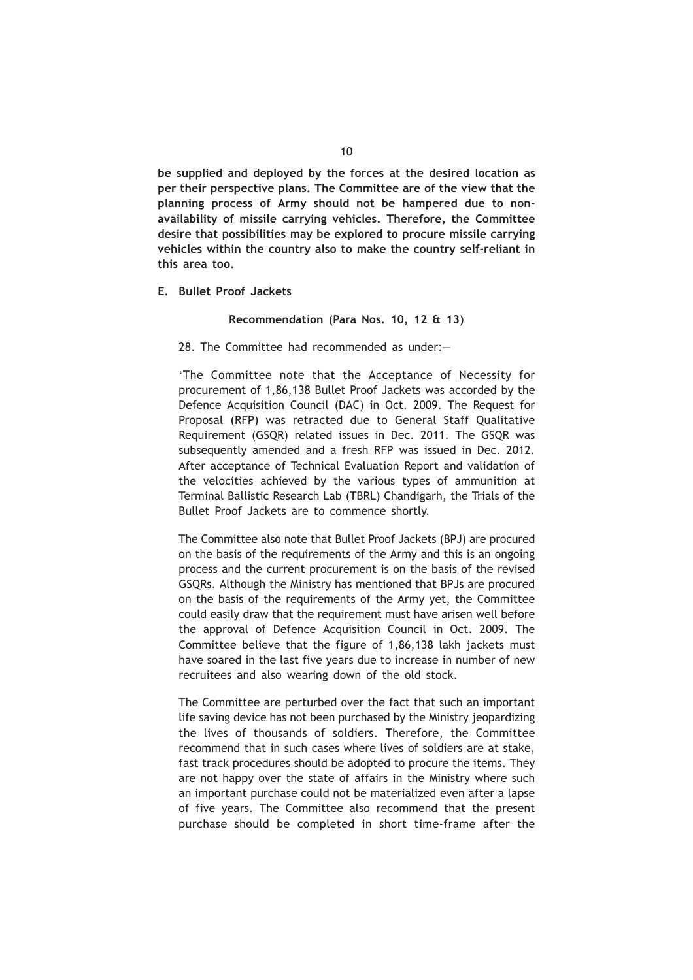**be supplied and deployed by the forces at the desired location as per their perspective plans. The Committee are of the view that the planning process of Army should not be hampered due to nonavailability of missile carrying vehicles. Therefore, the Committee desire that possibilities may be explored to procure missile carrying vehicles within the country also to make the country self-reliant in this area too.**

**E. Bullet Proof Jackets**

#### **Recommendation (Para Nos. 10, 12 & 13)**

28. The Committee had recommended as under:—

'The Committee note that the Acceptance of Necessity for procurement of 1,86,138 Bullet Proof Jackets was accorded by the Defence Acquisition Council (DAC) in Oct. 2009. The Request for Proposal (RFP) was retracted due to General Staff Qualitative Requirement (GSQR) related issues in Dec. 2011. The GSQR was subsequently amended and a fresh RFP was issued in Dec. 2012. After acceptance of Technical Evaluation Report and validation of the velocities achieved by the various types of ammunition at Terminal Ballistic Research Lab (TBRL) Chandigarh, the Trials of the Bullet Proof Jackets are to commence shortly.

The Committee also note that Bullet Proof Jackets (BPJ) are procured on the basis of the requirements of the Army and this is an ongoing process and the current procurement is on the basis of the revised GSQRs. Although the Ministry has mentioned that BPJs are procured on the basis of the requirements of the Army yet, the Committee could easily draw that the requirement must have arisen well before the approval of Defence Acquisition Council in Oct. 2009. The Committee believe that the figure of 1,86,138 lakh jackets must have soared in the last five years due to increase in number of new recruitees and also wearing down of the old stock.

The Committee are perturbed over the fact that such an important life saving device has not been purchased by the Ministry jeopardizing the lives of thousands of soldiers. Therefore, the Committee recommend that in such cases where lives of soldiers are at stake, fast track procedures should be adopted to procure the items. They are not happy over the state of affairs in the Ministry where such an important purchase could not be materialized even after a lapse of five years. The Committee also recommend that the present purchase should be completed in short time-frame after the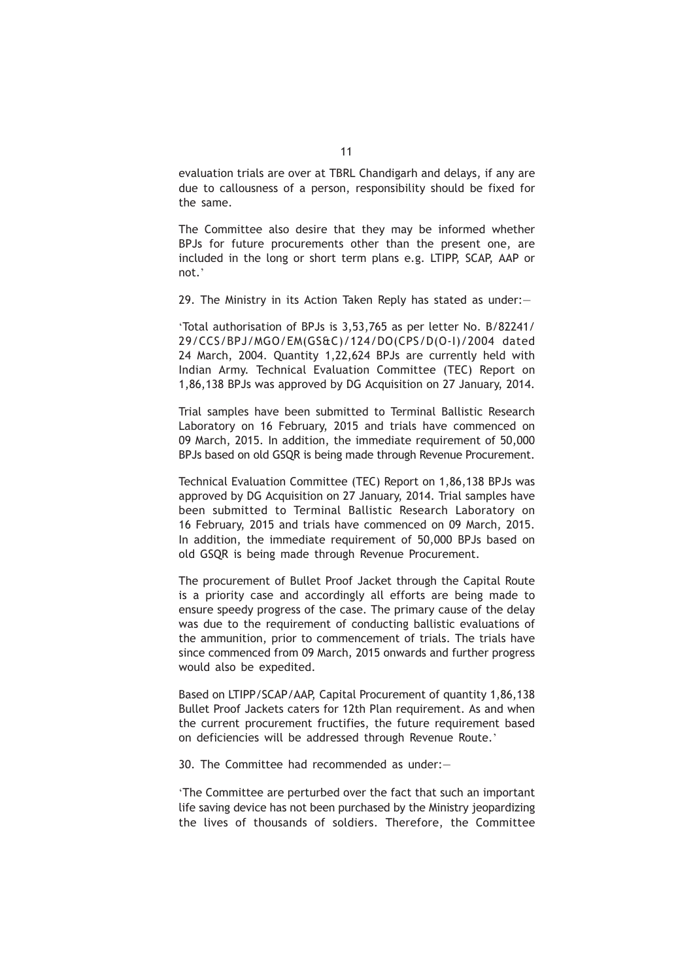evaluation trials are over at TBRL Chandigarh and delays, if any are due to callousness of a person, responsibility should be fixed for the same.

The Committee also desire that they may be informed whether BPJs for future procurements other than the present one, are included in the long or short term plans e.g. LTIPP, SCAP, AAP or not.'

29. The Ministry in its Action Taken Reply has stated as under:—

'Total authorisation of BPJs is 3,53,765 as per letter No. B/82241/ 29/CCS/BPJ/MGO/EM(GS&C)/124/DO(CPS/D(O-I)/2004 dated 24 March, 2004. Quantity 1,22,624 BPJs are currently held with Indian Army. Technical Evaluation Committee (TEC) Report on 1,86,138 BPJs was approved by DG Acquisition on 27 January, 2014.

Trial samples have been submitted to Terminal Ballistic Research Laboratory on 16 February, 2015 and trials have commenced on 09 March, 2015. In addition, the immediate requirement of 50,000 BPJs based on old GSQR is being made through Revenue Procurement.

Technical Evaluation Committee (TEC) Report on 1,86,138 BPJs was approved by DG Acquisition on 27 January, 2014. Trial samples have been submitted to Terminal Ballistic Research Laboratory on 16 February, 2015 and trials have commenced on 09 March, 2015. In addition, the immediate requirement of 50,000 BPJs based on old GSQR is being made through Revenue Procurement.

The procurement of Bullet Proof Jacket through the Capital Route is a priority case and accordingly all efforts are being made to ensure speedy progress of the case. The primary cause of the delay was due to the requirement of conducting ballistic evaluations of the ammunition, prior to commencement of trials. The trials have since commenced from 09 March, 2015 onwards and further progress would also be expedited.

Based on LTIPP/SCAP/AAP, Capital Procurement of quantity 1,86,138 Bullet Proof Jackets caters for 12th Plan requirement. As and when the current procurement fructifies, the future requirement based on deficiencies will be addressed through Revenue Route.'

30. The Committee had recommended as under:—

'The Committee are perturbed over the fact that such an important life saving device has not been purchased by the Ministry jeopardizing the lives of thousands of soldiers. Therefore, the Committee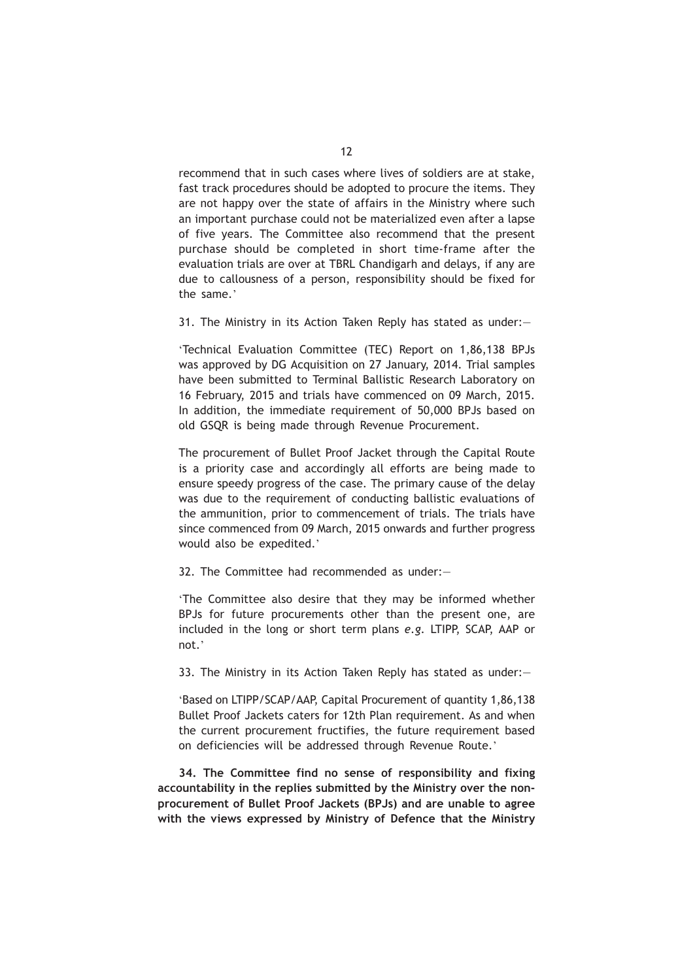recommend that in such cases where lives of soldiers are at stake, fast track procedures should be adopted to procure the items. They are not happy over the state of affairs in the Ministry where such an important purchase could not be materialized even after a lapse of five years. The Committee also recommend that the present purchase should be completed in short time-frame after the evaluation trials are over at TBRL Chandigarh and delays, if any are due to callousness of a person, responsibility should be fixed for the same.'

31. The Ministry in its Action Taken Reply has stated as under:—

'Technical Evaluation Committee (TEC) Report on 1,86,138 BPJs was approved by DG Acquisition on 27 January, 2014. Trial samples have been submitted to Terminal Ballistic Research Laboratory on 16 February, 2015 and trials have commenced on 09 March, 2015. In addition, the immediate requirement of 50,000 BPJs based on old GSQR is being made through Revenue Procurement.

The procurement of Bullet Proof Jacket through the Capital Route is a priority case and accordingly all efforts are being made to ensure speedy progress of the case. The primary cause of the delay was due to the requirement of conducting ballistic evaluations of the ammunition, prior to commencement of trials. The trials have since commenced from 09 March, 2015 onwards and further progress would also be expedited.'

32. The Committee had recommended as under:—

'The Committee also desire that they may be informed whether BPJs for future procurements other than the present one, are included in the long or short term plans *e.g.* LTIPP, SCAP, AAP or not.'

33. The Ministry in its Action Taken Reply has stated as under:—

'Based on LTIPP/SCAP/AAP, Capital Procurement of quantity 1,86,138 Bullet Proof Jackets caters for 12th Plan requirement. As and when the current procurement fructifies, the future requirement based on deficiencies will be addressed through Revenue Route.'

**34. The Committee find no sense of responsibility and fixing accountability in the replies submitted by the Ministry over the nonprocurement of Bullet Proof Jackets (BPJs) and are unable to agree with the views expressed by Ministry of Defence that the Ministry**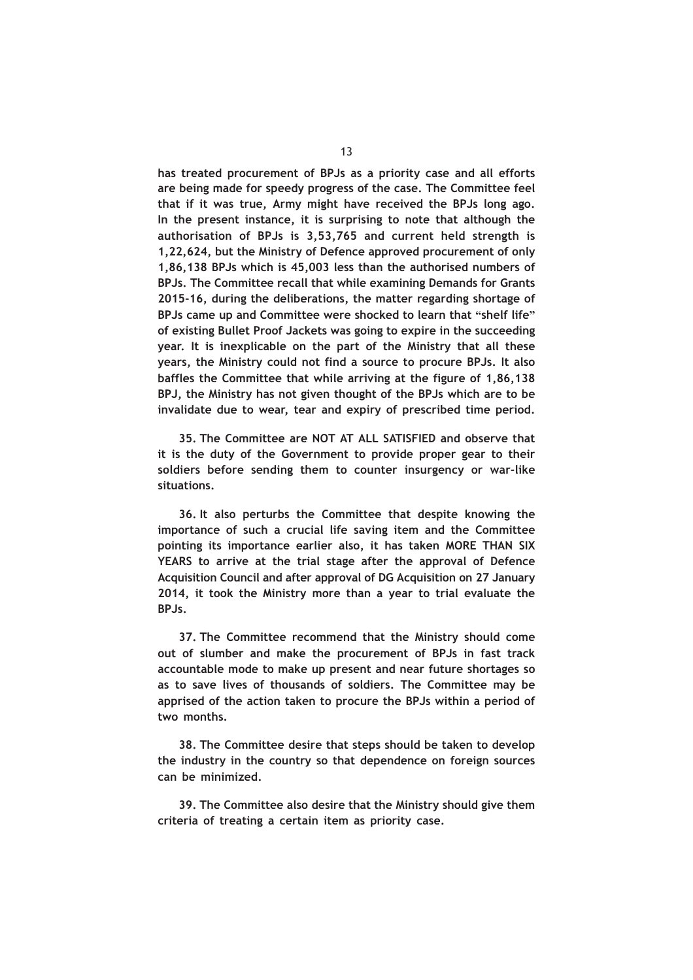**has treated procurement of BPJs as a priority case and all efforts are being made for speedy progress of the case. The Committee feel that if it was true, Army might have received the BPJs long ago. In the present instance, it is surprising to note that although the authorisation of BPJs is 3,53,765 and current held strength is 1,22,624, but the Ministry of Defence approved procurement of only 1,86,138 BPJs which is 45,003 less than the authorised numbers of BPJs. The Committee recall that while examining Demands for Grants 2015-16, during the deliberations, the matter regarding shortage of BPJs came up and Committee were shocked to learn that "shelf life" of existing Bullet Proof Jackets was going to expire in the succeeding year. It is inexplicable on the part of the Ministry that all these years, the Ministry could not find a source to procure BPJs. It also baffles the Committee that while arriving at the figure of 1,86,138 BPJ, the Ministry has not given thought of the BPJs which are to be invalidate due to wear, tear and expiry of prescribed time period.**

**35. The Committee are NOT AT ALL SATISFIED and observe that it is the duty of the Government to provide proper gear to their soldiers before sending them to counter insurgency or war-like situations.**

**36. It also perturbs the Committee that despite knowing the importance of such a crucial life saving item and the Committee pointing its importance earlier also, it has taken MORE THAN SIX YEARS to arrive at the trial stage after the approval of Defence Acquisition Council and after approval of DG Acquisition on 27 January 2014, it took the Ministry more than a year to trial evaluate the BPJs.**

**37. The Committee recommend that the Ministry should come out of slumber and make the procurement of BPJs in fast track accountable mode to make up present and near future shortages so as to save lives of thousands of soldiers. The Committee may be apprised of the action taken to procure the BPJs within a period of two months.**

**38. The Committee desire that steps should be taken to develop the industry in the country so that dependence on foreign sources can be minimized.**

**39. The Committee also desire that the Ministry should give them criteria of treating a certain item as priority case.**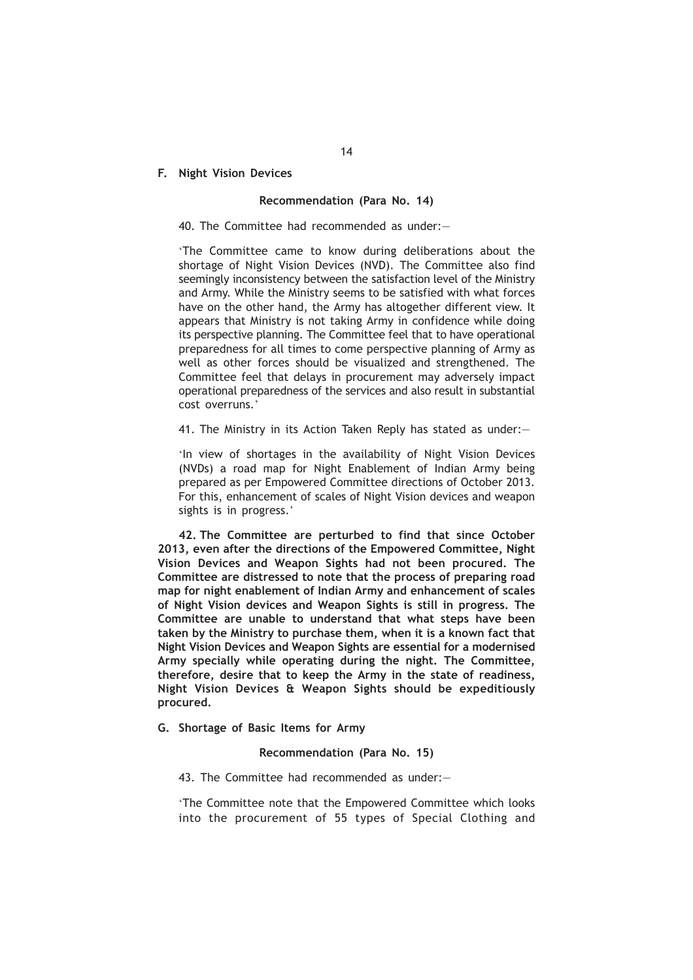# **F. Night Vision Devices**

# **Recommendation (Para No. 14)**

# 40. The Committee had recommended as under:—

'The Committee came to know during deliberations about the shortage of Night Vision Devices (NVD). The Committee also find seemingly inconsistency between the satisfaction level of the Ministry and Army. While the Ministry seems to be satisfied with what forces have on the other hand, the Army has altogether different view. It appears that Ministry is not taking Army in confidence while doing its perspective planning. The Committee feel that to have operational preparedness for all times to come perspective planning of Army as well as other forces should be visualized and strengthened. The Committee feel that delays in procurement may adversely impact operational preparedness of the services and also result in substantial cost overruns.'

41. The Ministry in its Action Taken Reply has stated as under:—

'In view of shortages in the availability of Night Vision Devices (NVDs) a road map for Night Enablement of Indian Army being prepared as per Empowered Committee directions of October 2013. For this, enhancement of scales of Night Vision devices and weapon sights is in progress.'

**42. The Committee are perturbed to find that since October 2013, even after the directions of the Empowered Committee, Night Vision Devices and Weapon Sights had not been procured. The Committee are distressed to note that the process of preparing road map for night enablement of Indian Army and enhancement of scales of Night Vision devices and Weapon Sights is still in progress. The Committee are unable to understand that what steps have been taken by the Ministry to purchase them, when it is a known fact that Night Vision Devices and Weapon Sights are essential for a modernised Army specially while operating during the night. The Committee, therefore, desire that to keep the Army in the state of readiness, Night Vision Devices & Weapon Sights should be expeditiously procured.**

# **G. Shortage of Basic Items for Army**

# **Recommendation (Para No. 15)**

43. The Committee had recommended as under:—

'The Committee note that the Empowered Committee which looks into the procurement of 55 types of Special Clothing and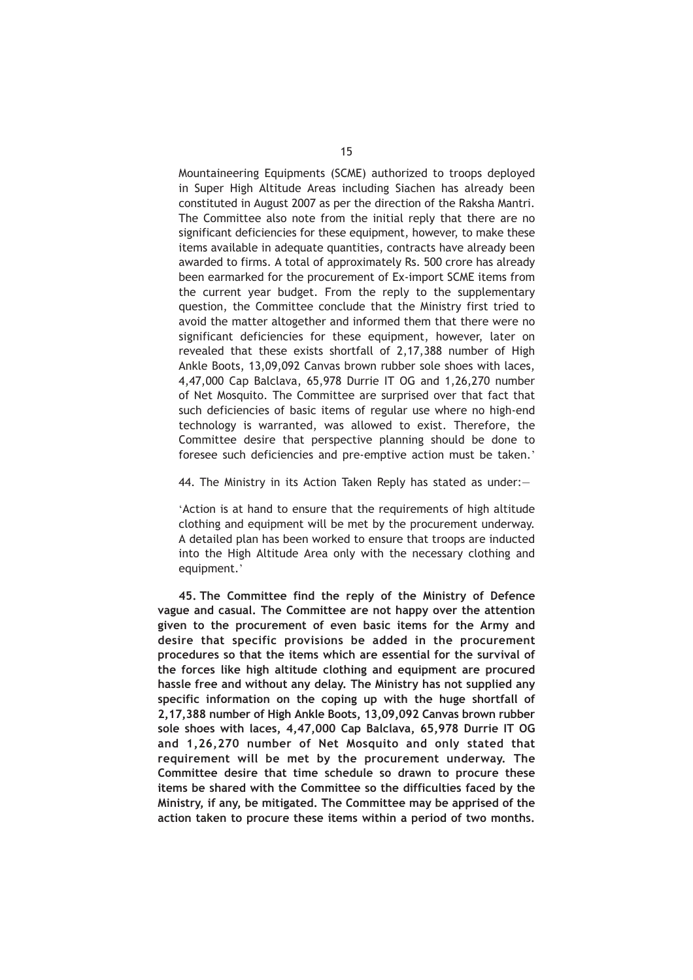Mountaineering Equipments (SCME) authorized to troops deployed in Super High Altitude Areas including Siachen has already been constituted in August 2007 as per the direction of the Raksha Mantri. The Committee also note from the initial reply that there are no significant deficiencies for these equipment, however, to make these items available in adequate quantities, contracts have already been awarded to firms. A total of approximately Rs. 500 crore has already been earmarked for the procurement of Ex-import SCME items from the current year budget. From the reply to the supplementary question, the Committee conclude that the Ministry first tried to avoid the matter altogether and informed them that there were no significant deficiencies for these equipment, however, later on revealed that these exists shortfall of 2,17,388 number of High Ankle Boots, 13,09,092 Canvas brown rubber sole shoes with laces, 4,47,000 Cap Balclava, 65,978 Durrie IT OG and 1,26,270 number of Net Mosquito. The Committee are surprised over that fact that such deficiencies of basic items of regular use where no high-end technology is warranted, was allowed to exist. Therefore, the Committee desire that perspective planning should be done to foresee such deficiencies and pre-emptive action must be taken.'

44. The Ministry in its Action Taken Reply has stated as under:—

'Action is at hand to ensure that the requirements of high altitude clothing and equipment will be met by the procurement underway. A detailed plan has been worked to ensure that troops are inducted into the High Altitude Area only with the necessary clothing and equipment.'

**45. The Committee find the reply of the Ministry of Defence vague and casual. The Committee are not happy over the attention given to the procurement of even basic items for the Army and desire that specific provisions be added in the procurement procedures so that the items which are essential for the survival of the forces like high altitude clothing and equipment are procured hassle free and without any delay. The Ministry has not supplied any specific information on the coping up with the huge shortfall of 2,17,388 number of High Ankle Boots, 13,09,092 Canvas brown rubber sole shoes with laces, 4,47,000 Cap Balclava, 65,978 Durrie IT OG and 1,26,270 number of Net Mosquito and only stated that requirement will be met by the procurement underway. The Committee desire that time schedule so drawn to procure these items be shared with the Committee so the difficulties faced by the Ministry, if any, be mitigated. The Committee may be apprised of the action taken to procure these items within a period of two months.**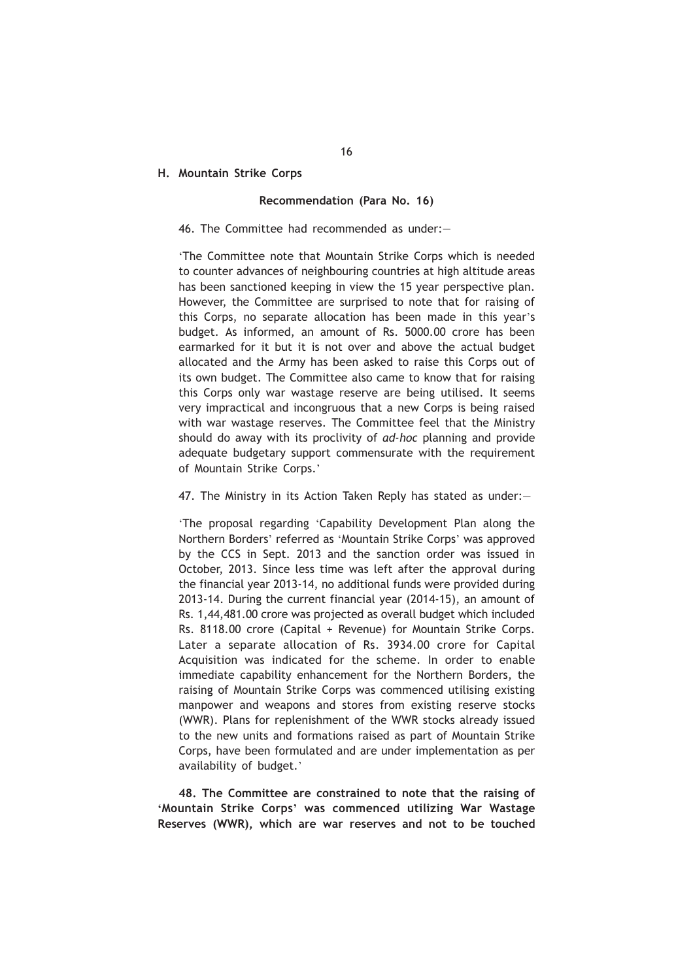# **H. Mountain Strike Corps**

## **Recommendation (Para No. 16)**

## 46. The Committee had recommended as under:—

'The Committee note that Mountain Strike Corps which is needed to counter advances of neighbouring countries at high altitude areas has been sanctioned keeping in view the 15 year perspective plan. However, the Committee are surprised to note that for raising of this Corps, no separate allocation has been made in this year's budget. As informed, an amount of Rs. 5000.00 crore has been earmarked for it but it is not over and above the actual budget allocated and the Army has been asked to raise this Corps out of its own budget. The Committee also came to know that for raising this Corps only war wastage reserve are being utilised. It seems very impractical and incongruous that a new Corps is being raised with war wastage reserves. The Committee feel that the Ministry should do away with its proclivity of *ad-hoc* planning and provide adequate budgetary support commensurate with the requirement of Mountain Strike Corps.'

47. The Ministry in its Action Taken Reply has stated as under:—

'The proposal regarding 'Capability Development Plan along the Northern Borders' referred as 'Mountain Strike Corps' was approved by the CCS in Sept. 2013 and the sanction order was issued in October, 2013. Since less time was left after the approval during the financial year 2013-14, no additional funds were provided during 2013-14. During the current financial year (2014-15), an amount of Rs. 1,44,481.00 crore was projected as overall budget which included Rs. 8118.00 crore (Capital + Revenue) for Mountain Strike Corps. Later a separate allocation of Rs. 3934.00 crore for Capital Acquisition was indicated for the scheme. In order to enable immediate capability enhancement for the Northern Borders, the raising of Mountain Strike Corps was commenced utilising existing manpower and weapons and stores from existing reserve stocks (WWR). Plans for replenishment of the WWR stocks already issued to the new units and formations raised as part of Mountain Strike Corps, have been formulated and are under implementation as per availability of budget.'

**48. The Committee are constrained to note that the raising of 'Mountain Strike Corps' was commenced utilizing War Wastage Reserves (WWR), which are war reserves and not to be touched**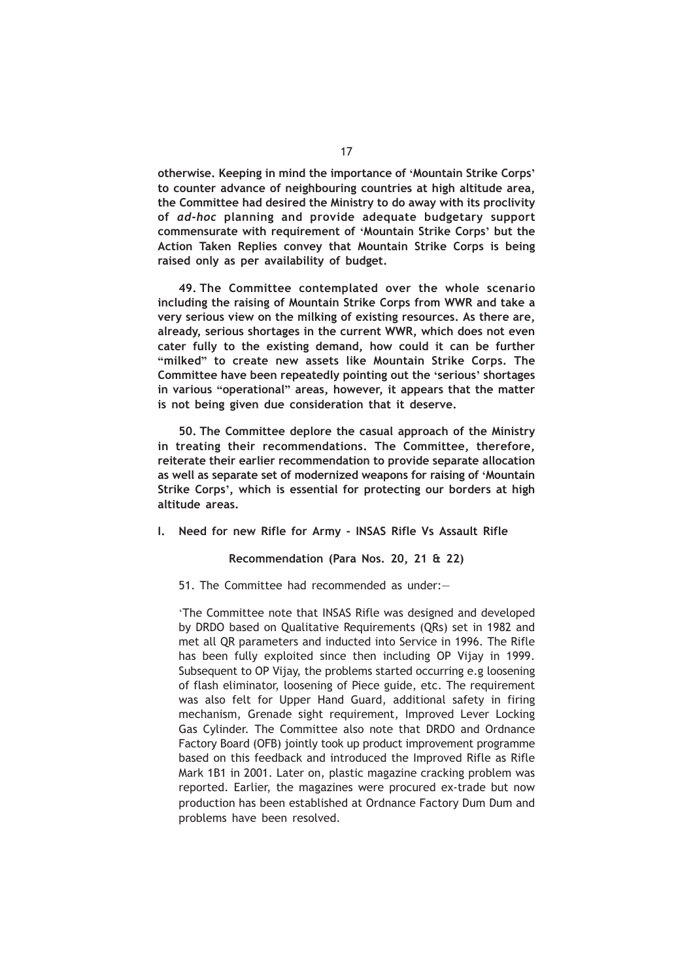**otherwise. Keeping in mind the importance of 'Mountain Strike Corps' to counter advance of neighbouring countries at high altitude area, the Committee had desired the Ministry to do away with its proclivity of** *ad-hoc* **planning and provide adequate budgetary support commensurate with requirement of 'Mountain Strike Corps' but the Action Taken Replies convey that Mountain Strike Corps is being raised only as per availability of budget.**

**49. The Committee contemplated over the whole scenario including the raising of Mountain Strike Corps from WWR and take a very serious view on the milking of existing resources. As there are, already, serious shortages in the current WWR, which does not even cater fully to the existing demand, how could it can be further "milked" to create new assets like Mountain Strike Corps. The Committee have been repeatedly pointing out the 'serious' shortages in various "operational" areas, however, it appears that the matter is not being given due consideration that it deserve.**

**50. The Committee deplore the casual approach of the Ministry in treating their recommendations. The Committee, therefore, reiterate their earlier recommendation to provide separate allocation as well as separate set of modernized weapons for raising of 'Mountain Strike Corps', which is essential for protecting our borders at high altitude areas.**

## **I. Need for new Rifle for Army - INSAS Rifle Vs Assault Rifle**

# **Recommendation (Para Nos. 20, 21 & 22)**

51. The Committee had recommended as under:—

'The Committee note that INSAS Rifle was designed and developed by DRDO based on Qualitative Requirements (QRs) set in 1982 and met all QR parameters and inducted into Service in 1996. The Rifle has been fully exploited since then including OP Vijay in 1999. Subsequent to OP Vijay, the problems started occurring e.g loosening of flash eliminator, loosening of Piece guide, etc. The requirement was also felt for Upper Hand Guard, additional safety in firing mechanism, Grenade sight requirement, Improved Lever Locking Gas Cylinder. The Committee also note that DRDO and Ordnance Factory Board (OFB) jointly took up product improvement programme based on this feedback and introduced the Improved Rifle as Rifle Mark 1B1 in 2001. Later on, plastic magazine cracking problem was reported. Earlier, the magazines were procured ex-trade but now production has been established at Ordnance Factory Dum Dum and problems have been resolved.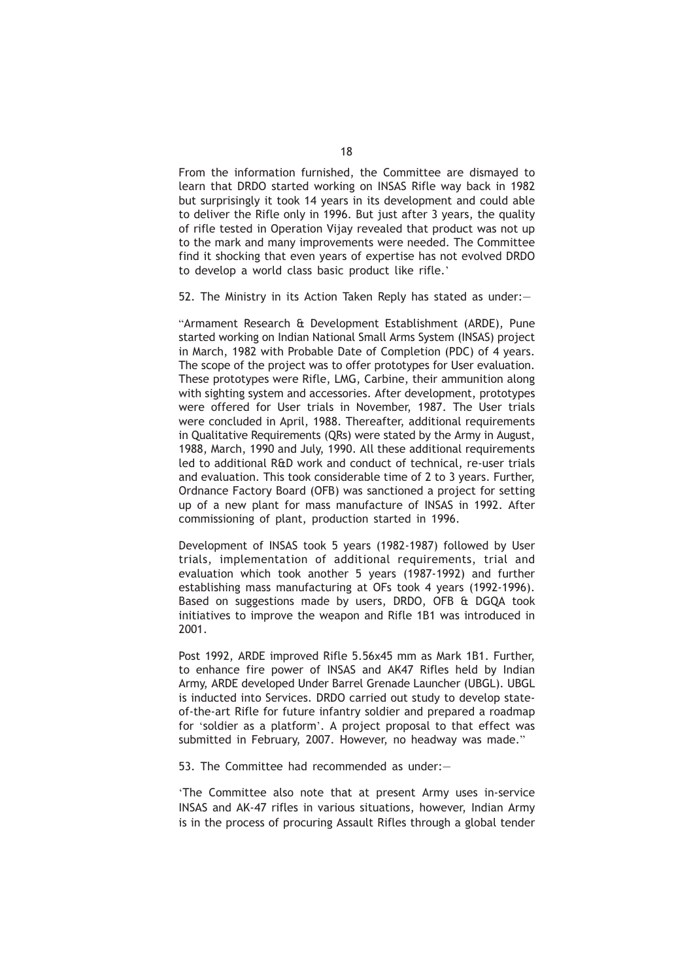From the information furnished, the Committee are dismayed to learn that DRDO started working on INSAS Rifle way back in 1982 but surprisingly it took 14 years in its development and could able to deliver the Rifle only in 1996. But just after 3 years, the quality of rifle tested in Operation Vijay revealed that product was not up to the mark and many improvements were needed. The Committee find it shocking that even years of expertise has not evolved DRDO to develop a world class basic product like rifle.'

52. The Ministry in its Action Taken Reply has stated as under:—

"Armament Research & Development Establishment (ARDE), Pune started working on Indian National Small Arms System (INSAS) project in March, 1982 with Probable Date of Completion (PDC) of 4 years. The scope of the project was to offer prototypes for User evaluation. These prototypes were Rifle, LMG, Carbine, their ammunition along with sighting system and accessories. After development, prototypes were offered for User trials in November, 1987. The User trials were concluded in April, 1988. Thereafter, additional requirements in Qualitative Requirements (QRs) were stated by the Army in August, 1988, March, 1990 and July, 1990. All these additional requirements led to additional R&D work and conduct of technical, re-user trials and evaluation. This took considerable time of 2 to 3 years. Further, Ordnance Factory Board (OFB) was sanctioned a project for setting up of a new plant for mass manufacture of INSAS in 1992. After commissioning of plant, production started in 1996.

Development of INSAS took 5 years (1982-1987) followed by User trials, implementation of additional requirements, trial and evaluation which took another 5 years (1987-1992) and further establishing mass manufacturing at OFs took 4 years (1992-1996). Based on suggestions made by users, DRDO, OFB & DGQA took initiatives to improve the weapon and Rifle 1B1 was introduced in 2001.

Post 1992, ARDE improved Rifle 5.56x45 mm as Mark 1B1. Further, to enhance fire power of INSAS and AK47 Rifles held by Indian Army, ARDE developed Under Barrel Grenade Launcher (UBGL). UBGL is inducted into Services. DRDO carried out study to develop stateof-the-art Rifle for future infantry soldier and prepared a roadmap for 'soldier as a platform'. A project proposal to that effect was submitted in February, 2007. However, no headway was made."

53. The Committee had recommended as under:—

'The Committee also note that at present Army uses in-service INSAS and AK-47 rifles in various situations, however, Indian Army is in the process of procuring Assault Rifles through a global tender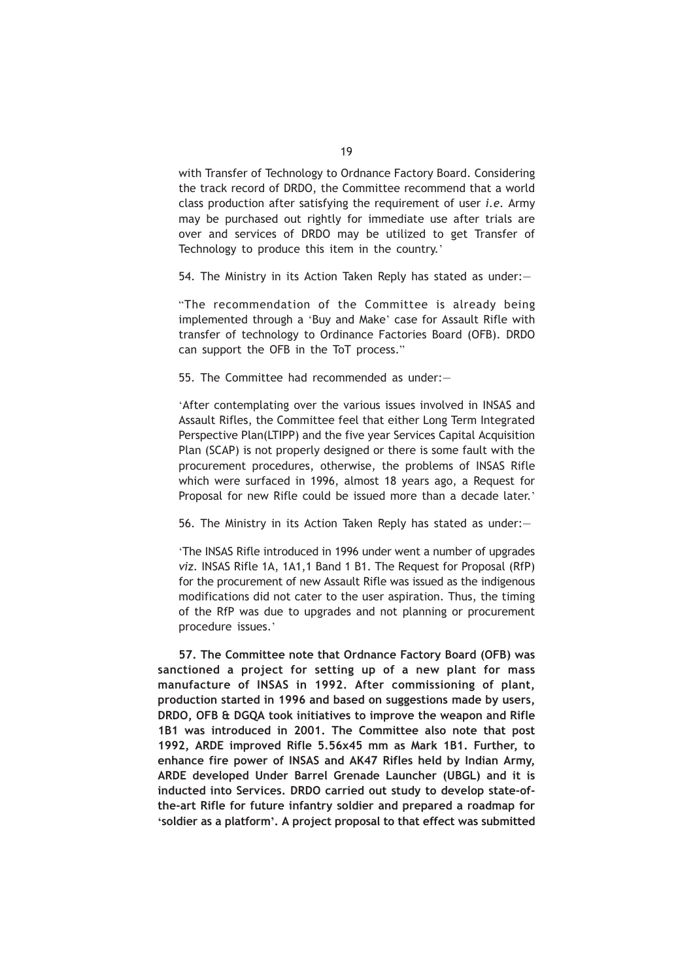with Transfer of Technology to Ordnance Factory Board. Considering the track record of DRDO, the Committee recommend that a world class production after satisfying the requirement of user *i.e.* Army may be purchased out rightly for immediate use after trials are over and services of DRDO may be utilized to get Transfer of Technology to produce this item in the country.'

54. The Ministry in its Action Taken Reply has stated as under:—

"The recommendation of the Committee is already being implemented through a 'Buy and Make' case for Assault Rifle with transfer of technology to Ordinance Factories Board (OFB). DRDO can support the OFB in the ToT process."

55. The Committee had recommended as under:—

'After contemplating over the various issues involved in INSAS and Assault Rifles, the Committee feel that either Long Term Integrated Perspective Plan(LTIPP) and the five year Services Capital Acquisition Plan (SCAP) is not properly designed or there is some fault with the procurement procedures, otherwise, the problems of INSAS Rifle which were surfaced in 1996, almost 18 years ago, a Request for Proposal for new Rifle could be issued more than a decade later.'

56. The Ministry in its Action Taken Reply has stated as under:—

'The INSAS Rifle introduced in 1996 under went a number of upgrades *viz.* INSAS Rifle 1A, 1A1,1 Band 1 B1. The Request for Proposal (RfP) for the procurement of new Assault Rifle was issued as the indigenous modifications did not cater to the user aspiration. Thus, the timing of the RfP was due to upgrades and not planning or procurement procedure issues.'

**57. The Committee note that Ordnance Factory Board (OFB) was sanctioned a project for setting up of a new plant for mass manufacture of INSAS in 1992. After commissioning of plant, production started in 1996 and based on suggestions made by users, DRDO, OFB & DGQA took initiatives to improve the weapon and Rifle 1B1 was introduced in 2001. The Committee also note that post 1992, ARDE improved Rifle 5.56x45 mm as Mark 1B1. Further, to enhance fire power of INSAS and AK47 Rifles held by Indian Army, ARDE developed Under Barrel Grenade Launcher (UBGL) and it is inducted into Services. DRDO carried out study to develop state-ofthe-art Rifle for future infantry soldier and prepared a roadmap for 'soldier as a platform'. A project proposal to that effect was submitted**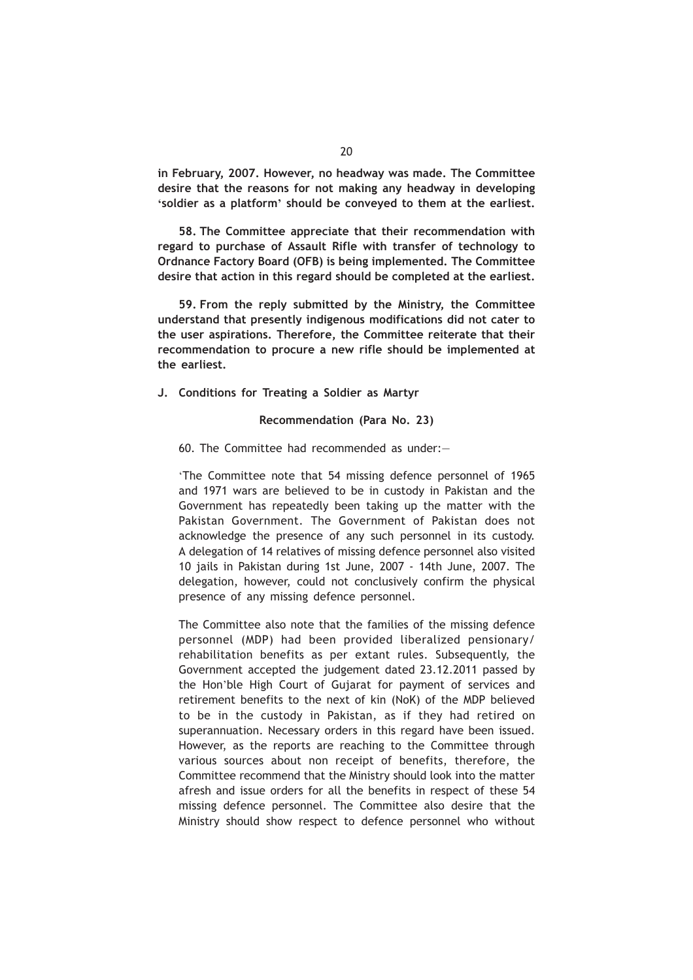**in February, 2007. However, no headway was made. The Committee desire that the reasons for not making any headway in developing 'soldier as a platform' should be conveyed to them at the earliest.**

**58. The Committee appreciate that their recommendation with regard to purchase of Assault Rifle with transfer of technology to Ordnance Factory Board (OFB) is being implemented. The Committee desire that action in this regard should be completed at the earliest.**

**59. From the reply submitted by the Ministry, the Committee understand that presently indigenous modifications did not cater to the user aspirations. Therefore, the Committee reiterate that their recommendation to procure a new rifle should be implemented at the earliest.**

**J. Conditions for Treating a Soldier as Martyr**

# **Recommendation (Para No. 23)**

60. The Committee had recommended as under:—

'The Committee note that 54 missing defence personnel of 1965 and 1971 wars are believed to be in custody in Pakistan and the Government has repeatedly been taking up the matter with the Pakistan Government. The Government of Pakistan does not acknowledge the presence of any such personnel in its custody. A delegation of 14 relatives of missing defence personnel also visited 10 jails in Pakistan during 1st June, 2007 - 14th June, 2007. The delegation, however, could not conclusively confirm the physical presence of any missing defence personnel.

The Committee also note that the families of the missing defence personnel (MDP) had been provided liberalized pensionary/ rehabilitation benefits as per extant rules. Subsequently, the Government accepted the judgement dated 23.12.2011 passed by the Hon'ble High Court of Gujarat for payment of services and retirement benefits to the next of kin (NoK) of the MDP believed to be in the custody in Pakistan, as if they had retired on superannuation. Necessary orders in this regard have been issued. However, as the reports are reaching to the Committee through various sources about non receipt of benefits, therefore, the Committee recommend that the Ministry should look into the matter afresh and issue orders for all the benefits in respect of these 54 missing defence personnel. The Committee also desire that the Ministry should show respect to defence personnel who without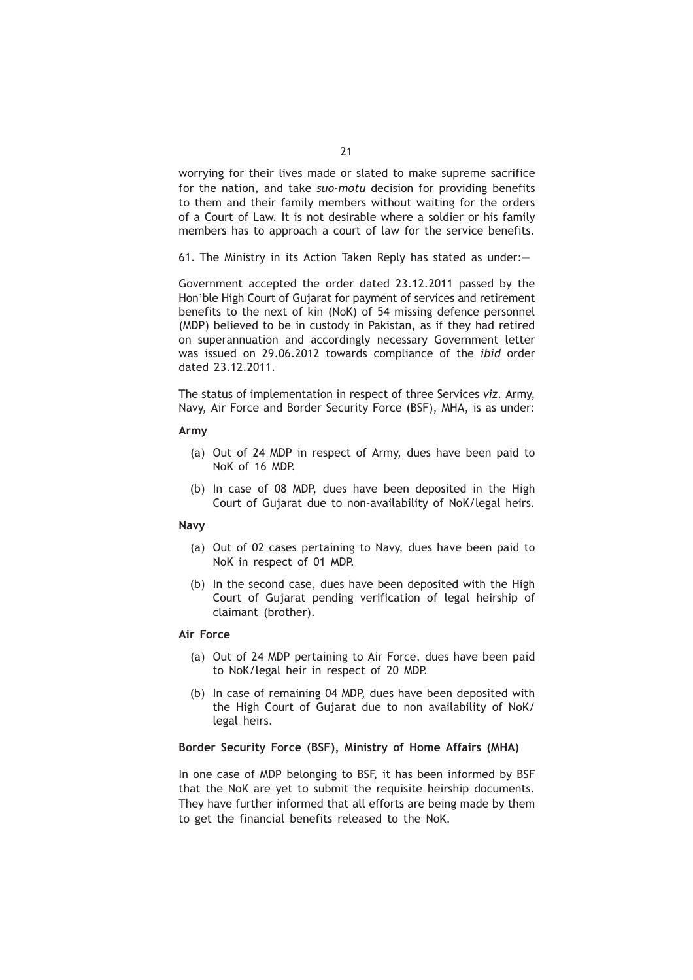worrying for their lives made or slated to make supreme sacrifice for the nation, and take *suo-motu* decision for providing benefits to them and their family members without waiting for the orders of a Court of Law. It is not desirable where a soldier or his family members has to approach a court of law for the service benefits.

61. The Ministry in its Action Taken Reply has stated as under:—

Government accepted the order dated 23.12.2011 passed by the Hon'ble High Court of Gujarat for payment of services and retirement benefits to the next of kin (NoK) of 54 missing defence personnel (MDP) believed to be in custody in Pakistan, as if they had retired on superannuation and accordingly necessary Government letter was issued on 29.06.2012 towards compliance of the *ibid* order dated 23.12.2011.

The status of implementation in respect of three Services *viz.* Army, Navy, Air Force and Border Security Force (BSF), MHA, is as under:

## **Army**

- (a) Out of 24 MDP in respect of Army, dues have been paid to NoK of 16 MDP.
- (b) In case of 08 MDP, dues have been deposited in the High Court of Gujarat due to non-availability of NoK/legal heirs.

#### **Navy**

- (a) Out of 02 cases pertaining to Navy, dues have been paid to NoK in respect of 01 MDP.
- (b) In the second case, dues have been deposited with the High Court of Gujarat pending verification of legal heirship of claimant (brother).

# **Air Force**

- (a) Out of 24 MDP pertaining to Air Force, dues have been paid to NoK/legal heir in respect of 20 MDP.
- (b) In case of remaining 04 MDP, dues have been deposited with the High Court of Gujarat due to non availability of NoK/ legal heirs.

# **Border Security Force (BSF), Ministry of Home Affairs (MHA)**

In one case of MDP belonging to BSF, it has been informed by BSF that the NoK are yet to submit the requisite heirship documents. They have further informed that all efforts are being made by them to get the financial benefits released to the NoK.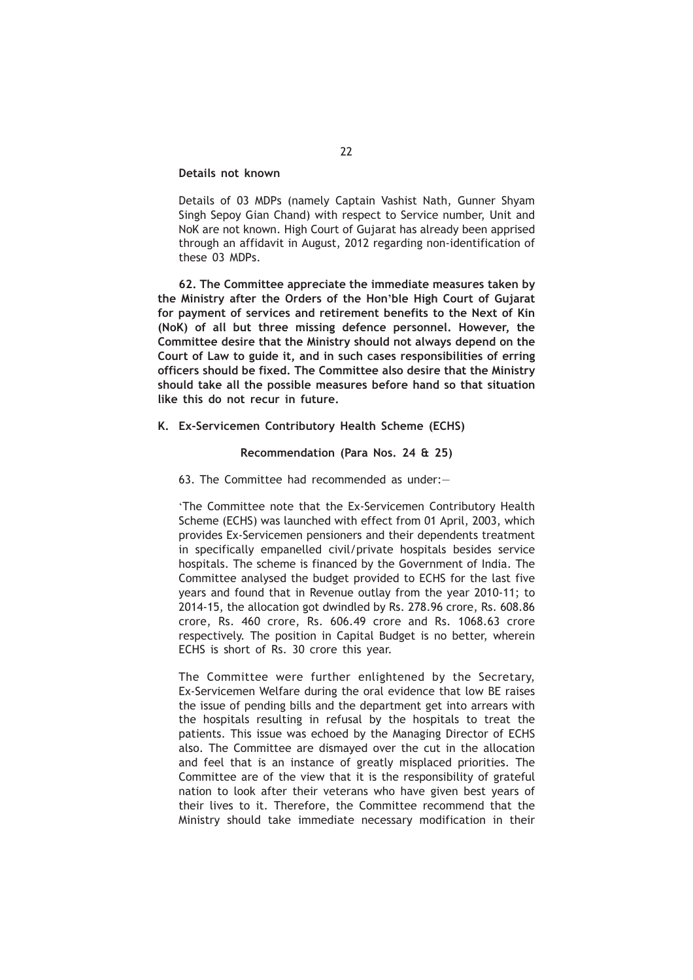# **Details not known**

Details of 03 MDPs (namely Captain Vashist Nath, Gunner Shyam Singh Sepoy Gian Chand) with respect to Service number, Unit and NoK are not known. High Court of Gujarat has already been apprised through an affidavit in August, 2012 regarding non-identification of these 03 MDPs.

**62. The Committee appreciate the immediate measures taken by the Ministry after the Orders of the Hon'ble High Court of Gujarat for payment of services and retirement benefits to the Next of Kin (NoK) of all but three missing defence personnel. However, the Committee desire that the Ministry should not always depend on the Court of Law to guide it, and in such cases responsibilities of erring officers should be fixed. The Committee also desire that the Ministry should take all the possible measures before hand so that situation like this do not recur in future.**

# **K. Ex-Servicemen Contributory Health Scheme (ECHS)**

## **Recommendation (Para Nos. 24 & 25)**

# 63. The Committee had recommended as under:—

'The Committee note that the Ex-Servicemen Contributory Health Scheme (ECHS) was launched with effect from 01 April, 2003, which provides Ex-Servicemen pensioners and their dependents treatment in specifically empanelled civil/private hospitals besides service hospitals. The scheme is financed by the Government of India. The Committee analysed the budget provided to ECHS for the last five years and found that in Revenue outlay from the year 2010-11; to 2014-15, the allocation got dwindled by Rs. 278.96 crore, Rs. 608.86 crore, Rs. 460 crore, Rs. 606.49 crore and Rs. 1068.63 crore respectively. The position in Capital Budget is no better, wherein ECHS is short of Rs. 30 crore this year.

The Committee were further enlightened by the Secretary, Ex-Servicemen Welfare during the oral evidence that low BE raises the issue of pending bills and the department get into arrears with the hospitals resulting in refusal by the hospitals to treat the patients. This issue was echoed by the Managing Director of ECHS also. The Committee are dismayed over the cut in the allocation and feel that is an instance of greatly misplaced priorities. The Committee are of the view that it is the responsibility of grateful nation to look after their veterans who have given best years of their lives to it. Therefore, the Committee recommend that the Ministry should take immediate necessary modification in their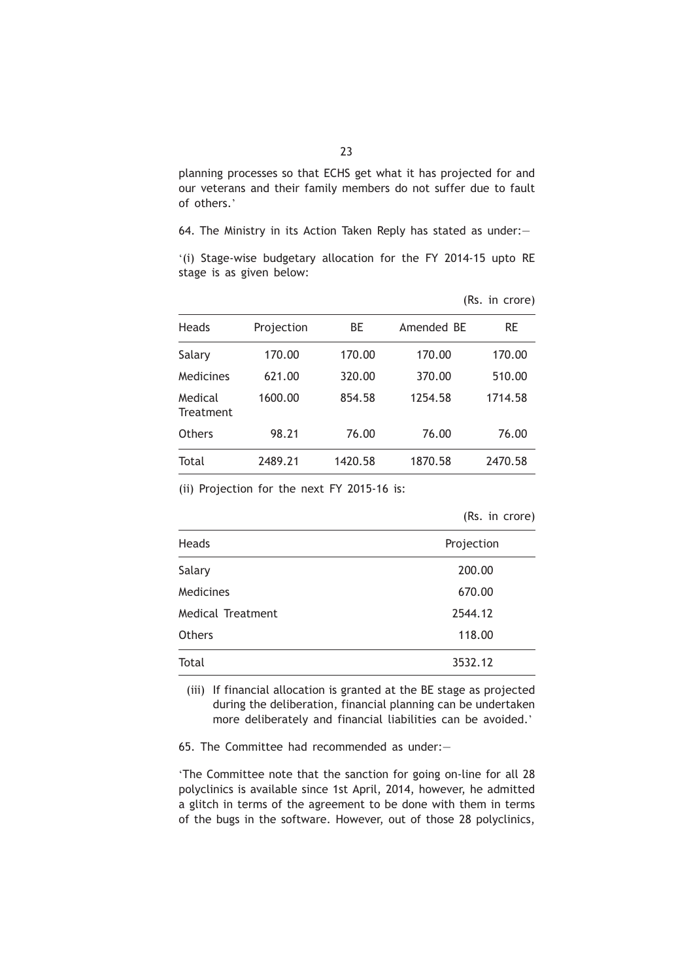planning processes so that ECHS get what it has projected for and our veterans and their family members do not suffer due to fault of others.'

64. The Ministry in its Action Taken Reply has stated as under:—

'(i) Stage-wise budgetary allocation for the FY 2014-15 upto RE stage is as given below:

|                      |            |         |            | (Rs. in crore) |
|----------------------|------------|---------|------------|----------------|
| Heads                | Projection | ВE      | Amended BE | RE             |
| Salary               | 170.00     | 170.00  | 170.00     | 170.00         |
| Medicines            | 621.00     | 320.00  | 370.00     | 510.00         |
| Medical<br>Treatment | 1600.00    | 854.58  | 1254.58    | 1714.58        |
| Others               | 98.21      | 76.00   | 76.00      | 76.00          |
| Total                | 2489.21    | 1420.58 | 1870.58    | 2470.58        |

(ii) Projection for the next FY 2015-16 is:

|  | (Rs. in crore) |
|--|----------------|
|  |                |
|  |                |
|  |                |

| Heads             | Projection |
|-------------------|------------|
| Salary            | 200.00     |
| Medicines         | 670.00     |
| Medical Treatment | 2544.12    |
| <b>Others</b>     | 118.00     |
| Total             | 3532.12    |

(iii) If financial allocation is granted at the BE stage as projected during the deliberation, financial planning can be undertaken more deliberately and financial liabilities can be avoided.'

65. The Committee had recommended as under:—

'The Committee note that the sanction for going on-line for all 28 polyclinics is available since 1st April, 2014, however, he admitted a glitch in terms of the agreement to be done with them in terms of the bugs in the software. However, out of those 28 polyclinics,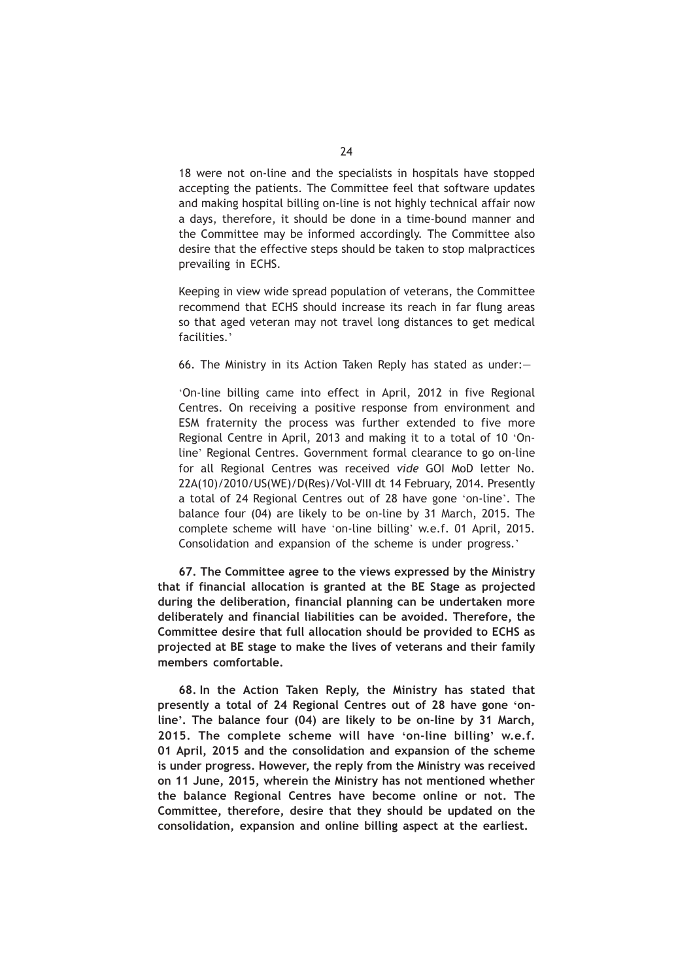18 were not on-line and the specialists in hospitals have stopped accepting the patients. The Committee feel that software updates and making hospital billing on-line is not highly technical affair now a days, therefore, it should be done in a time-bound manner and the Committee may be informed accordingly. The Committee also desire that the effective steps should be taken to stop malpractices prevailing in ECHS.

Keeping in view wide spread population of veterans, the Committee recommend that ECHS should increase its reach in far flung areas so that aged veteran may not travel long distances to get medical facilities.'

66. The Ministry in its Action Taken Reply has stated as under:—

'On-line billing came into effect in April, 2012 in five Regional Centres. On receiving a positive response from environment and ESM fraternity the process was further extended to five more Regional Centre in April, 2013 and making it to a total of 10 'Online' Regional Centres. Government formal clearance to go on-line for all Regional Centres was received *vide* GOI MoD letter No. 22A(10)/2010/US(WE)/D(Res)/Vol-VIII dt 14 February, 2014. Presently a total of 24 Regional Centres out of 28 have gone 'on-line'. The balance four (04) are likely to be on-line by 31 March, 2015. The complete scheme will have 'on-line billing' w.e.f. 01 April, 2015. Consolidation and expansion of the scheme is under progress.'

**67. The Committee agree to the views expressed by the Ministry that if financial allocation is granted at the BE Stage as projected during the deliberation, financial planning can be undertaken more deliberately and financial liabilities can be avoided. Therefore, the Committee desire that full allocation should be provided to ECHS as projected at BE stage to make the lives of veterans and their family members comfortable.**

**68. In the Action Taken Reply, the Ministry has stated that presently a total of 24 Regional Centres out of 28 have gone 'online'. The balance four (04) are likely to be on-line by 31 March, 2015. The complete scheme will have 'on-line billing' w.e.f. 01 April, 2015 and the consolidation and expansion of the scheme is under progress. However, the reply from the Ministry was received on 11 June, 2015, wherein the Ministry has not mentioned whether the balance Regional Centres have become online or not. The Committee, therefore, desire that they should be updated on the consolidation, expansion and online billing aspect at the earliest.**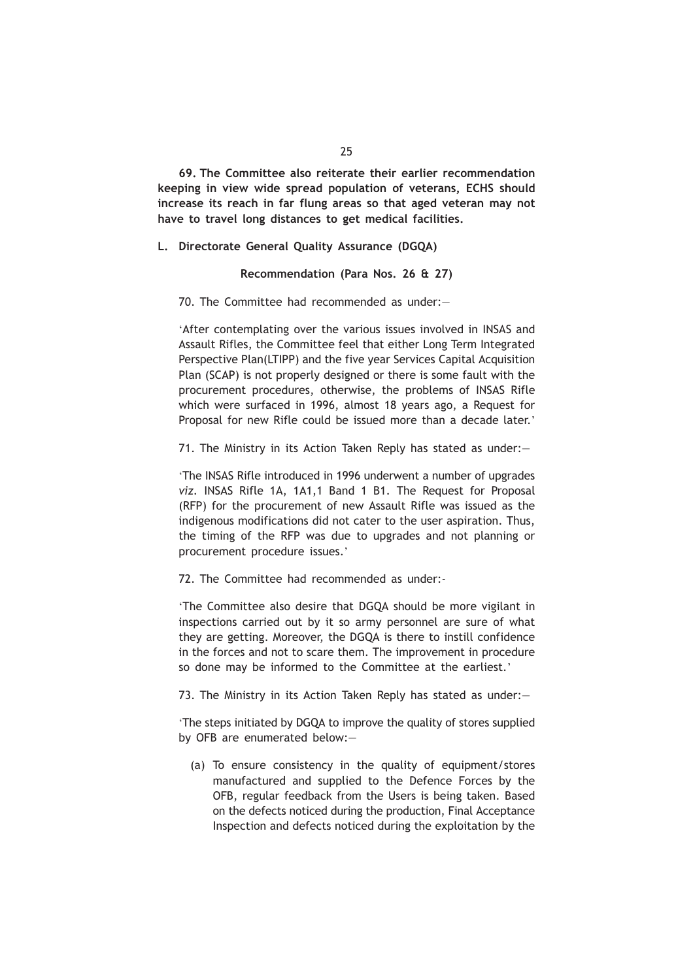**69. The Committee also reiterate their earlier recommendation keeping in view wide spread population of veterans, ECHS should increase its reach in far flung areas so that aged veteran may not have to travel long distances to get medical facilities.**

**L. Directorate General Quality Assurance (DGQA)**

**Recommendation (Para Nos. 26 & 27)**

70. The Committee had recommended as under:—

'After contemplating over the various issues involved in INSAS and Assault Rifles, the Committee feel that either Long Term Integrated Perspective Plan(LTIPP) and the five year Services Capital Acquisition Plan (SCAP) is not properly designed or there is some fault with the procurement procedures, otherwise, the problems of INSAS Rifle which were surfaced in 1996, almost 18 years ago, a Request for Proposal for new Rifle could be issued more than a decade later.'

71. The Ministry in its Action Taken Reply has stated as under:—

'The INSAS Rifle introduced in 1996 underwent a number of upgrades *viz.* INSAS Rifle 1A, 1A1,1 Band 1 B1. The Request for Proposal (RFP) for the procurement of new Assault Rifle was issued as the indigenous modifications did not cater to the user aspiration. Thus, the timing of the RFP was due to upgrades and not planning or procurement procedure issues.'

72. The Committee had recommended as under:-

'The Committee also desire that DGQA should be more vigilant in inspections carried out by it so army personnel are sure of what they are getting. Moreover, the DGQA is there to instill confidence in the forces and not to scare them. The improvement in procedure so done may be informed to the Committee at the earliest.'

73. The Ministry in its Action Taken Reply has stated as under:—

'The steps initiated by DGQA to improve the quality of stores supplied by OFB are enumerated below:—

(a) To ensure consistency in the quality of equipment/stores manufactured and supplied to the Defence Forces by the OFB, regular feedback from the Users is being taken. Based on the defects noticed during the production, Final Acceptance Inspection and defects noticed during the exploitation by the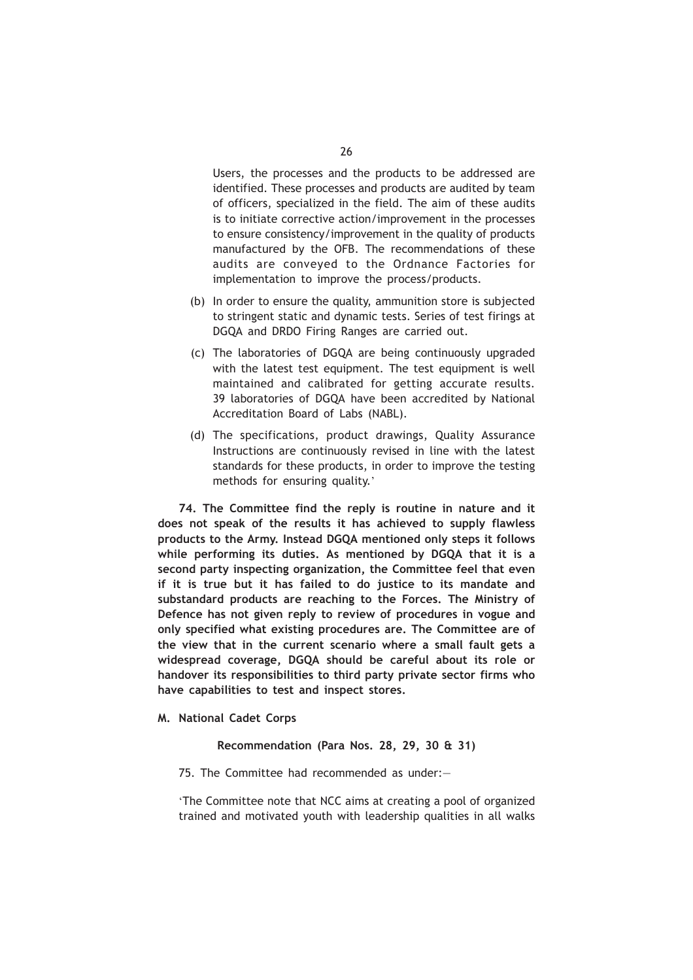Users, the processes and the products to be addressed are identified. These processes and products are audited by team of officers, specialized in the field. The aim of these audits is to initiate corrective action/improvement in the processes to ensure consistency/improvement in the quality of products manufactured by the OFB. The recommendations of these audits are conveyed to the Ordnance Factories for implementation to improve the process/products.

- (b) In order to ensure the quality, ammunition store is subjected to stringent static and dynamic tests. Series of test firings at DGQA and DRDO Firing Ranges are carried out.
- (c) The laboratories of DGQA are being continuously upgraded with the latest test equipment. The test equipment is well maintained and calibrated for getting accurate results. 39 laboratories of DGQA have been accredited by National Accreditation Board of Labs (NABL).
- (d) The specifications, product drawings, Quality Assurance Instructions are continuously revised in line with the latest standards for these products, in order to improve the testing methods for ensuring quality.'

**74. The Committee find the reply is routine in nature and it does not speak of the results it has achieved to supply flawless products to the Army. Instead DGQA mentioned only steps it follows while performing its duties. As mentioned by DGQA that it is a second party inspecting organization, the Committee feel that even if it is true but it has failed to do justice to its mandate and substandard products are reaching to the Forces. The Ministry of Defence has not given reply to review of procedures in vogue and only specified what existing procedures are. The Committee are of the view that in the current scenario where a small fault gets a widespread coverage, DGQA should be careful about its role or handover its responsibilities to third party private sector firms who have capabilities to test and inspect stores.**

**M. National Cadet Corps**

**Recommendation (Para Nos. 28, 29, 30 & 31)**

75. The Committee had recommended as under:—

'The Committee note that NCC aims at creating a pool of organized trained and motivated youth with leadership qualities in all walks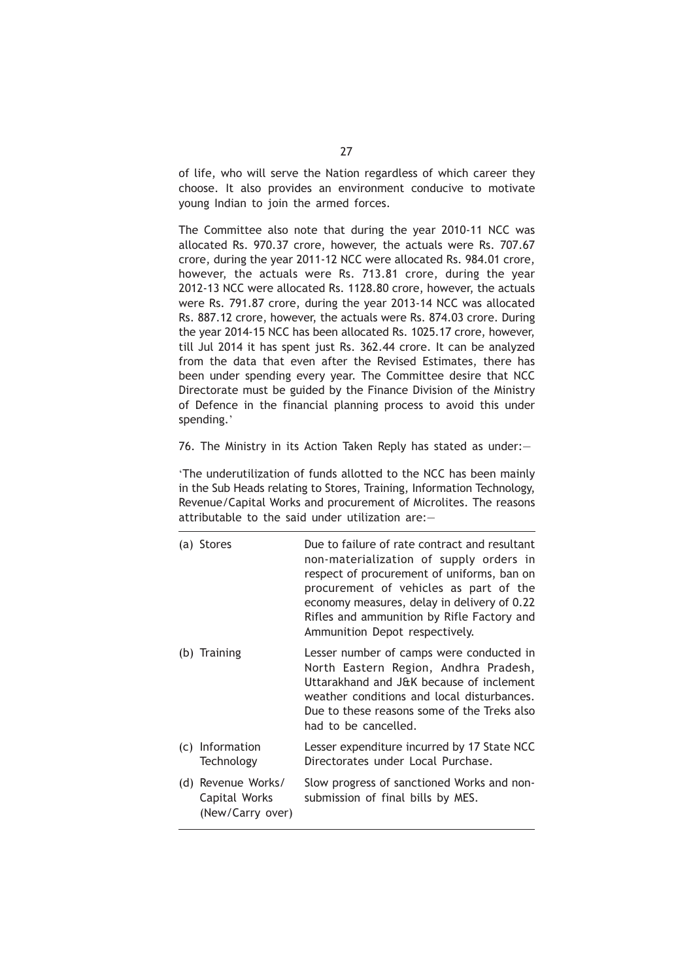of life, who will serve the Nation regardless of which career they choose. It also provides an environment conducive to motivate young Indian to join the armed forces.

The Committee also note that during the year 2010-11 NCC was allocated Rs. 970.37 crore, however, the actuals were Rs. 707.67 crore, during the year 2011-12 NCC were allocated Rs. 984.01 crore, however, the actuals were Rs. 713.81 crore, during the year 2012-13 NCC were allocated Rs. 1128.80 crore, however, the actuals were Rs. 791.87 crore, during the year 2013-14 NCC was allocated Rs. 887.12 crore, however, the actuals were Rs. 874.03 crore. During the year 2014-15 NCC has been allocated Rs. 1025.17 crore, however, till Jul 2014 it has spent just Rs. 362.44 crore. It can be analyzed from the data that even after the Revised Estimates, there has been under spending every year. The Committee desire that NCC Directorate must be guided by the Finance Division of the Ministry of Defence in the financial planning process to avoid this under spending.'

76. The Ministry in its Action Taken Reply has stated as under:—

'The underutilization of funds allotted to the NCC has been mainly in the Sub Heads relating to Stores, Training, Information Technology, Revenue/Capital Works and procurement of Microlites. The reasons attributable to the said under utilization are:—

| (a) Stores                                              | Due to failure of rate contract and resultant<br>non-materialization of supply orders in<br>respect of procurement of uniforms, ban on<br>procurement of vehicles as part of the<br>economy measures, delay in delivery of 0.22<br>Rifles and ammunition by Rifle Factory and<br>Ammunition Depot respectively. |
|---------------------------------------------------------|-----------------------------------------------------------------------------------------------------------------------------------------------------------------------------------------------------------------------------------------------------------------------------------------------------------------|
| (b) Training                                            | Lesser number of camps were conducted in<br>North Eastern Region, Andhra Pradesh,<br>Uttarakhand and J&K because of inclement<br>weather conditions and local disturbances.<br>Due to these reasons some of the Treks also<br>had to be cancelled.                                                              |
| (c) Information<br>Technology                           | Lesser expenditure incurred by 17 State NCC<br>Directorates under Local Purchase.                                                                                                                                                                                                                               |
| (d) Revenue Works/<br>Capital Works<br>(New/Carry over) | Slow progress of sanctioned Works and non-<br>submission of final bills by MES.                                                                                                                                                                                                                                 |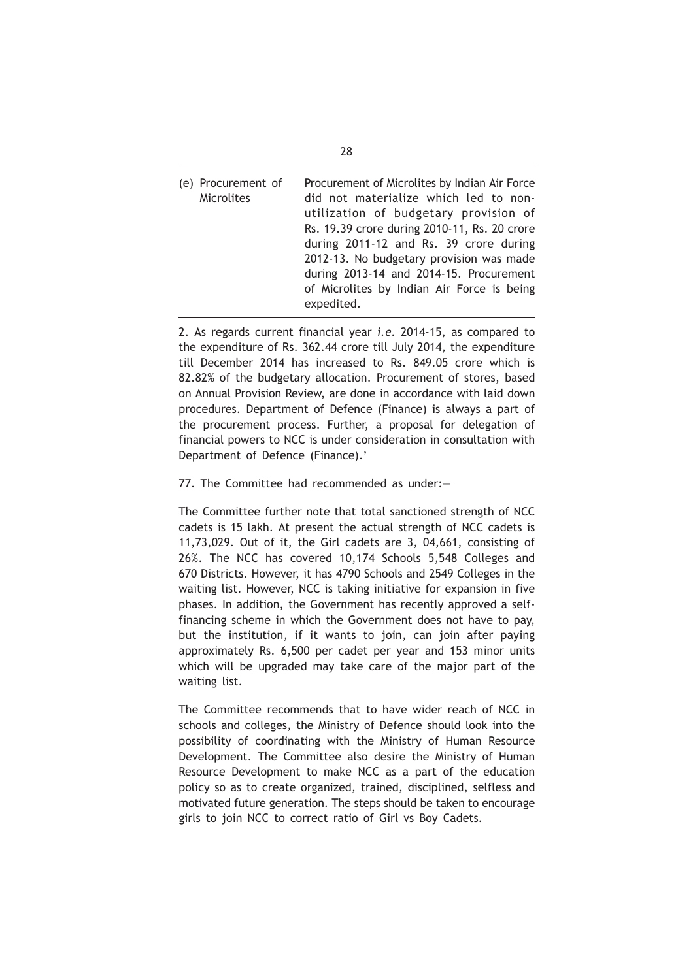(e) Procurement of Procurement of Microlites by Indian Air Force Microlites did not materialize which led to nonutilization of budgetary provision of Rs. 19.39 crore during 2010-11, Rs. 20 crore during 2011-12 and Rs. 39 crore during 2012-13. No budgetary provision was made during 2013-14 and 2014-15. Procurement of Microlites by Indian Air Force is being expedited.

2. As regards current financial year *i.e.* 2014-15, as compared to the expenditure of Rs. 362.44 crore till July 2014, the expenditure till December 2014 has increased to Rs. 849.05 crore which is 82.82% of the budgetary allocation. Procurement of stores, based on Annual Provision Review, are done in accordance with laid down procedures. Department of Defence (Finance) is always a part of the procurement process. Further, a proposal for delegation of financial powers to NCC is under consideration in consultation with Department of Defence (Finance).'

77. The Committee had recommended as under:—

The Committee further note that total sanctioned strength of NCC cadets is 15 lakh. At present the actual strength of NCC cadets is 11,73,029. Out of it, the Girl cadets are 3, 04,661, consisting of 26%. The NCC has covered 10,174 Schools 5,548 Colleges and 670 Districts. However, it has 4790 Schools and 2549 Colleges in the waiting list. However, NCC is taking initiative for expansion in five phases. In addition, the Government has recently approved a selffinancing scheme in which the Government does not have to pay, but the institution, if it wants to join, can join after paying approximately Rs. 6,500 per cadet per year and 153 minor units which will be upgraded may take care of the major part of the waiting list.

The Committee recommends that to have wider reach of NCC in schools and colleges, the Ministry of Defence should look into the possibility of coordinating with the Ministry of Human Resource Development. The Committee also desire the Ministry of Human Resource Development to make NCC as a part of the education policy so as to create organized, trained, disciplined, selfless and motivated future generation. The steps should be taken to encourage girls to join NCC to correct ratio of Girl vs Boy Cadets.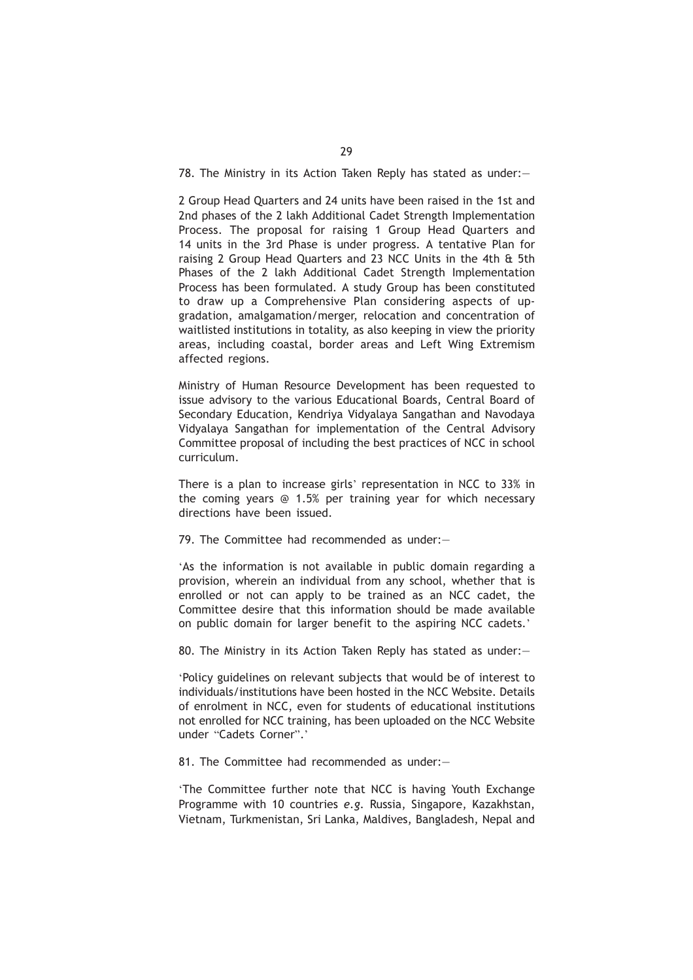78. The Ministry in its Action Taken Reply has stated as under:—

2 Group Head Quarters and 24 units have been raised in the 1st and 2nd phases of the 2 lakh Additional Cadet Strength Implementation Process. The proposal for raising 1 Group Head Quarters and 14 units in the 3rd Phase is under progress. A tentative Plan for raising 2 Group Head Quarters and 23 NCC Units in the 4th & 5th Phases of the 2 lakh Additional Cadet Strength Implementation Process has been formulated. A study Group has been constituted to draw up a Comprehensive Plan considering aspects of upgradation, amalgamation/merger, relocation and concentration of waitlisted institutions in totality, as also keeping in view the priority areas, including coastal, border areas and Left Wing Extremism affected regions.

Ministry of Human Resource Development has been requested to issue advisory to the various Educational Boards, Central Board of Secondary Education, Kendriya Vidyalaya Sangathan and Navodaya Vidyalaya Sangathan for implementation of the Central Advisory Committee proposal of including the best practices of NCC in school curriculum.

There is a plan to increase girls' representation in NCC to 33% in the coming years @ 1.5% per training year for which necessary directions have been issued.

79. The Committee had recommended as under:—

'As the information is not available in public domain regarding a provision, wherein an individual from any school, whether that is enrolled or not can apply to be trained as an NCC cadet, the Committee desire that this information should be made available on public domain for larger benefit to the aspiring NCC cadets.'

80. The Ministry in its Action Taken Reply has stated as under:—

'Policy guidelines on relevant subjects that would be of interest to individuals/institutions have been hosted in the NCC Website. Details of enrolment in NCC, even for students of educational institutions not enrolled for NCC training, has been uploaded on the NCC Website under "Cadets Corner".'

81. The Committee had recommended as under:—

'The Committee further note that NCC is having Youth Exchange Programme with 10 countries *e.g.* Russia, Singapore, Kazakhstan, Vietnam, Turkmenistan, Sri Lanka, Maldives, Bangladesh, Nepal and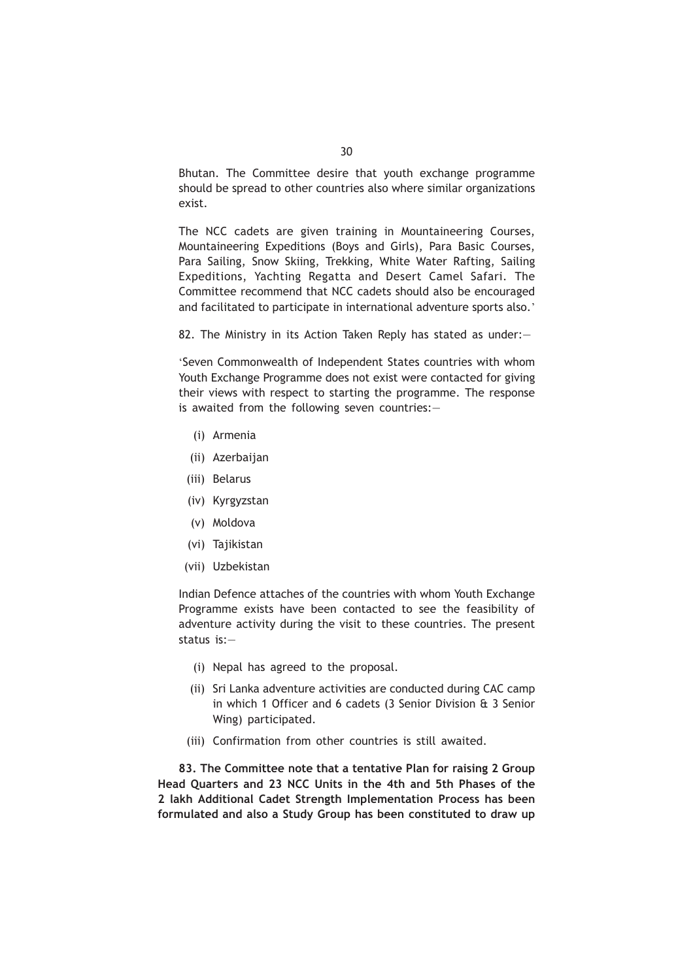Bhutan. The Committee desire that youth exchange programme should be spread to other countries also where similar organizations exist.

The NCC cadets are given training in Mountaineering Courses, Mountaineering Expeditions (Boys and Girls), Para Basic Courses, Para Sailing, Snow Skiing, Trekking, White Water Rafting, Sailing Expeditions, Yachting Regatta and Desert Camel Safari. The Committee recommend that NCC cadets should also be encouraged and facilitated to participate in international adventure sports also.'

82. The Ministry in its Action Taken Reply has stated as under:—

'Seven Commonwealth of Independent States countries with whom Youth Exchange Programme does not exist were contacted for giving their views with respect to starting the programme. The response is awaited from the following seven countries:—

- (i) Armenia
- (ii) Azerbaijan
- (iii) Belarus
- (iv) Kyrgyzstan
- (v) Moldova
- (vi) Tajikistan
- (vii) Uzbekistan

Indian Defence attaches of the countries with whom Youth Exchange Programme exists have been contacted to see the feasibility of adventure activity during the visit to these countries. The present status is:—

- (i) Nepal has agreed to the proposal.
- (ii) Sri Lanka adventure activities are conducted during CAC camp in which 1 Officer and 6 cadets (3 Senior Division & 3 Senior Wing) participated.
- (iii) Confirmation from other countries is still awaited.

**83. The Committee note that a tentative Plan for raising 2 Group Head Quarters and 23 NCC Units in the 4th and 5th Phases of the 2 lakh Additional Cadet Strength Implementation Process has been formulated and also a Study Group has been constituted to draw up**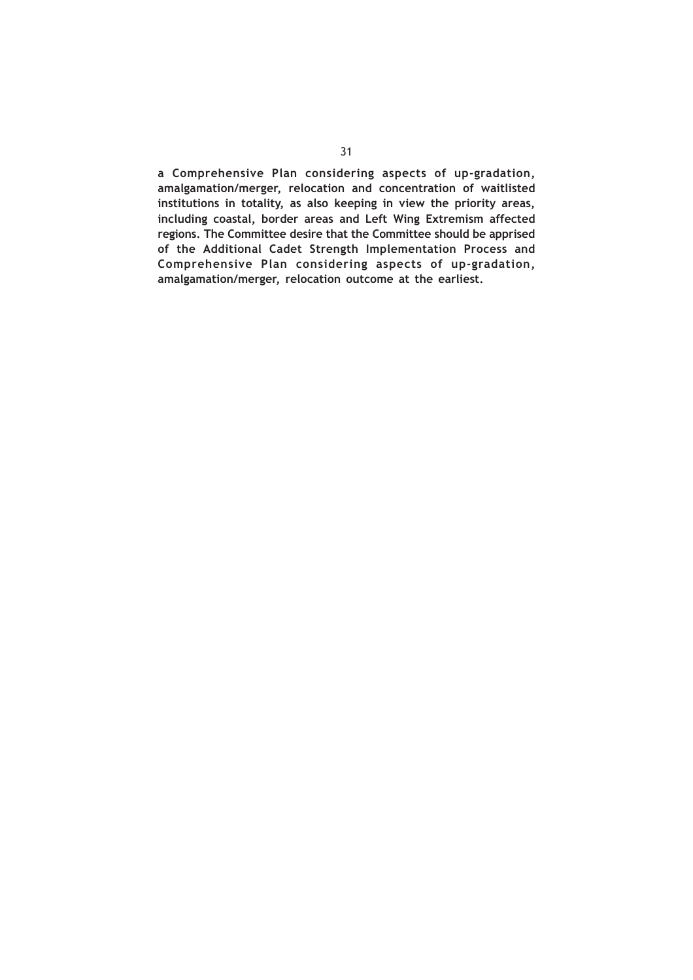**a Comprehensive Plan considering aspects of up-gradation, amalgamation/merger, relocation and concentration of waitlisted institutions in totality, as also keeping in view the priority areas, including coastal, border areas and Left Wing Extremism affected regions. The Committee desire that the Committee should be apprised of the Additional Cadet Strength Implementation Process and Comprehensive Plan considering aspects of up-gradation, amalgamation/merger, relocation outcome at the earliest.**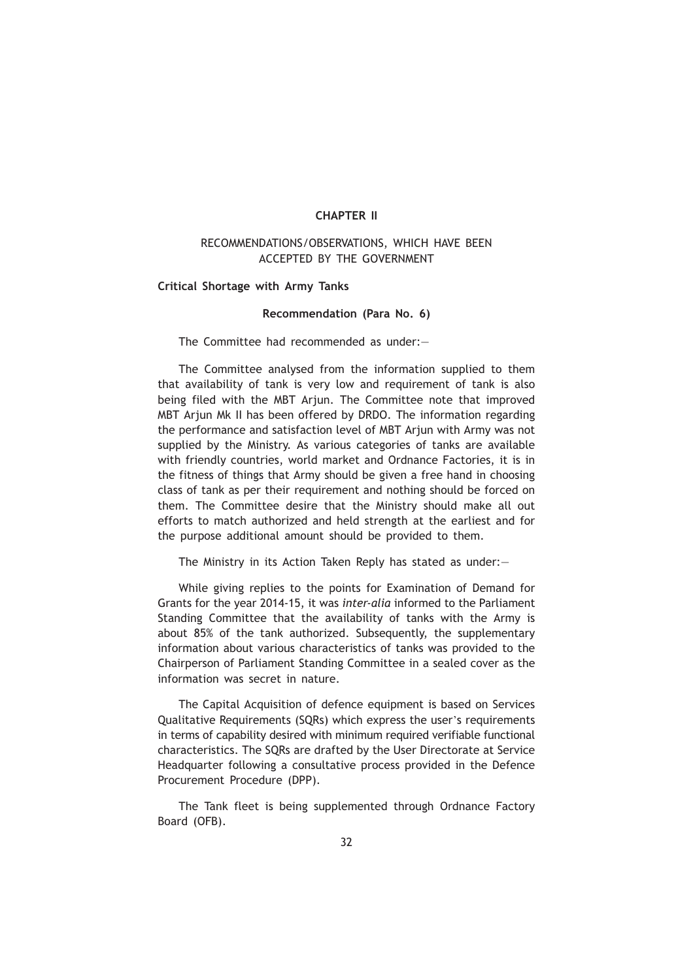## **CHAPTER II**

# RECOMMENDATIONS/OBSERVATIONS, WHICH HAVE BEEN ACCEPTED BY THE GOVERNMENT

**Critical Shortage with Army Tanks**

### **Recommendation (Para No. 6)**

The Committee had recommended as under:—

The Committee analysed from the information supplied to them that availability of tank is very low and requirement of tank is also being filed with the MBT Arjun. The Committee note that improved MBT Arjun Mk II has been offered by DRDO. The information regarding the performance and satisfaction level of MBT Arjun with Army was not supplied by the Ministry. As various categories of tanks are available with friendly countries, world market and Ordnance Factories, it is in the fitness of things that Army should be given a free hand in choosing class of tank as per their requirement and nothing should be forced on them. The Committee desire that the Ministry should make all out efforts to match authorized and held strength at the earliest and for the purpose additional amount should be provided to them.

The Ministry in its Action Taken Reply has stated as under:—

While giving replies to the points for Examination of Demand for Grants for the year 2014-15, it was *inter-alia* informed to the Parliament Standing Committee that the availability of tanks with the Army is about 85% of the tank authorized. Subsequently, the supplementary information about various characteristics of tanks was provided to the Chairperson of Parliament Standing Committee in a sealed cover as the information was secret in nature.

The Capital Acquisition of defence equipment is based on Services Qualitative Requirements (SQRs) which express the user's requirements in terms of capability desired with minimum required verifiable functional characteristics. The SQRs are drafted by the User Directorate at Service Headquarter following a consultative process provided in the Defence Procurement Procedure (DPP).

The Tank fleet is being supplemented through Ordnance Factory Board (OFB).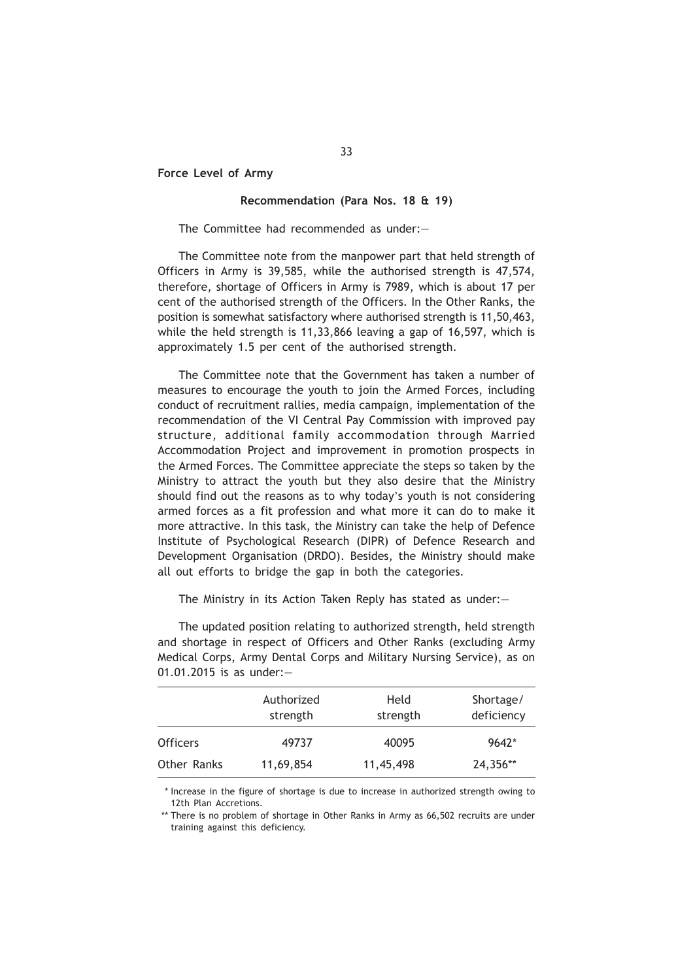**Force Level of Army**

#### **Recommendation (Para Nos. 18 & 19)**

The Committee had recommended as under:—

The Committee note from the manpower part that held strength of Officers in Army is 39,585, while the authorised strength is 47,574, therefore, shortage of Officers in Army is 7989, which is about 17 per cent of the authorised strength of the Officers. In the Other Ranks, the position is somewhat satisfactory where authorised strength is 11,50,463, while the held strength is 11,33,866 leaving a gap of 16,597, which is approximately 1.5 per cent of the authorised strength.

The Committee note that the Government has taken a number of measures to encourage the youth to join the Armed Forces, including conduct of recruitment rallies, media campaign, implementation of the recommendation of the VI Central Pay Commission with improved pay structure, additional family accommodation through Married Accommodation Project and improvement in promotion prospects in the Armed Forces. The Committee appreciate the steps so taken by the Ministry to attract the youth but they also desire that the Ministry should find out the reasons as to why today's youth is not considering armed forces as a fit profession and what more it can do to make it more attractive. In this task, the Ministry can take the help of Defence Institute of Psychological Research (DIPR) of Defence Research and Development Organisation (DRDO). Besides, the Ministry should make all out efforts to bridge the gap in both the categories.

The Ministry in its Action Taken Reply has stated as under:—

The updated position relating to authorized strength, held strength and shortage in respect of Officers and Other Ranks (excluding Army Medical Corps, Army Dental Corps and Military Nursing Service), as on 01.01.2015 is as under:—

|                 | Authorized<br>strength | Held<br>strength | Shortage/<br>deficiency |
|-----------------|------------------------|------------------|-------------------------|
| <b>Officers</b> | 49737                  | 40095            | $9642*$                 |
| Other Ranks     | 11,69,854              | 11,45,498        | 24,356**                |

\* Increase in the figure of shortage is due to increase in authorized strength owing to 12th Plan Accretions.

<sup>\*\*</sup> There is no problem of shortage in Other Ranks in Army as 66,502 recruits are under training against this deficiency.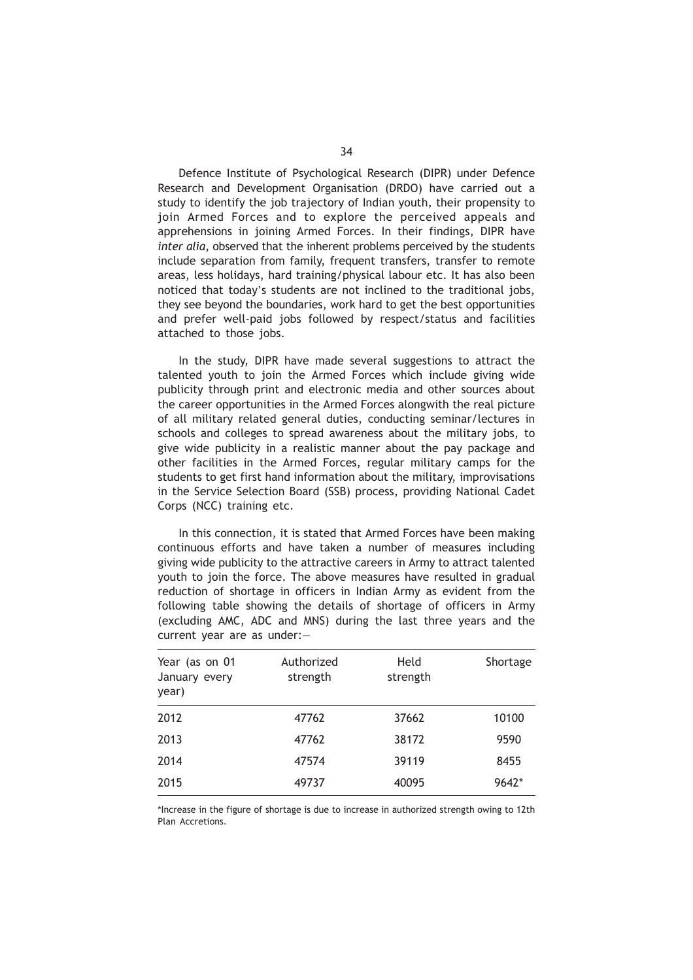Defence Institute of Psychological Research (DIPR) under Defence Research and Development Organisation (DRDO) have carried out a study to identify the job trajectory of Indian youth, their propensity to join Armed Forces and to explore the perceived appeals and apprehensions in joining Armed Forces. In their findings, DIPR have *inter alia,* observed that the inherent problems perceived by the students include separation from family, frequent transfers, transfer to remote areas, less holidays, hard training/physical labour etc. It has also been noticed that today's students are not inclined to the traditional jobs, they see beyond the boundaries, work hard to get the best opportunities and prefer well-paid jobs followed by respect/status and facilities attached to those jobs.

In the study, DIPR have made several suggestions to attract the talented youth to join the Armed Forces which include giving wide publicity through print and electronic media and other sources about the career opportunities in the Armed Forces alongwith the real picture of all military related general duties, conducting seminar/lectures in schools and colleges to spread awareness about the military jobs, to give wide publicity in a realistic manner about the pay package and other facilities in the Armed Forces, regular military camps for the students to get first hand information about the military, improvisations in the Service Selection Board (SSB) process, providing National Cadet Corps (NCC) training etc.

In this connection, it is stated that Armed Forces have been making continuous efforts and have taken a number of measures including giving wide publicity to the attractive careers in Army to attract talented youth to join the force. The above measures have resulted in gradual reduction of shortage in officers in Indian Army as evident from the following table showing the details of shortage of officers in Army (excluding AMC, ADC and MNS) during the last three years and the current year are as under:—

| Year (as on 01<br>January every<br>year) | Authorized<br>strength | Held<br>strength | Shortage |
|------------------------------------------|------------------------|------------------|----------|
| 2012                                     | 47762                  | 37662            | 10100    |
| 2013                                     | 47762                  | 38172            | 9590     |
| 2014                                     | 47574                  | 39119            | 8455     |
| 2015                                     | 49737                  | 40095            | 9642*    |

\*Increase in the figure of shortage is due to increase in authorized strength owing to 12th Plan Accretions.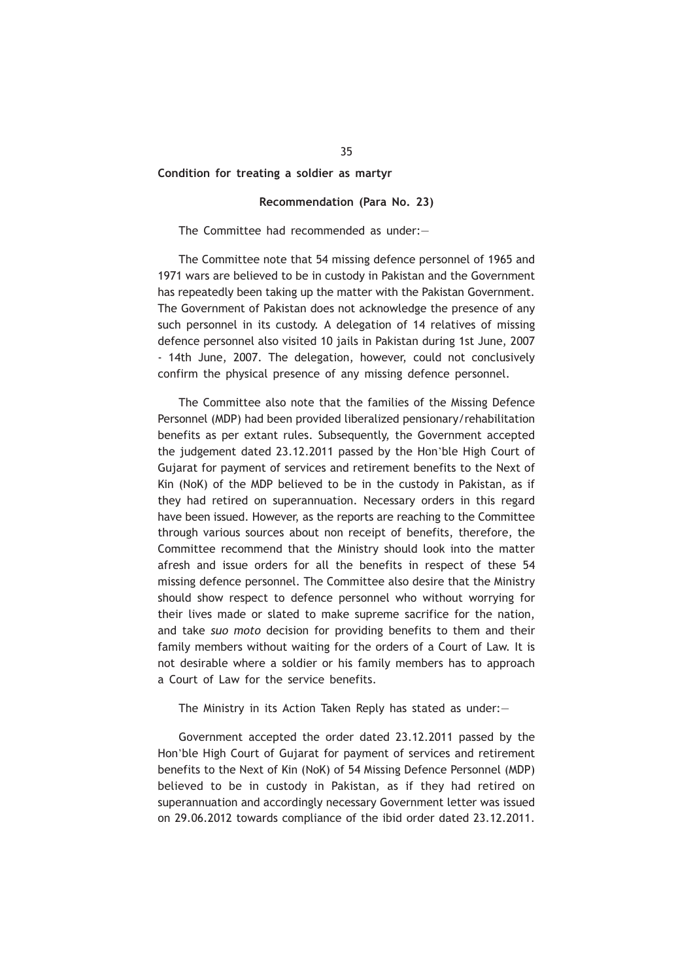#### **Condition for treating a soldier as martyr**

### **Recommendation (Para No. 23)**

#### The Committee had recommended as under:—

The Committee note that 54 missing defence personnel of 1965 and 1971 wars are believed to be in custody in Pakistan and the Government has repeatedly been taking up the matter with the Pakistan Government. The Government of Pakistan does not acknowledge the presence of any such personnel in its custody. A delegation of 14 relatives of missing defence personnel also visited 10 jails in Pakistan during 1st June, 2007 - 14th June, 2007. The delegation, however, could not conclusively confirm the physical presence of any missing defence personnel.

The Committee also note that the families of the Missing Defence Personnel (MDP) had been provided liberalized pensionary/rehabilitation benefits as per extant rules. Subsequently, the Government accepted the judgement dated 23.12.2011 passed by the Hon'ble High Court of Gujarat for payment of services and retirement benefits to the Next of Kin (NoK) of the MDP believed to be in the custody in Pakistan, as if they had retired on superannuation. Necessary orders in this regard have been issued. However, as the reports are reaching to the Committee through various sources about non receipt of benefits, therefore, the Committee recommend that the Ministry should look into the matter afresh and issue orders for all the benefits in respect of these 54 missing defence personnel. The Committee also desire that the Ministry should show respect to defence personnel who without worrying for their lives made or slated to make supreme sacrifice for the nation, and take *suo moto* decision for providing benefits to them and their family members without waiting for the orders of a Court of Law. It is not desirable where a soldier or his family members has to approach a Court of Law for the service benefits.

The Ministry in its Action Taken Reply has stated as under:—

Government accepted the order dated 23.12.2011 passed by the Hon'ble High Court of Gujarat for payment of services and retirement benefits to the Next of Kin (NoK) of 54 Missing Defence Personnel (MDP) believed to be in custody in Pakistan, as if they had retired on superannuation and accordingly necessary Government letter was issued on 29.06.2012 towards compliance of the ibid order dated 23.12.2011.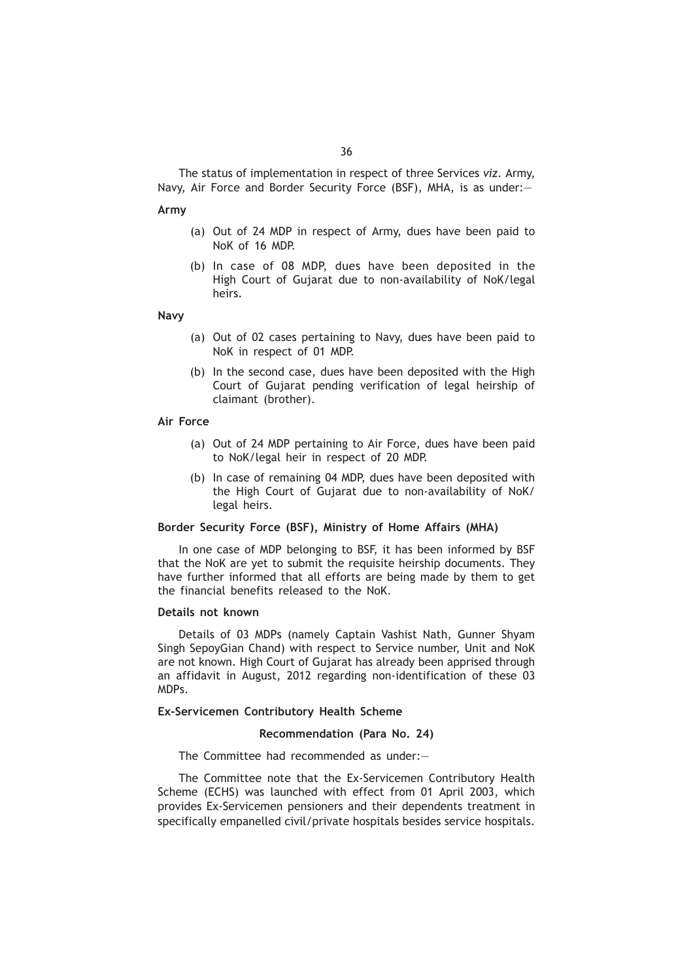The status of implementation in respect of three Services *viz.* Army, Navy, Air Force and Border Security Force (BSF), MHA, is as under:—

#### **Army**

- (a) Out of 24 MDP in respect of Army, dues have been paid to NoK of 16 MDP.
- (b) In case of 08 MDP, dues have been deposited in the High Court of Gujarat due to non-availability of NoK/legal heirs.

#### **Navy**

- (a) Out of 02 cases pertaining to Navy, dues have been paid to NoK in respect of 01 MDP.
- (b) In the second case, dues have been deposited with the High Court of Gujarat pending verification of legal heirship of claimant (brother).

### **Air Force**

- (a) Out of 24 MDP pertaining to Air Force, dues have been paid to NoK/legal heir in respect of 20 MDP.
- (b) In case of remaining 04 MDP, dues have been deposited with the High Court of Gujarat due to non-availability of NoK/ legal heirs.

# **Border Security Force (BSF), Ministry of Home Affairs (MHA)**

In one case of MDP belonging to BSF, it has been informed by BSF that the NoK are yet to submit the requisite heirship documents. They have further informed that all efforts are being made by them to get the financial benefits released to the NoK.

### **Details not known**

Details of 03 MDPs (namely Captain Vashist Nath, Gunner Shyam Singh SepoyGian Chand) with respect to Service number, Unit and NoK are not known. High Court of Gujarat has already been apprised through an affidavit in August, 2012 regarding non-identification of these 03 MDPs.

#### **Ex-Servicemen Contributory Health Scheme**

### **Recommendation (Para No. 24)**

The Committee had recommended as under:—

The Committee note that the Ex-Servicemen Contributory Health Scheme (ECHS) was launched with effect from 01 April 2003, which provides Ex-Servicemen pensioners and their dependents treatment in specifically empanelled civil/private hospitals besides service hospitals.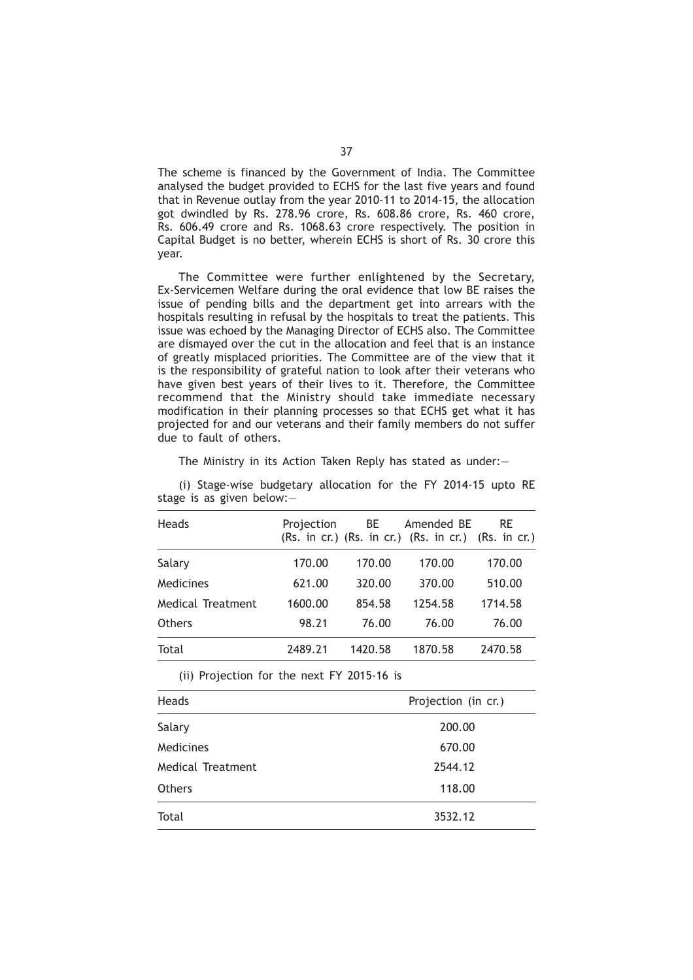The scheme is financed by the Government of India. The Committee analysed the budget provided to ECHS for the last five years and found that in Revenue outlay from the year 2010-11 to 2014-15, the allocation got dwindled by Rs. 278.96 crore, Rs. 608.86 crore, Rs. 460 crore, Rs. 606.49 crore and Rs. 1068.63 crore respectively. The position in Capital Budget is no better, wherein ECHS is short of Rs. 30 crore this year.

The Committee were further enlightened by the Secretary, Ex-Servicemen Welfare during the oral evidence that low BE raises the issue of pending bills and the department get into arrears with the hospitals resulting in refusal by the hospitals to treat the patients. This issue was echoed by the Managing Director of ECHS also. The Committee are dismayed over the cut in the allocation and feel that is an instance of greatly misplaced priorities. The Committee are of the view that it is the responsibility of grateful nation to look after their veterans who have given best years of their lives to it. Therefore, the Committee recommend that the Ministry should take immediate necessary modification in their planning processes so that ECHS get what it has projected for and our veterans and their family members do not suffer due to fault of others.

The Ministry in its Action Taken Reply has stated as under:—

| Heads             | Projection | BE      | Amended BE<br>$(Rs. in cr.)$ $(Rs. in cr.)$ $(Rs. in cr.)$ $(Rs. in cr.)$ | <b>RE</b> |
|-------------------|------------|---------|---------------------------------------------------------------------------|-----------|
| Salary            | 170.00     | 170.00  | 170.00                                                                    | 170.00    |
| Medicines         | 621.00     | 320.00  | 370.00                                                                    | 510.00    |
| Medical Treatment | 1600.00    | 854.58  | 1254.58                                                                   | 1714.58   |
| <b>Others</b>     | 98.21      | 76.00   | 76.00                                                                     | 76.00     |
| Total             | 2489.21    | 1420.58 | 1870.58                                                                   | 2470.58   |

(i) Stage-wise budgetary allocation for the FY 2014-15 upto RE stage is as given below:—

(ii) Projection for the next FY 2015-16 is

| <b>Heads</b>      | Projection (in cr.) |
|-------------------|---------------------|
| Salary            | 200.00              |
| Medicines         | 670.00              |
| Medical Treatment | 2544.12             |
| <b>Others</b>     | 118.00              |
| Total             | 3532.12             |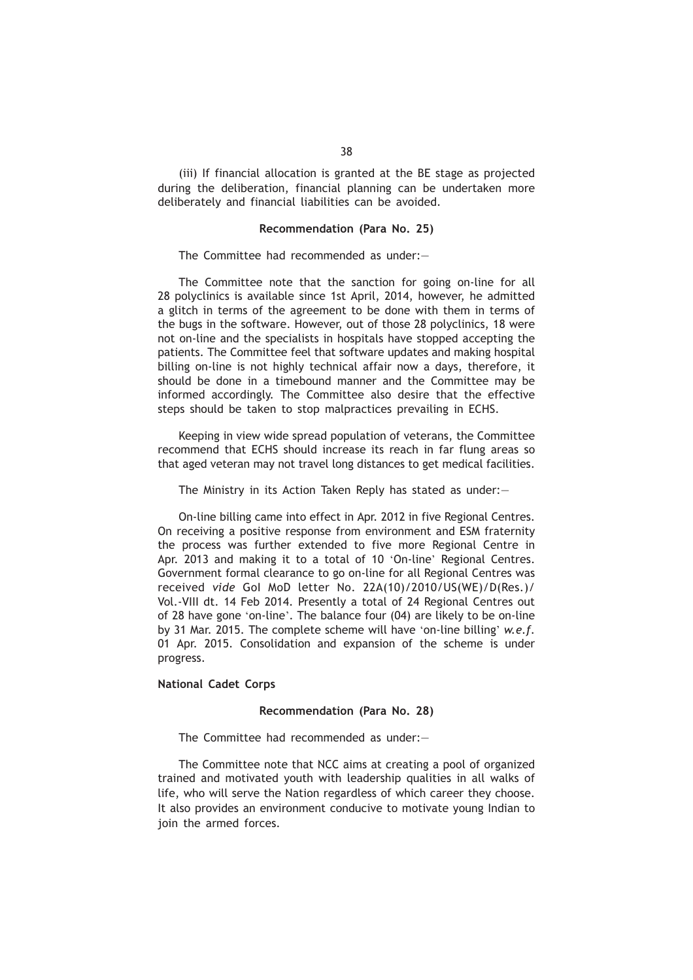(iii) If financial allocation is granted at the BE stage as projected during the deliberation, financial planning can be undertaken more deliberately and financial liabilities can be avoided.

## **Recommendation (Para No. 25)**

The Committee had recommended as under:—

The Committee note that the sanction for going on-line for all 28 polyclinics is available since 1st April, 2014, however, he admitted a glitch in terms of the agreement to be done with them in terms of the bugs in the software. However, out of those 28 polyclinics, 18 were not on-line and the specialists in hospitals have stopped accepting the patients. The Committee feel that software updates and making hospital billing on-line is not highly technical affair now a days, therefore, it should be done in a timebound manner and the Committee may be informed accordingly. The Committee also desire that the effective steps should be taken to stop malpractices prevailing in ECHS.

Keeping in view wide spread population of veterans, the Committee recommend that ECHS should increase its reach in far flung areas so that aged veteran may not travel long distances to get medical facilities.

The Ministry in its Action Taken Reply has stated as under:—

On-line billing came into effect in Apr. 2012 in five Regional Centres. On receiving a positive response from environment and ESM fraternity the process was further extended to five more Regional Centre in Apr. 2013 and making it to a total of 10 'On-line' Regional Centres. Government formal clearance to go on-line for all Regional Centres was received *vide* GoI MoD letter No. 22A(10)/2010/US(WE)/D(Res.)/ Vol.-VIII dt. 14 Feb 2014. Presently a total of 24 Regional Centres out of 28 have gone 'on-line'. The balance four (04) are likely to be on-line by 31 Mar. 2015. The complete scheme will have 'on-line billing' *w.e.f.* 01 Apr. 2015. Consolidation and expansion of the scheme is under progress.

# **National Cadet Corps**

### **Recommendation (Para No. 28)**

The Committee had recommended as under:—

The Committee note that NCC aims at creating a pool of organized trained and motivated youth with leadership qualities in all walks of life, who will serve the Nation regardless of which career they choose. It also provides an environment conducive to motivate young Indian to join the armed forces.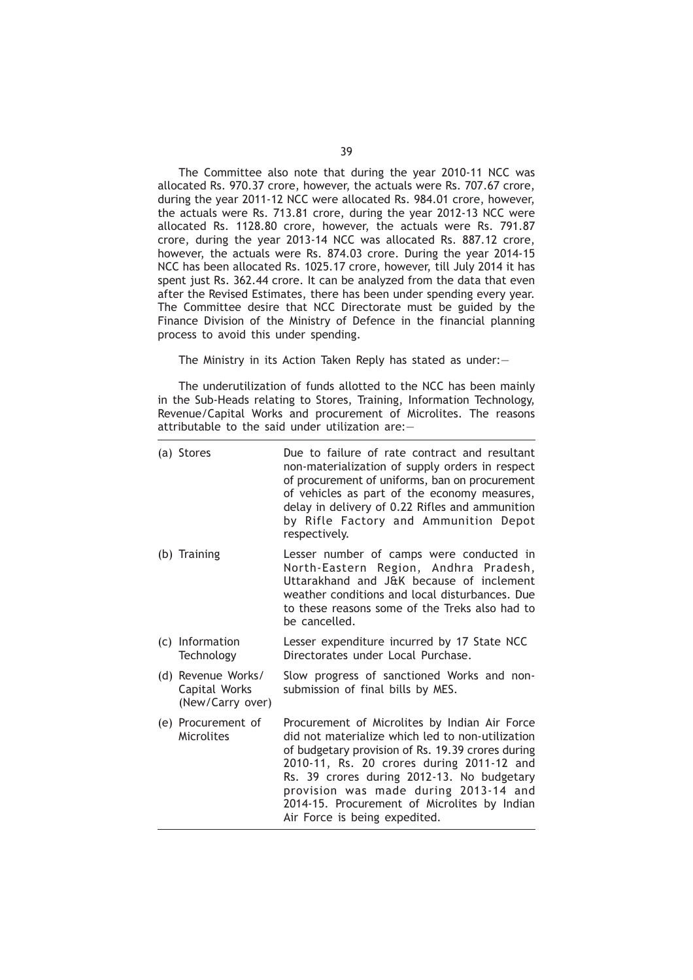The Committee also note that during the year 2010-11 NCC was allocated Rs. 970.37 crore, however, the actuals were Rs. 707.67 crore, during the year 2011-12 NCC were allocated Rs. 984.01 crore, however, the actuals were Rs. 713.81 crore, during the year 2012-13 NCC were allocated Rs. 1128.80 crore, however, the actuals were Rs. 791.87 crore, during the year 2013-14 NCC was allocated Rs. 887.12 crore, however, the actuals were Rs. 874.03 crore. During the year 2014-15 NCC has been allocated Rs. 1025.17 crore, however, till July 2014 it has spent just Rs. 362.44 crore. It can be analyzed from the data that even after the Revised Estimates, there has been under spending every year. The Committee desire that NCC Directorate must be guided by the Finance Division of the Ministry of Defence in the financial planning process to avoid this under spending.

The Ministry in its Action Taken Reply has stated as under:—

The underutilization of funds allotted to the NCC has been mainly in the Sub-Heads relating to Stores, Training, Information Technology, Revenue/Capital Works and procurement of Microlites. The reasons attributable to the said under utilization are:—

| (a) Stores                                              | Due to failure of rate contract and resultant<br>non-materialization of supply orders in respect<br>of procurement of uniforms, ban on procurement<br>of vehicles as part of the economy measures,<br>delay in delivery of 0.22 Rifles and ammunition<br>by Rifle Factory and Ammunition Depot<br>respectively.                                                             |
|---------------------------------------------------------|-----------------------------------------------------------------------------------------------------------------------------------------------------------------------------------------------------------------------------------------------------------------------------------------------------------------------------------------------------------------------------|
| (b) Training                                            | Lesser number of camps were conducted in<br>North-Eastern Region, Andhra Pradesh,<br>Uttarakhand and J&K because of inclement<br>weather conditions and local disturbances. Due<br>to these reasons some of the Treks also had to<br>be cancelled.                                                                                                                          |
| (c) Information<br>Technology                           | Lesser expenditure incurred by 17 State NCC<br>Directorates under Local Purchase.                                                                                                                                                                                                                                                                                           |
| (d) Revenue Works/<br>Capital Works<br>(New/Carry over) | Slow progress of sanctioned Works and non-<br>submission of final bills by MES.                                                                                                                                                                                                                                                                                             |
| (e) Procurement of<br>Microlites                        | Procurement of Microlites by Indian Air Force<br>did not materialize which led to non-utilization<br>of budgetary provision of Rs. 19.39 crores during<br>2010-11, Rs. 20 crores during 2011-12 and<br>Rs. 39 crores during 2012-13. No budgetary<br>provision was made during 2013-14 and<br>2014-15. Procurement of Microlites by Indian<br>Air Force is being expedited. |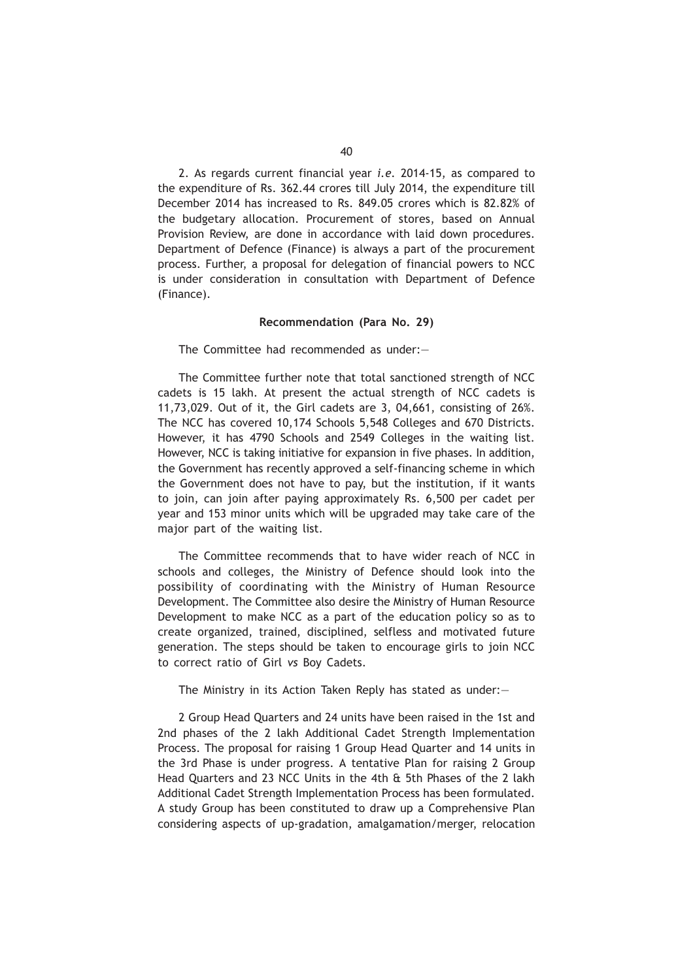2. As regards current financial year *i.e.* 2014-15, as compared to the expenditure of Rs. 362.44 crores till July 2014, the expenditure till December 2014 has increased to Rs. 849.05 crores which is 82.82% of the budgetary allocation. Procurement of stores, based on Annual Provision Review, are done in accordance with laid down procedures. Department of Defence (Finance) is always a part of the procurement process. Further, a proposal for delegation of financial powers to NCC is under consideration in consultation with Department of Defence (Finance).

#### **Recommendation (Para No. 29)**

The Committee had recommended as under:—

The Committee further note that total sanctioned strength of NCC cadets is 15 lakh. At present the actual strength of NCC cadets is 11,73,029. Out of it, the Girl cadets are 3, 04,661, consisting of 26%. The NCC has covered 10,174 Schools 5,548 Colleges and 670 Districts. However, it has 4790 Schools and 2549 Colleges in the waiting list. However, NCC is taking initiative for expansion in five phases. In addition, the Government has recently approved a self-financing scheme in which the Government does not have to pay, but the institution, if it wants to join, can join after paying approximately Rs. 6,500 per cadet per year and 153 minor units which will be upgraded may take care of the major part of the waiting list.

The Committee recommends that to have wider reach of NCC in schools and colleges, the Ministry of Defence should look into the possibility of coordinating with the Ministry of Human Resource Development. The Committee also desire the Ministry of Human Resource Development to make NCC as a part of the education policy so as to create organized, trained, disciplined, selfless and motivated future generation. The steps should be taken to encourage girls to join NCC to correct ratio of Girl *vs* Boy Cadets.

The Ministry in its Action Taken Reply has stated as under:—

2 Group Head Quarters and 24 units have been raised in the 1st and 2nd phases of the 2 lakh Additional Cadet Strength Implementation Process. The proposal for raising 1 Group Head Quarter and 14 units in the 3rd Phase is under progress. A tentative Plan for raising 2 Group Head Quarters and 23 NCC Units in the 4th & 5th Phases of the 2 lakh Additional Cadet Strength Implementation Process has been formulated. A study Group has been constituted to draw up a Comprehensive Plan considering aspects of up-gradation, amalgamation/merger, relocation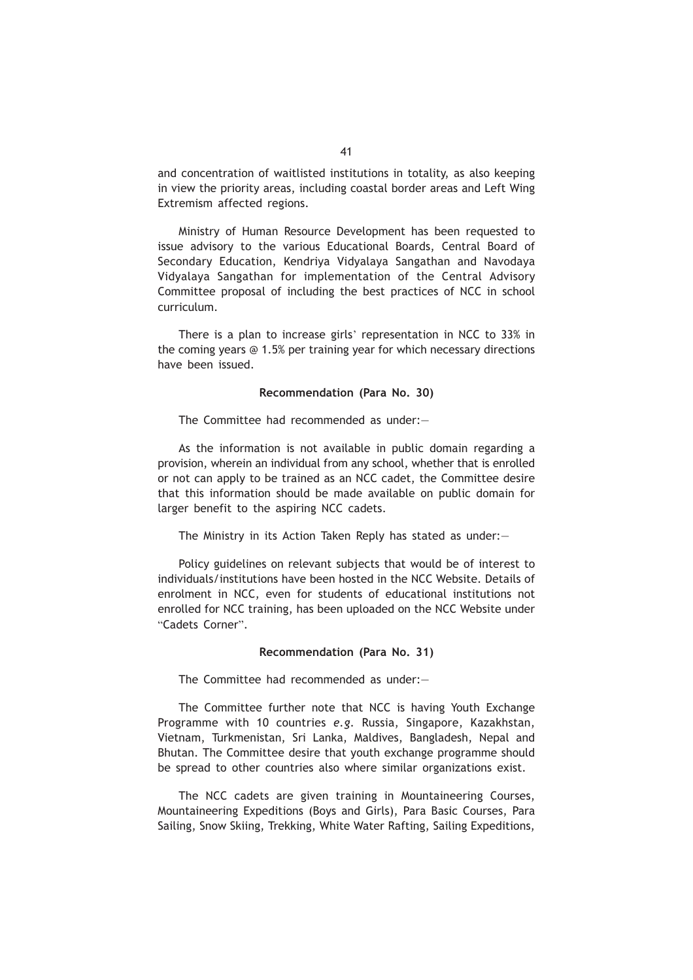and concentration of waitlisted institutions in totality, as also keeping in view the priority areas, including coastal border areas and Left Wing Extremism affected regions.

Ministry of Human Resource Development has been requested to issue advisory to the various Educational Boards, Central Board of Secondary Education, Kendriya Vidyalaya Sangathan and Navodaya Vidyalaya Sangathan for implementation of the Central Advisory Committee proposal of including the best practices of NCC in school curriculum.

There is a plan to increase girls' representation in NCC to 33% in the coming years @ 1.5% per training year for which necessary directions have been issued.

#### **Recommendation (Para No. 30)**

The Committee had recommended as under:—

As the information is not available in public domain regarding a provision, wherein an individual from any school, whether that is enrolled or not can apply to be trained as an NCC cadet, the Committee desire that this information should be made available on public domain for larger benefit to the aspiring NCC cadets.

The Ministry in its Action Taken Reply has stated as under:—

Policy guidelines on relevant subjects that would be of interest to individuals/institutions have been hosted in the NCC Website. Details of enrolment in NCC, even for students of educational institutions not enrolled for NCC training, has been uploaded on the NCC Website under "Cadets Corner".

#### **Recommendation (Para No. 31)**

The Committee had recommended as under:—

The Committee further note that NCC is having Youth Exchange Programme with 10 countries *e.g.* Russia, Singapore, Kazakhstan, Vietnam, Turkmenistan, Sri Lanka, Maldives, Bangladesh, Nepal and Bhutan. The Committee desire that youth exchange programme should be spread to other countries also where similar organizations exist.

The NCC cadets are given training in Mountaineering Courses, Mountaineering Expeditions (Boys and Girls), Para Basic Courses, Para Sailing, Snow Skiing, Trekking, White Water Rafting, Sailing Expeditions,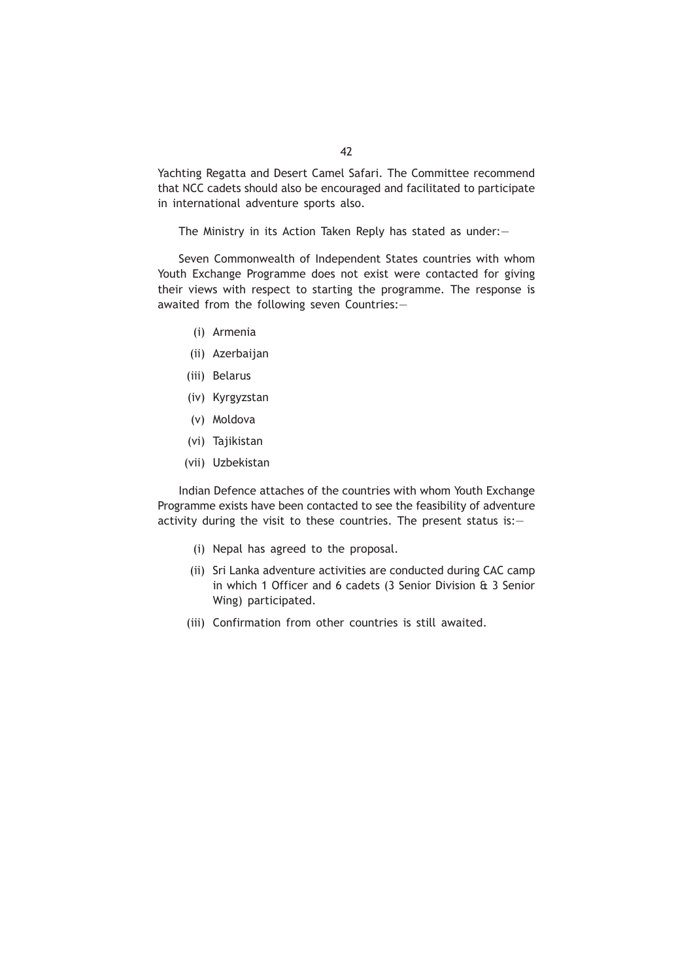Yachting Regatta and Desert Camel Safari. The Committee recommend that NCC cadets should also be encouraged and facilitated to participate in international adventure sports also.

The Ministry in its Action Taken Reply has stated as under:—

Seven Commonwealth of Independent States countries with whom Youth Exchange Programme does not exist were contacted for giving their views with respect to starting the programme. The response is awaited from the following seven Countries:—

- (i) Armenia
- (ii) Azerbaijan
- (iii) Belarus
- (iv) Kyrgyzstan
- (v) Moldova
- (vi) Tajikistan
- (vii) Uzbekistan

Indian Defence attaches of the countries with whom Youth Exchange Programme exists have been contacted to see the feasibility of adventure activity during the visit to these countries. The present status is:—

- (i) Nepal has agreed to the proposal.
- (ii) Sri Lanka adventure activities are conducted during CAC camp in which 1 Officer and 6 cadets (3 Senior Division & 3 Senior Wing) participated.
- (iii) Confirmation from other countries is still awaited.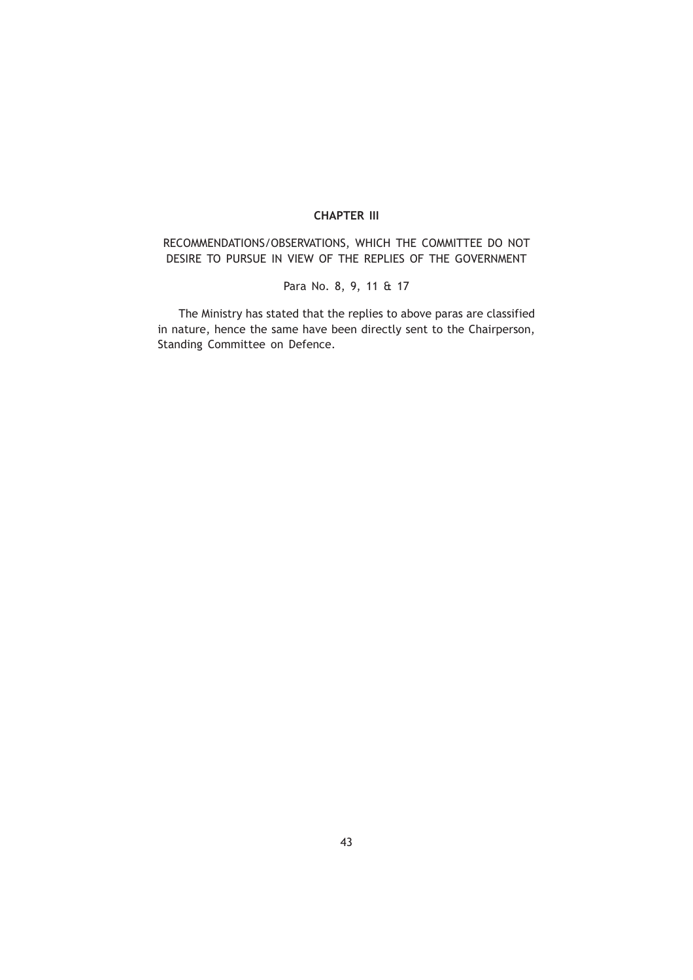# **CHAPTER III**

RECOMMENDATIONS/OBSERVATIONS, WHICH THE COMMITTEE DO NOT DESIRE TO PURSUE IN VIEW OF THE REPLIES OF THE GOVERNMENT

Para No. 8, 9, 11 & 17

The Ministry has stated that the replies to above paras are classified in nature, hence the same have been directly sent to the Chairperson, Standing Committee on Defence.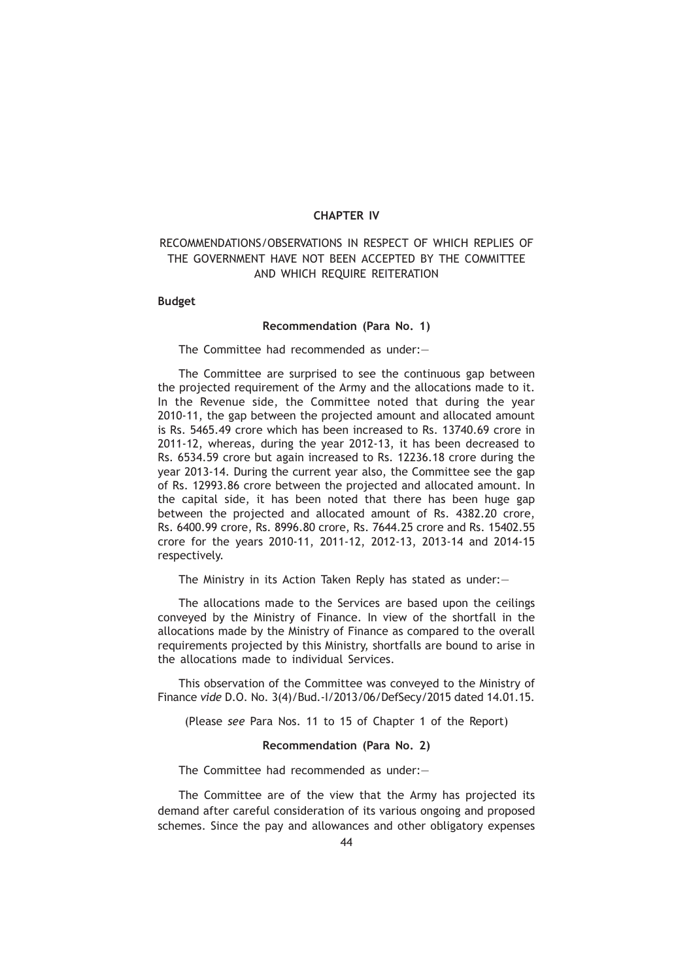## **CHAPTER IV**

# RECOMMENDATIONS/OBSERVATIONS IN RESPECT OF WHICH REPLIES OF THE GOVERNMENT HAVE NOT BEEN ACCEPTED BY THE COMMITTEE AND WHICH REQUIRE REITERATION

# **Budget**

## **Recommendation (Para No. 1)**

The Committee had recommended as under:—

The Committee are surprised to see the continuous gap between the projected requirement of the Army and the allocations made to it. In the Revenue side, the Committee noted that during the year 2010-11, the gap between the projected amount and allocated amount is Rs. 5465.49 crore which has been increased to Rs. 13740.69 crore in 2011-12, whereas, during the year 2012-13, it has been decreased to Rs. 6534.59 crore but again increased to Rs. 12236.18 crore during the year 2013-14. During the current year also, the Committee see the gap of Rs. 12993.86 crore between the projected and allocated amount. In the capital side, it has been noted that there has been huge gap between the projected and allocated amount of Rs. 4382.20 crore, Rs. 6400.99 crore, Rs. 8996.80 crore, Rs. 7644.25 crore and Rs. 15402.55 crore for the years 2010-11, 2011-12, 2012-13, 2013-14 and 2014-15 respectively.

The Ministry in its Action Taken Reply has stated as under:—

The allocations made to the Services are based upon the ceilings conveyed by the Ministry of Finance. In view of the shortfall in the allocations made by the Ministry of Finance as compared to the overall requirements projected by this Ministry, shortfalls are bound to arise in the allocations made to individual Services.

This observation of the Committee was conveyed to the Ministry of Finance *vide* D.O. No. 3(4)/Bud.-I/2013/06/DefSecy/2015 dated 14.01.15.

(Please *see* Para Nos. 11 to 15 of Chapter 1 of the Report)

# **Recommendation (Para No. 2)**

The Committee had recommended as under:—

The Committee are of the view that the Army has projected its demand after careful consideration of its various ongoing and proposed schemes. Since the pay and allowances and other obligatory expenses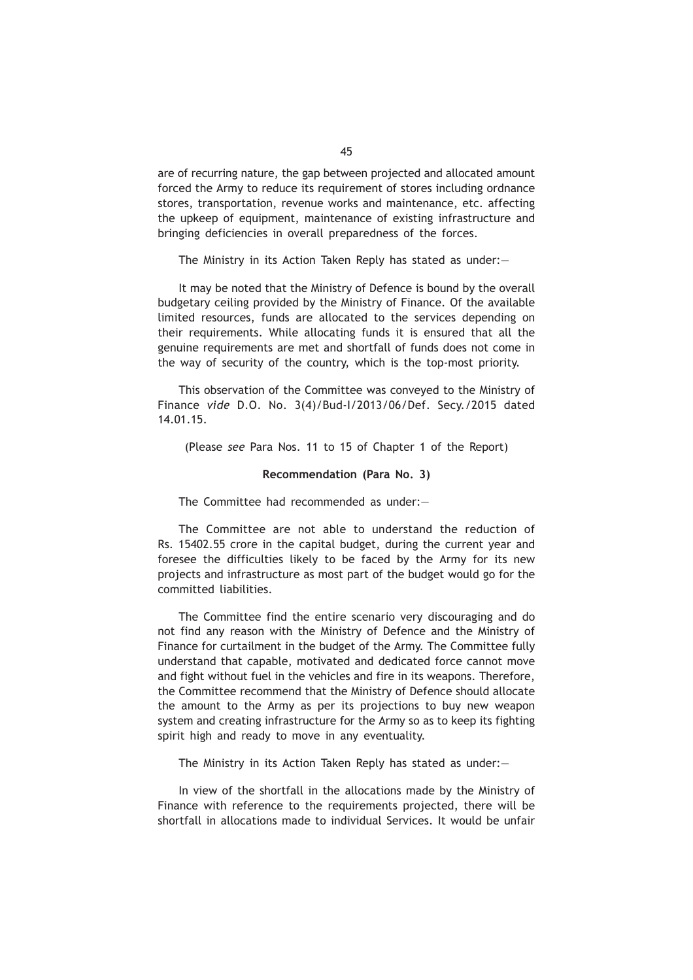are of recurring nature, the gap between projected and allocated amount forced the Army to reduce its requirement of stores including ordnance stores, transportation, revenue works and maintenance, etc. affecting the upkeep of equipment, maintenance of existing infrastructure and bringing deficiencies in overall preparedness of the forces.

The Ministry in its Action Taken Reply has stated as under:—

It may be noted that the Ministry of Defence is bound by the overall budgetary ceiling provided by the Ministry of Finance. Of the available limited resources, funds are allocated to the services depending on their requirements. While allocating funds it is ensured that all the genuine requirements are met and shortfall of funds does not come in the way of security of the country, which is the top-most priority.

This observation of the Committee was conveyed to the Ministry of Finance *vide* D.O. No. 3(4)/Bud-I/2013/06/Def. Secy./2015 dated 14.01.15.

(Please *see* Para Nos. 11 to 15 of Chapter 1 of the Report)

### **Recommendation (Para No. 3)**

The Committee had recommended as under:—

The Committee are not able to understand the reduction of Rs. 15402.55 crore in the capital budget, during the current year and foresee the difficulties likely to be faced by the Army for its new projects and infrastructure as most part of the budget would go for the committed liabilities.

The Committee find the entire scenario very discouraging and do not find any reason with the Ministry of Defence and the Ministry of Finance for curtailment in the budget of the Army. The Committee fully understand that capable, motivated and dedicated force cannot move and fight without fuel in the vehicles and fire in its weapons. Therefore, the Committee recommend that the Ministry of Defence should allocate the amount to the Army as per its projections to buy new weapon system and creating infrastructure for the Army so as to keep its fighting spirit high and ready to move in any eventuality.

The Ministry in its Action Taken Reply has stated as under:—

In view of the shortfall in the allocations made by the Ministry of Finance with reference to the requirements projected, there will be shortfall in allocations made to individual Services. It would be unfair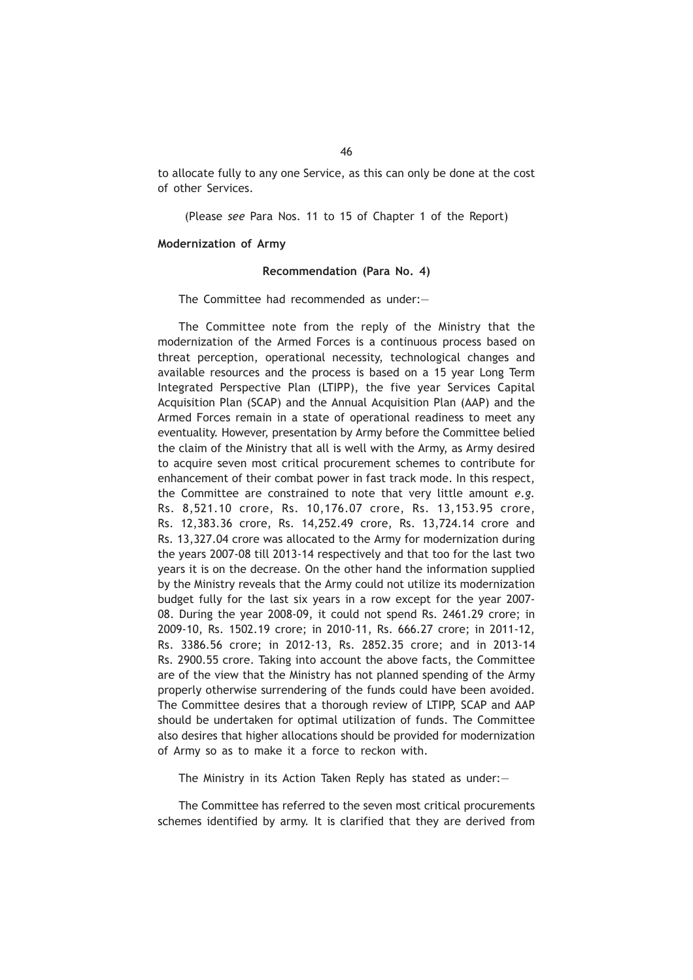to allocate fully to any one Service, as this can only be done at the cost of other Services.

(Please *see* Para Nos. 11 to 15 of Chapter 1 of the Report)

#### **Modernization of Army**

#### **Recommendation (Para No. 4)**

The Committee had recommended as under:—

The Committee note from the reply of the Ministry that the modernization of the Armed Forces is a continuous process based on threat perception, operational necessity, technological changes and available resources and the process is based on a 15 year Long Term Integrated Perspective Plan (LTIPP), the five year Services Capital Acquisition Plan (SCAP) and the Annual Acquisition Plan (AAP) and the Armed Forces remain in a state of operational readiness to meet any eventuality. However, presentation by Army before the Committee belied the claim of the Ministry that all is well with the Army, as Army desired to acquire seven most critical procurement schemes to contribute for enhancement of their combat power in fast track mode. In this respect, the Committee are constrained to note that very little amount *e.g.* Rs. 8,521.10 crore, Rs. 10,176.07 crore, Rs. 13,153.95 crore, Rs. 12,383.36 crore, Rs. 14,252.49 crore, Rs. 13,724.14 crore and Rs. 13,327.04 crore was allocated to the Army for modernization during the years 2007-08 till 2013-14 respectively and that too for the last two years it is on the decrease. On the other hand the information supplied by the Ministry reveals that the Army could not utilize its modernization budget fully for the last six years in a row except for the year 2007- 08. During the year 2008-09, it could not spend Rs. 2461.29 crore; in 2009-10, Rs. 1502.19 crore; in 2010-11, Rs. 666.27 crore; in 2011-12, Rs. 3386.56 crore; in 2012-13, Rs. 2852.35 crore; and in 2013-14 Rs. 2900.55 crore. Taking into account the above facts, the Committee are of the view that the Ministry has not planned spending of the Army properly otherwise surrendering of the funds could have been avoided. The Committee desires that a thorough review of LTIPP, SCAP and AAP should be undertaken for optimal utilization of funds. The Committee also desires that higher allocations should be provided for modernization of Army so as to make it a force to reckon with.

The Ministry in its Action Taken Reply has stated as under:—

The Committee has referred to the seven most critical procurements schemes identified by army. It is clarified that they are derived from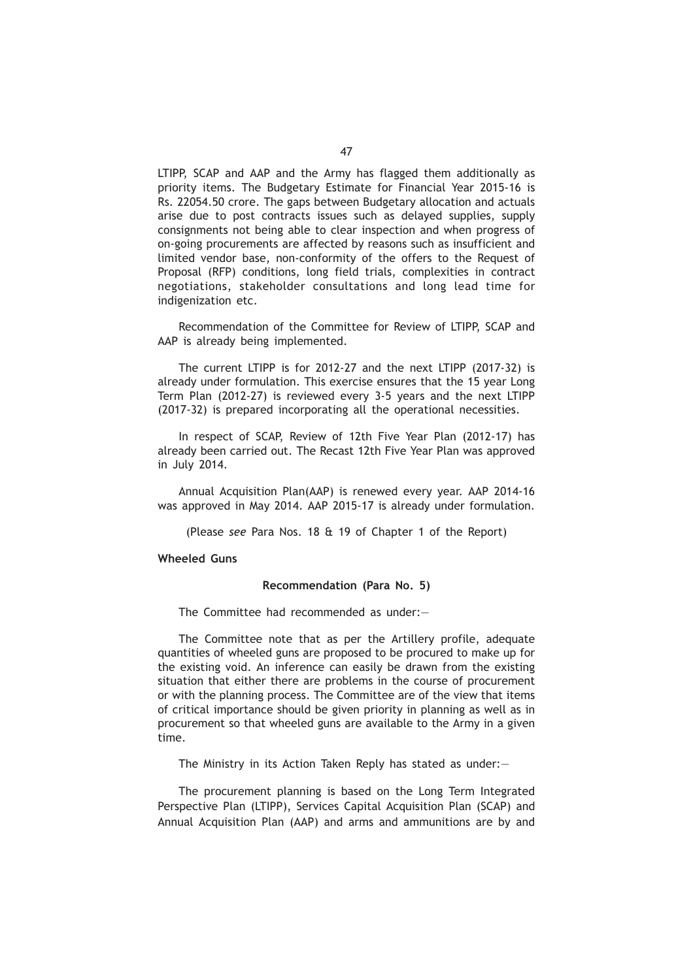LTIPP, SCAP and AAP and the Army has flagged them additionally as priority items. The Budgetary Estimate for Financial Year 2015-16 is Rs. 22054.50 crore. The gaps between Budgetary allocation and actuals arise due to post contracts issues such as delayed supplies, supply consignments not being able to clear inspection and when progress of on-going procurements are affected by reasons such as insufficient and limited vendor base, non-conformity of the offers to the Request of Proposal (RFP) conditions, long field trials, complexities in contract negotiations, stakeholder consultations and long lead time for indigenization etc.

Recommendation of the Committee for Review of LTIPP, SCAP and AAP is already being implemented.

The current LTIPP is for 2012-27 and the next LTIPP (2017-32) is already under formulation. This exercise ensures that the 15 year Long Term Plan (2012-27) is reviewed every 3-5 years and the next LTIPP (2017-32) is prepared incorporating all the operational necessities.

In respect of SCAP, Review of 12th Five Year Plan (2012-17) has already been carried out. The Recast 12th Five Year Plan was approved in July 2014.

Annual Acquisition Plan(AAP) is renewed every year. AAP 2014-16 was approved in May 2014. AAP 2015-17 is already under formulation.

(Please *see* Para Nos. 18 & 19 of Chapter 1 of the Report)

### **Wheeled Guns**

#### **Recommendation (Para No. 5)**

The Committee had recommended as under:—

The Committee note that as per the Artillery profile, adequate quantities of wheeled guns are proposed to be procured to make up for the existing void. An inference can easily be drawn from the existing situation that either there are problems in the course of procurement or with the planning process. The Committee are of the view that items of critical importance should be given priority in planning as well as in procurement so that wheeled guns are available to the Army in a given time.

The Ministry in its Action Taken Reply has stated as under:—

The procurement planning is based on the Long Term Integrated Perspective Plan (LTIPP), Services Capital Acquisition Plan (SCAP) and Annual Acquisition Plan (AAP) and arms and ammunitions are by and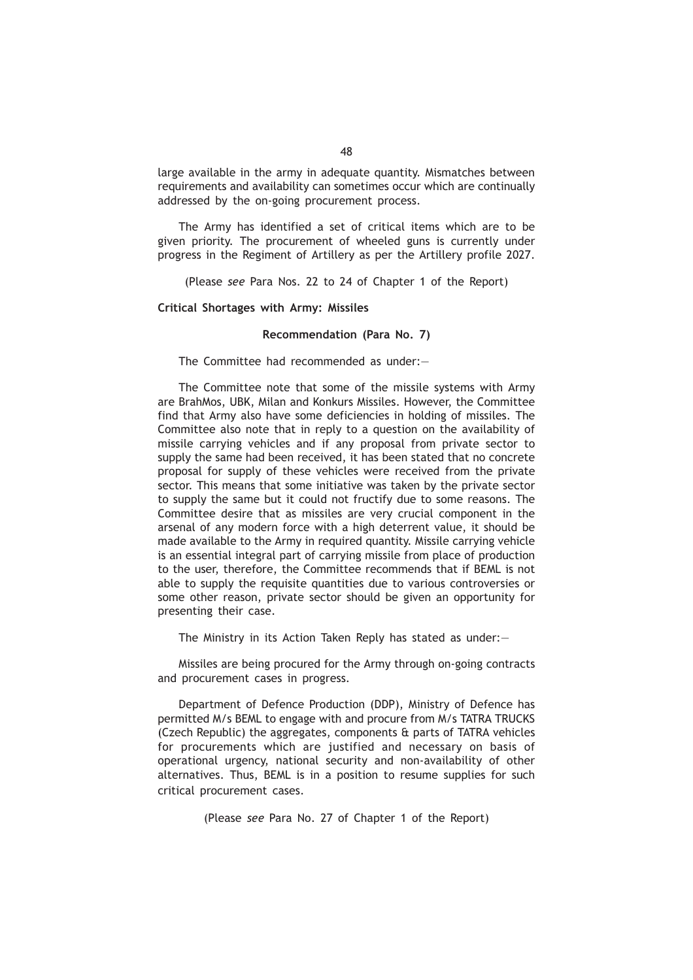large available in the army in adequate quantity. Mismatches between requirements and availability can sometimes occur which are continually addressed by the on-going procurement process.

The Army has identified a set of critical items which are to be given priority. The procurement of wheeled guns is currently under progress in the Regiment of Artillery as per the Artillery profile 2027.

(Please *see* Para Nos. 22 to 24 of Chapter 1 of the Report)

**Critical Shortages with Army: Missiles**

#### **Recommendation (Para No. 7)**

The Committee had recommended as under:—

The Committee note that some of the missile systems with Army are BrahMos, UBK, Milan and Konkurs Missiles. However, the Committee find that Army also have some deficiencies in holding of missiles. The Committee also note that in reply to a question on the availability of missile carrying vehicles and if any proposal from private sector to supply the same had been received, it has been stated that no concrete proposal for supply of these vehicles were received from the private sector. This means that some initiative was taken by the private sector to supply the same but it could not fructify due to some reasons. The Committee desire that as missiles are very crucial component in the arsenal of any modern force with a high deterrent value, it should be made available to the Army in required quantity. Missile carrying vehicle is an essential integral part of carrying missile from place of production to the user, therefore, the Committee recommends that if BEML is not able to supply the requisite quantities due to various controversies or some other reason, private sector should be given an opportunity for presenting their case.

The Ministry in its Action Taken Reply has stated as under:—

Missiles are being procured for the Army through on-going contracts and procurement cases in progress.

Department of Defence Production (DDP), Ministry of Defence has permitted M/s BEML to engage with and procure from M/s TATRA TRUCKS (Czech Republic) the aggregates, components & parts of TATRA vehicles for procurements which are justified and necessary on basis of operational urgency, national security and non-availability of other alternatives. Thus, BEML is in a position to resume supplies for such critical procurement cases.

(Please *see* Para No. 27 of Chapter 1 of the Report)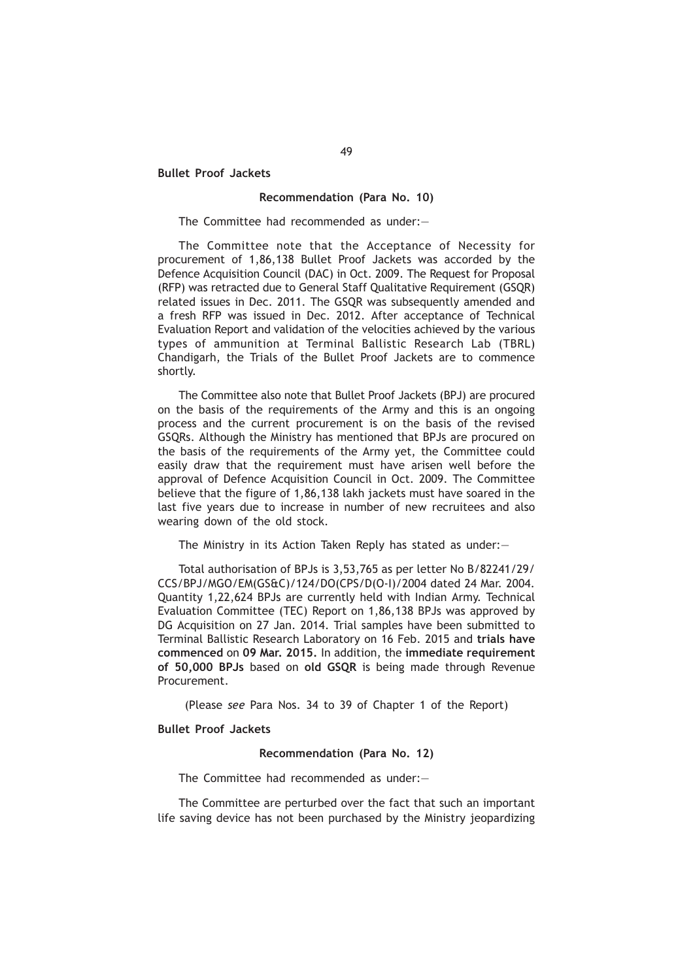**Bullet Proof Jackets**

## **Recommendation (Para No. 10)**

The Committee had recommended as under:—

The Committee note that the Acceptance of Necessity for procurement of 1,86,138 Bullet Proof Jackets was accorded by the Defence Acquisition Council (DAC) in Oct. 2009. The Request for Proposal (RFP) was retracted due to General Staff Qualitative Requirement (GSQR) related issues in Dec. 2011. The GSQR was subsequently amended and a fresh RFP was issued in Dec. 2012. After acceptance of Technical Evaluation Report and validation of the velocities achieved by the various types of ammunition at Terminal Ballistic Research Lab (TBRL) Chandigarh, the Trials of the Bullet Proof Jackets are to commence shortly.

The Committee also note that Bullet Proof Jackets (BPJ) are procured on the basis of the requirements of the Army and this is an ongoing process and the current procurement is on the basis of the revised GSQRs. Although the Ministry has mentioned that BPJs are procured on the basis of the requirements of the Army yet, the Committee could easily draw that the requirement must have arisen well before the approval of Defence Acquisition Council in Oct. 2009. The Committee believe that the figure of 1,86,138 lakh jackets must have soared in the last five years due to increase in number of new recruitees and also wearing down of the old stock.

The Ministry in its Action Taken Reply has stated as under:—

Total authorisation of BPJs is 3,53,765 as per letter No B/82241/29/ CCS/BPJ/MGO/EM(GS&C)/124/DO(CPS/D(O-I)/2004 dated 24 Mar. 2004. Quantity 1,22,624 BPJs are currently held with Indian Army. Technical Evaluation Committee (TEC) Report on 1,86,138 BPJs was approved by DG Acquisition on 27 Jan. 2014. Trial samples have been submitted to Terminal Ballistic Research Laboratory on 16 Feb. 2015 and **trials have commenced** on **09 Mar. 2015.** In addition, the **immediate requirement of 50,000 BPJs** based on **old GSQR** is being made through Revenue Procurement.

(Please *see* Para Nos. 34 to 39 of Chapter 1 of the Report)

**Bullet Proof Jackets**

#### **Recommendation (Para No. 12)**

The Committee had recommended as under:—

The Committee are perturbed over the fact that such an important life saving device has not been purchased by the Ministry jeopardizing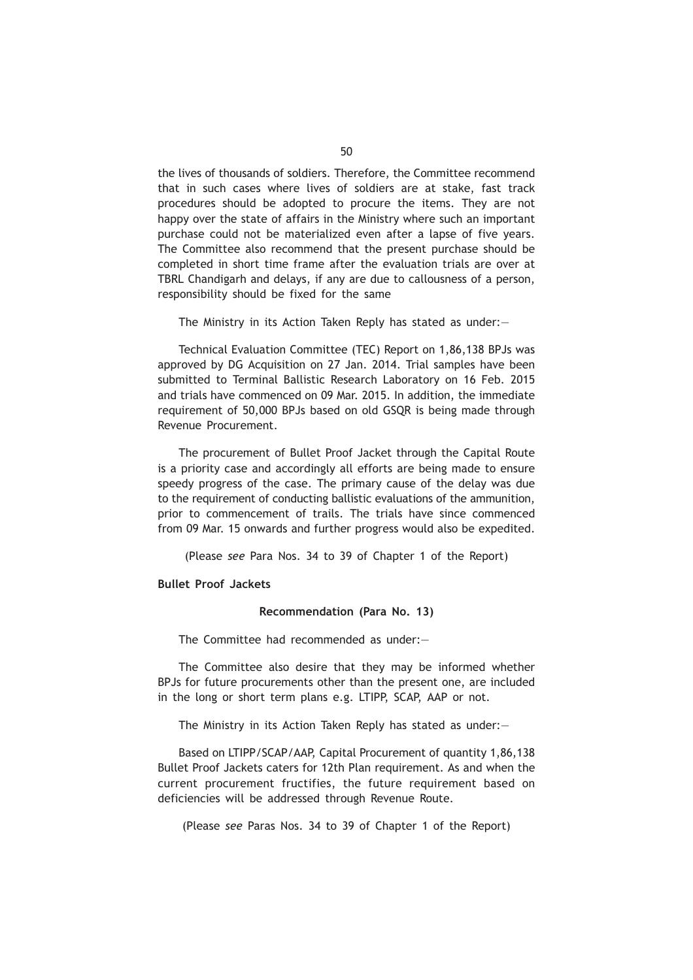the lives of thousands of soldiers. Therefore, the Committee recommend that in such cases where lives of soldiers are at stake, fast track procedures should be adopted to procure the items. They are not happy over the state of affairs in the Ministry where such an important purchase could not be materialized even after a lapse of five years. The Committee also recommend that the present purchase should be completed in short time frame after the evaluation trials are over at TBRL Chandigarh and delays, if any are due to callousness of a person, responsibility should be fixed for the same

The Ministry in its Action Taken Reply has stated as under:—

Technical Evaluation Committee (TEC) Report on 1,86,138 BPJs was approved by DG Acquisition on 27 Jan. 2014. Trial samples have been submitted to Terminal Ballistic Research Laboratory on 16 Feb. 2015 and trials have commenced on 09 Mar. 2015. In addition, the immediate requirement of 50,000 BPJs based on old GSQR is being made through Revenue Procurement.

The procurement of Bullet Proof Jacket through the Capital Route is a priority case and accordingly all efforts are being made to ensure speedy progress of the case. The primary cause of the delay was due to the requirement of conducting ballistic evaluations of the ammunition, prior to commencement of trails. The trials have since commenced from 09 Mar. 15 onwards and further progress would also be expedited.

(Please *see* Para Nos. 34 to 39 of Chapter 1 of the Report)

**Bullet Proof Jackets**

### **Recommendation (Para No. 13)**

The Committee had recommended as under:—

The Committee also desire that they may be informed whether BPJs for future procurements other than the present one, are included in the long or short term plans e.g. LTIPP, SCAP, AAP or not.

The Ministry in its Action Taken Reply has stated as under:—

Based on LTIPP/SCAP/AAP, Capital Procurement of quantity 1,86,138 Bullet Proof Jackets caters for 12th Plan requirement. As and when the current procurement fructifies, the future requirement based on deficiencies will be addressed through Revenue Route.

(Please *see* Paras Nos. 34 to 39 of Chapter 1 of the Report)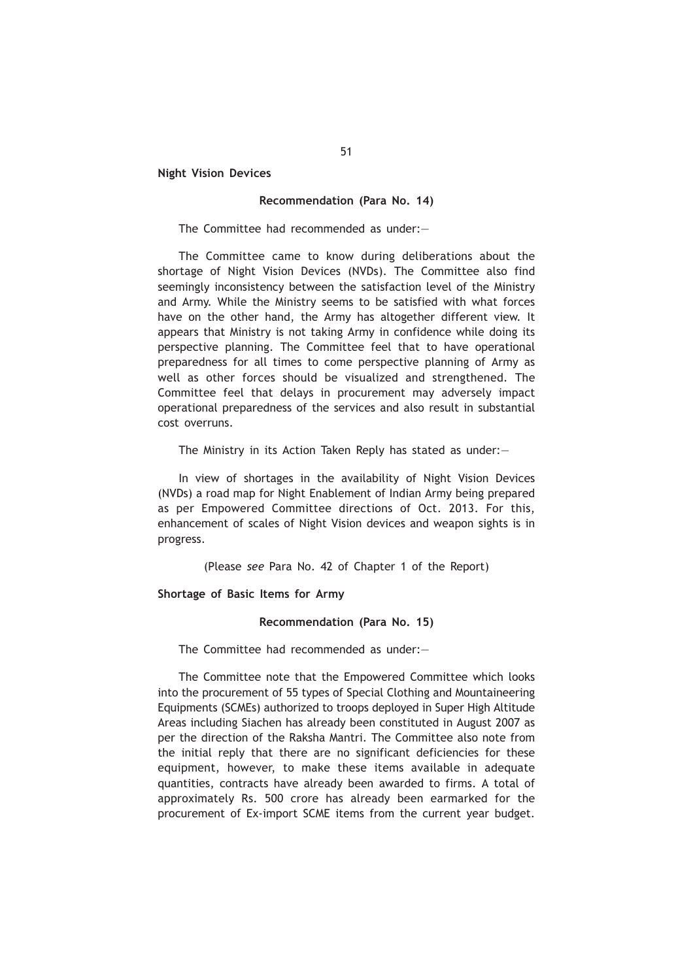**Night Vision Devices**

#### **Recommendation (Para No. 14)**

The Committee had recommended as under:—

The Committee came to know during deliberations about the shortage of Night Vision Devices (NVDs). The Committee also find seemingly inconsistency between the satisfaction level of the Ministry and Army. While the Ministry seems to be satisfied with what forces have on the other hand, the Army has altogether different view. It appears that Ministry is not taking Army in confidence while doing its perspective planning. The Committee feel that to have operational preparedness for all times to come perspective planning of Army as well as other forces should be visualized and strengthened. The Committee feel that delays in procurement may adversely impact operational preparedness of the services and also result in substantial cost overruns.

The Ministry in its Action Taken Reply has stated as under:—

In view of shortages in the availability of Night Vision Devices (NVDs) a road map for Night Enablement of Indian Army being prepared as per Empowered Committee directions of Oct. 2013. For this, enhancement of scales of Night Vision devices and weapon sights is in progress.

(Please *see* Para No. 42 of Chapter 1 of the Report)

### **Shortage of Basic Items for Army**

#### **Recommendation (Para No. 15)**

The Committee had recommended as under:—

The Committee note that the Empowered Committee which looks into the procurement of 55 types of Special Clothing and Mountaineering Equipments (SCMEs) authorized to troops deployed in Super High Altitude Areas including Siachen has already been constituted in August 2007 as per the direction of the Raksha Mantri. The Committee also note from the initial reply that there are no significant deficiencies for these equipment, however, to make these items available in adequate quantities, contracts have already been awarded to firms. A total of approximately Rs. 500 crore has already been earmarked for the procurement of Ex-import SCME items from the current year budget.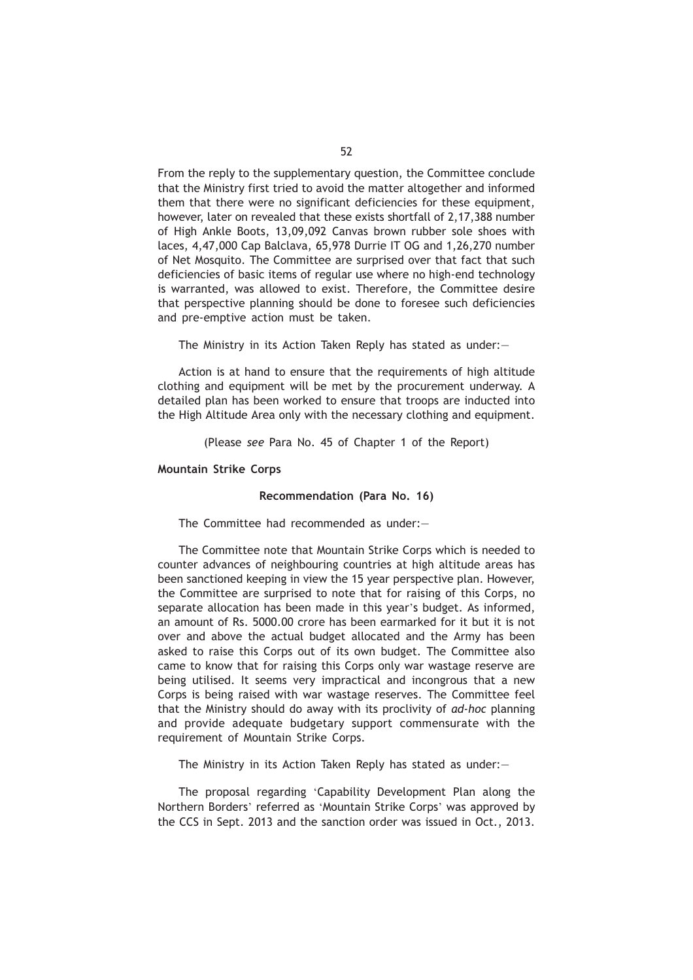From the reply to the supplementary question, the Committee conclude that the Ministry first tried to avoid the matter altogether and informed them that there were no significant deficiencies for these equipment, however, later on revealed that these exists shortfall of 2,17,388 number of High Ankle Boots, 13,09,092 Canvas brown rubber sole shoes with laces, 4,47,000 Cap Balclava, 65,978 Durrie IT OG and 1,26,270 number of Net Mosquito. The Committee are surprised over that fact that such deficiencies of basic items of regular use where no high-end technology is warranted, was allowed to exist. Therefore, the Committee desire that perspective planning should be done to foresee such deficiencies and pre-emptive action must be taken.

The Ministry in its Action Taken Reply has stated as under:—

Action is at hand to ensure that the requirements of high altitude clothing and equipment will be met by the procurement underway. A detailed plan has been worked to ensure that troops are inducted into the High Altitude Area only with the necessary clothing and equipment.

(Please *see* Para No. 45 of Chapter 1 of the Report)

**Mountain Strike Corps**

#### **Recommendation (Para No. 16)**

The Committee had recommended as under:—

The Committee note that Mountain Strike Corps which is needed to counter advances of neighbouring countries at high altitude areas has been sanctioned keeping in view the 15 year perspective plan. However, the Committee are surprised to note that for raising of this Corps, no separate allocation has been made in this year's budget. As informed, an amount of Rs. 5000.00 crore has been earmarked for it but it is not over and above the actual budget allocated and the Army has been asked to raise this Corps out of its own budget. The Committee also came to know that for raising this Corps only war wastage reserve are being utilised. It seems very impractical and incongrous that a new Corps is being raised with war wastage reserves. The Committee feel that the Ministry should do away with its proclivity of *ad-hoc* planning and provide adequate budgetary support commensurate with the requirement of Mountain Strike Corps.

The Ministry in its Action Taken Reply has stated as under:—

The proposal regarding 'Capability Development Plan along the Northern Borders' referred as 'Mountain Strike Corps' was approved by the CCS in Sept. 2013 and the sanction order was issued in Oct., 2013.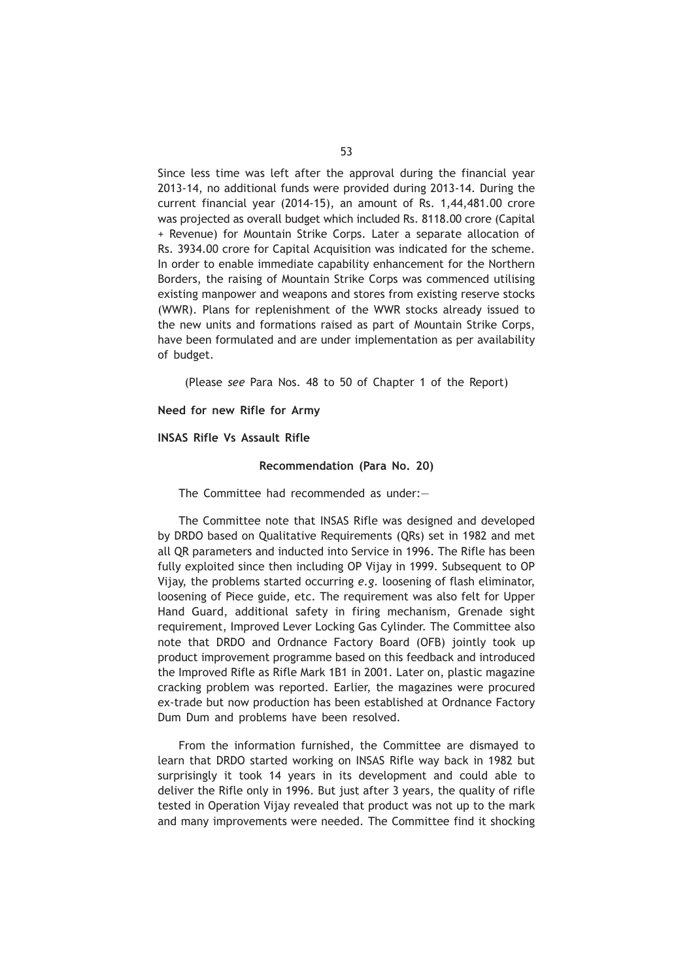Since less time was left after the approval during the financial year 2013-14, no additional funds were provided during 2013-14. During the current financial year (2014-15), an amount of Rs. 1,44,481.00 crore was projected as overall budget which included Rs. 8118.00 crore (Capital + Revenue) for Mountain Strike Corps. Later a separate allocation of Rs. 3934.00 crore for Capital Acquisition was indicated for the scheme. In order to enable immediate capability enhancement for the Northern Borders, the raising of Mountain Strike Corps was commenced utilising existing manpower and weapons and stores from existing reserve stocks (WWR). Plans for replenishment of the WWR stocks already issued to the new units and formations raised as part of Mountain Strike Corps, have been formulated and are under implementation as per availability of budget.

(Please *see* Para Nos. 48 to 50 of Chapter 1 of the Report)

**Need for new Rifle for Army**

# **INSAS Rifle Vs Assault Rifle**

#### **Recommendation (Para No. 20)**

The Committee had recommended as under:—

The Committee note that INSAS Rifle was designed and developed by DRDO based on Qualitative Requirements (QRs) set in 1982 and met all QR parameters and inducted into Service in 1996. The Rifle has been fully exploited since then including OP Vijay in 1999. Subsequent to OP Vijay, the problems started occurring *e.g.* loosening of flash eliminator, loosening of Piece guide, etc. The requirement was also felt for Upper Hand Guard, additional safety in firing mechanism, Grenade sight requirement, Improved Lever Locking Gas Cylinder. The Committee also note that DRDO and Ordnance Factory Board (OFB) jointly took up product improvement programme based on this feedback and introduced the Improved Rifle as Rifle Mark 1B1 in 2001. Later on, plastic magazine cracking problem was reported. Earlier, the magazines were procured ex-trade but now production has been established at Ordnance Factory Dum Dum and problems have been resolved.

From the information furnished, the Committee are dismayed to learn that DRDO started working on INSAS Rifle way back in 1982 but surprisingly it took 14 years in its development and could able to deliver the Rifle only in 1996. But just after 3 years, the quality of rifle tested in Operation Vijay revealed that product was not up to the mark and many improvements were needed. The Committee find it shocking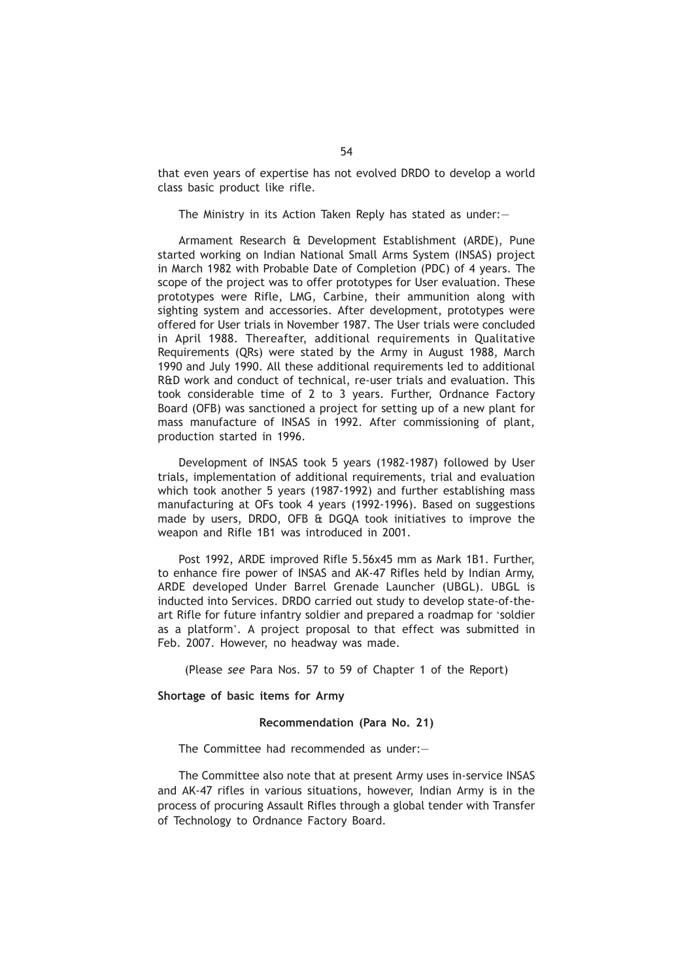that even years of expertise has not evolved DRDO to develop a world class basic product like rifle.

The Ministry in its Action Taken Reply has stated as under:—

Armament Research & Development Establishment (ARDE), Pune started working on Indian National Small Arms System (INSAS) project in March 1982 with Probable Date of Completion (PDC) of 4 years. The scope of the project was to offer prototypes for User evaluation. These prototypes were Rifle, LMG, Carbine, their ammunition along with sighting system and accessories. After development, prototypes were offered for User trials in November 1987. The User trials were concluded in April 1988. Thereafter, additional requirements in Qualitative Requirements (QRs) were stated by the Army in August 1988, March 1990 and July 1990. All these additional requirements led to additional R&D work and conduct of technical, re-user trials and evaluation. This took considerable time of 2 to 3 years. Further, Ordnance Factory Board (OFB) was sanctioned a project for setting up of a new plant for mass manufacture of INSAS in 1992. After commissioning of plant, production started in 1996.

Development of INSAS took 5 years (1982-1987) followed by User trials, implementation of additional requirements, trial and evaluation which took another 5 years (1987-1992) and further establishing mass manufacturing at OFs took 4 years (1992-1996). Based on suggestions made by users, DRDO, OFB & DGQA took initiatives to improve the weapon and Rifle 1B1 was introduced in 2001.

Post 1992, ARDE improved Rifle 5.56x45 mm as Mark 1B1. Further, to enhance fire power of INSAS and AK-47 Rifles held by Indian Army, ARDE developed Under Barrel Grenade Launcher (UBGL). UBGL is inducted into Services. DRDO carried out study to develop state-of-theart Rifle for future infantry soldier and prepared a roadmap for 'soldier as a platform'. A project proposal to that effect was submitted in Feb. 2007. However, no headway was made.

(Please *see* Para Nos. 57 to 59 of Chapter 1 of the Report)

**Shortage of basic items for Army**

#### **Recommendation (Para No. 21)**

The Committee had recommended as under:—

The Committee also note that at present Army uses in-service INSAS and AK-47 rifles in various situations, however, Indian Army is in the process of procuring Assault Rifles through a global tender with Transfer of Technology to Ordnance Factory Board.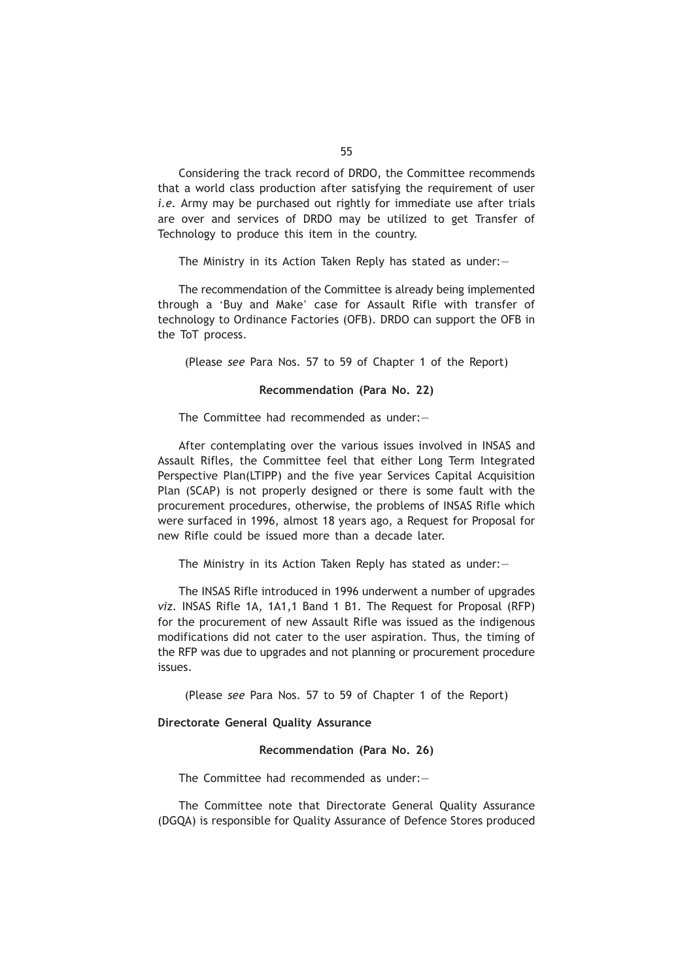Considering the track record of DRDO, the Committee recommends that a world class production after satisfying the requirement of user *i.e.* Army may be purchased out rightly for immediate use after trials are over and services of DRDO may be utilized to get Transfer of Technology to produce this item in the country.

The Ministry in its Action Taken Reply has stated as under:—

The recommendation of the Committee is already being implemented through a 'Buy and Make' case for Assault Rifle with transfer of technology to Ordinance Factories (OFB). DRDO can support the OFB in the ToT process.

(Please *see* Para Nos. 57 to 59 of Chapter 1 of the Report)

### **Recommendation (Para No. 22)**

The Committee had recommended as under:—

After contemplating over the various issues involved in INSAS and Assault Rifles, the Committee feel that either Long Term Integrated Perspective Plan(LTIPP) and the five year Services Capital Acquisition Plan (SCAP) is not properly designed or there is some fault with the procurement procedures, otherwise, the problems of INSAS Rifle which were surfaced in 1996, almost 18 years ago, a Request for Proposal for new Rifle could be issued more than a decade later.

The Ministry in its Action Taken Reply has stated as under:—

The INSAS Rifle introduced in 1996 underwent a number of upgrades *viz.* INSAS Rifle 1A, 1A1,1 Band 1 B1. The Request for Proposal (RFP) for the procurement of new Assault Rifle was issued as the indigenous modifications did not cater to the user aspiration. Thus, the timing of the RFP was due to upgrades and not planning or procurement procedure issues.

(Please *see* Para Nos. 57 to 59 of Chapter 1 of the Report)

# **Directorate General Quality Assurance**

#### **Recommendation (Para No. 26)**

The Committee had recommended as under:—

The Committee note that Directorate General Quality Assurance (DGQA) is responsible for Quality Assurance of Defence Stores produced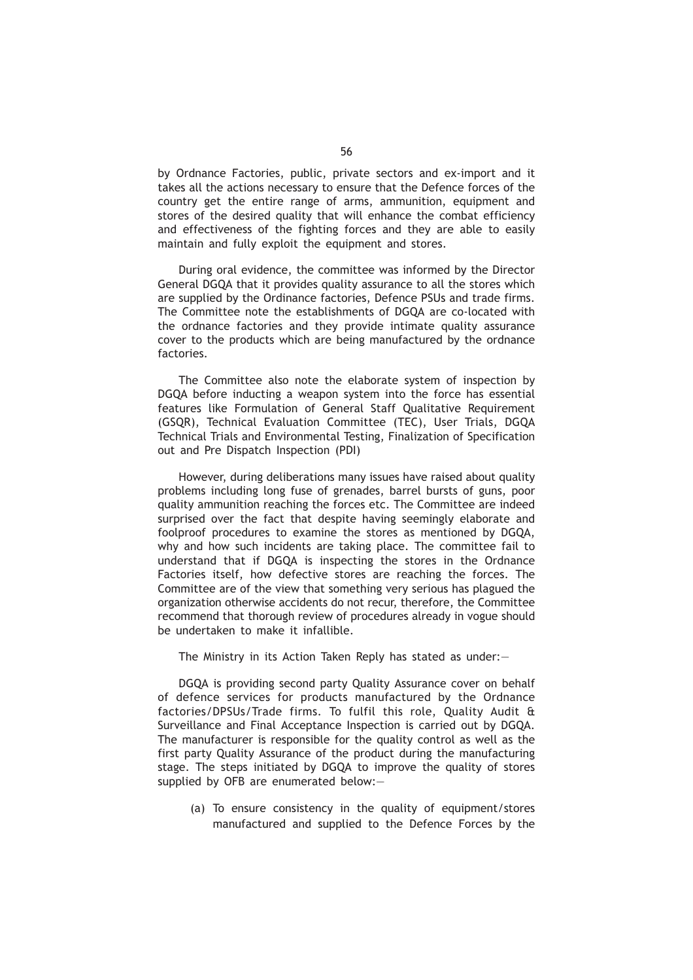by Ordnance Factories, public, private sectors and ex-import and it takes all the actions necessary to ensure that the Defence forces of the country get the entire range of arms, ammunition, equipment and stores of the desired quality that will enhance the combat efficiency and effectiveness of the fighting forces and they are able to easily maintain and fully exploit the equipment and stores.

During oral evidence, the committee was informed by the Director General DGQA that it provides quality assurance to all the stores which are supplied by the Ordinance factories, Defence PSUs and trade firms. The Committee note the establishments of DGQA are co-located with the ordnance factories and they provide intimate quality assurance cover to the products which are being manufactured by the ordnance factories.

The Committee also note the elaborate system of inspection by DGQA before inducting a weapon system into the force has essential features like Formulation of General Staff Qualitative Requirement (GSQR), Technical Evaluation Committee (TEC), User Trials, DGQA Technical Trials and Environmental Testing, Finalization of Specification out and Pre Dispatch Inspection (PDI)

However, during deliberations many issues have raised about quality problems including long fuse of grenades, barrel bursts of guns, poor quality ammunition reaching the forces etc. The Committee are indeed surprised over the fact that despite having seemingly elaborate and foolproof procedures to examine the stores as mentioned by DGQA, why and how such incidents are taking place. The committee fail to understand that if DGQA is inspecting the stores in the Ordnance Factories itself, how defective stores are reaching the forces. The Committee are of the view that something very serious has plagued the organization otherwise accidents do not recur, therefore, the Committee recommend that thorough review of procedures already in vogue should be undertaken to make it infallible.

The Ministry in its Action Taken Reply has stated as under:—

DGQA is providing second party Quality Assurance cover on behalf of defence services for products manufactured by the Ordnance factories/DPSUs/Trade firms. To fulfil this role, Quality Audit & Surveillance and Final Acceptance Inspection is carried out by DGQA. The manufacturer is responsible for the quality control as well as the first party Quality Assurance of the product during the manufacturing stage. The steps initiated by DGQA to improve the quality of stores supplied by OFB are enumerated below:—

(a) To ensure consistency in the quality of equipment/stores manufactured and supplied to the Defence Forces by the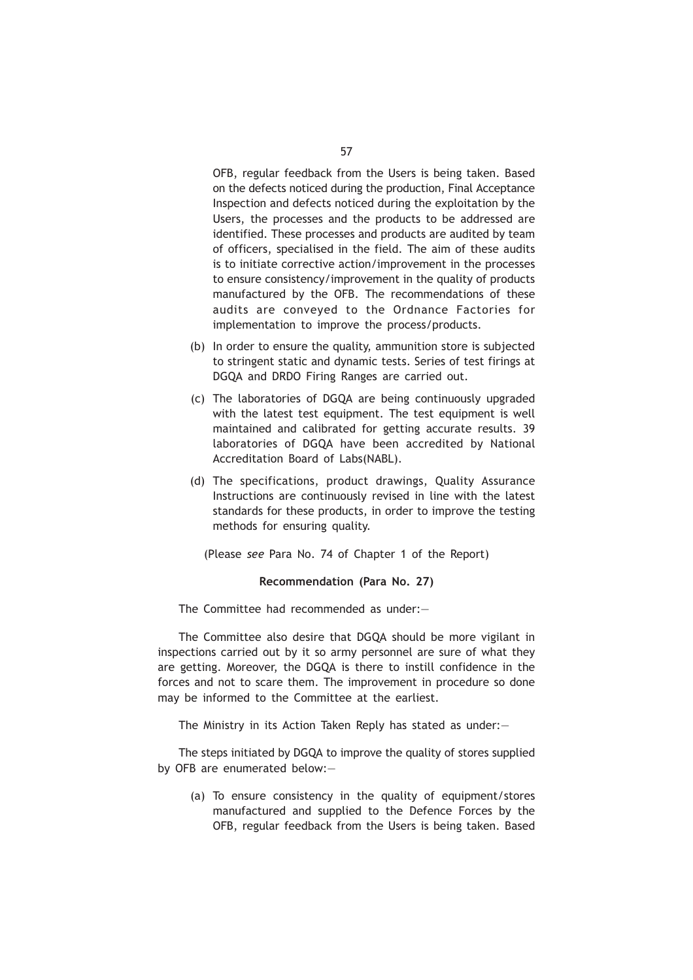OFB, regular feedback from the Users is being taken. Based on the defects noticed during the production, Final Acceptance Inspection and defects noticed during the exploitation by the Users, the processes and the products to be addressed are identified. These processes and products are audited by team of officers, specialised in the field. The aim of these audits is to initiate corrective action/improvement in the processes to ensure consistency/improvement in the quality of products manufactured by the OFB. The recommendations of these audits are conveyed to the Ordnance Factories for implementation to improve the process/products.

- (b) In order to ensure the quality, ammunition store is subjected to stringent static and dynamic tests. Series of test firings at DGQA and DRDO Firing Ranges are carried out.
- (c) The laboratories of DGQA are being continuously upgraded with the latest test equipment. The test equipment is well maintained and calibrated for getting accurate results. 39 laboratories of DGQA have been accredited by National Accreditation Board of Labs(NABL).
- (d) The specifications, product drawings, Quality Assurance Instructions are continuously revised in line with the latest standards for these products, in order to improve the testing methods for ensuring quality.

(Please *see* Para No. 74 of Chapter 1 of the Report)

#### **Recommendation (Para No. 27)**

The Committee had recommended as under:—

The Committee also desire that DGQA should be more vigilant in inspections carried out by it so army personnel are sure of what they are getting. Moreover, the DGQA is there to instill confidence in the forces and not to scare them. The improvement in procedure so done may be informed to the Committee at the earliest.

The Ministry in its Action Taken Reply has stated as under:—

The steps initiated by DGQA to improve the quality of stores supplied by OFB are enumerated below:—

(a) To ensure consistency in the quality of equipment/stores manufactured and supplied to the Defence Forces by the OFB, regular feedback from the Users is being taken. Based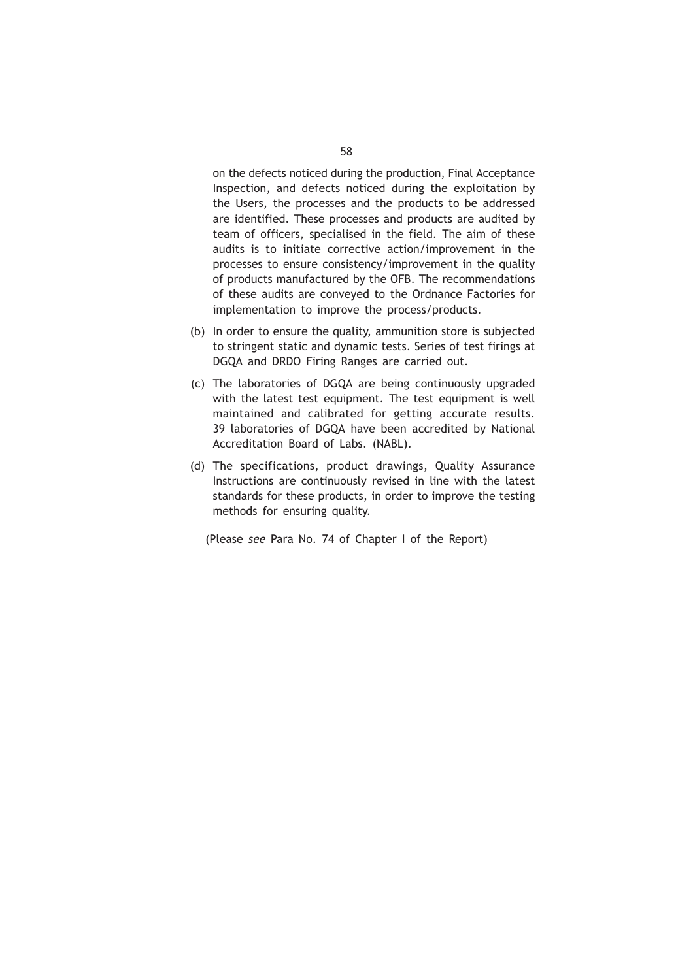on the defects noticed during the production, Final Acceptance Inspection, and defects noticed during the exploitation by the Users, the processes and the products to be addressed are identified. These processes and products are audited by team of officers, specialised in the field. The aim of these audits is to initiate corrective action/improvement in the processes to ensure consistency/improvement in the quality of products manufactured by the OFB. The recommendations of these audits are conveyed to the Ordnance Factories for implementation to improve the process/products.

- (b) In order to ensure the quality, ammunition store is subjected to stringent static and dynamic tests. Series of test firings at DGQA and DRDO Firing Ranges are carried out.
- (c) The laboratories of DGQA are being continuously upgraded with the latest test equipment. The test equipment is well maintained and calibrated for getting accurate results. 39 laboratories of DGQA have been accredited by National Accreditation Board of Labs. (NABL).
- (d) The specifications, product drawings, Quality Assurance Instructions are continuously revised in line with the latest standards for these products, in order to improve the testing methods for ensuring quality.

(Please *see* Para No. 74 of Chapter I of the Report)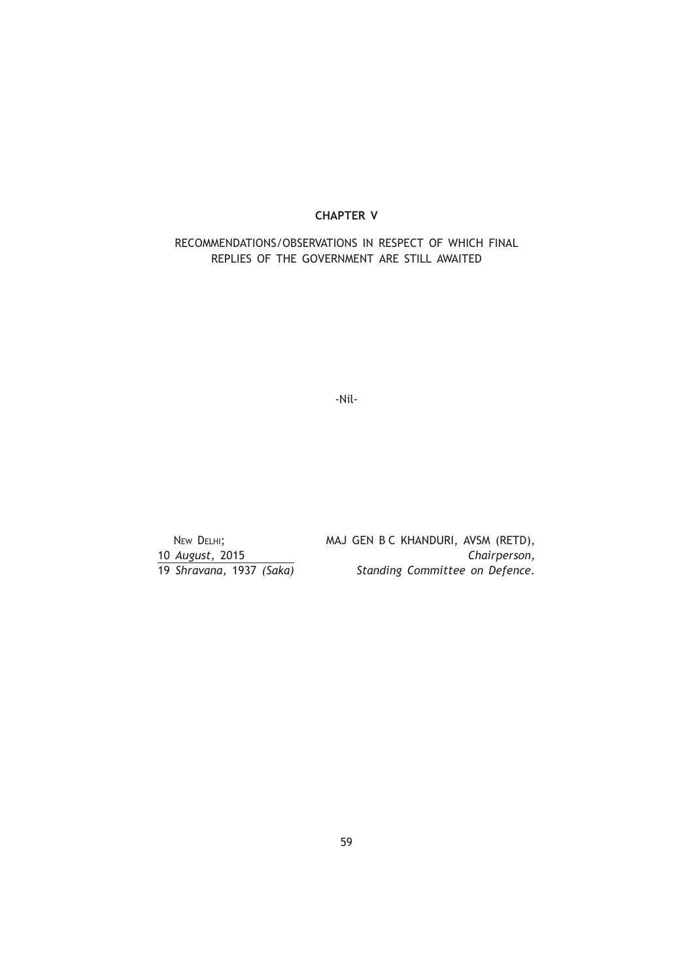# **CHAPTER V**

RECOMMENDATIONS/OBSERVATIONS IN RESPECT OF WHICH FINAL REPLIES OF THE GOVERNMENT ARE STILL AWAITED

-Nil-

NEW DELHI; MAJ GEN B C KHANDURI, AVSM (RETD), 10 *August,* 2015 *Chairperson,* 19 *Shravana,* 1937 *(Saka) Standing Committee on Defence.*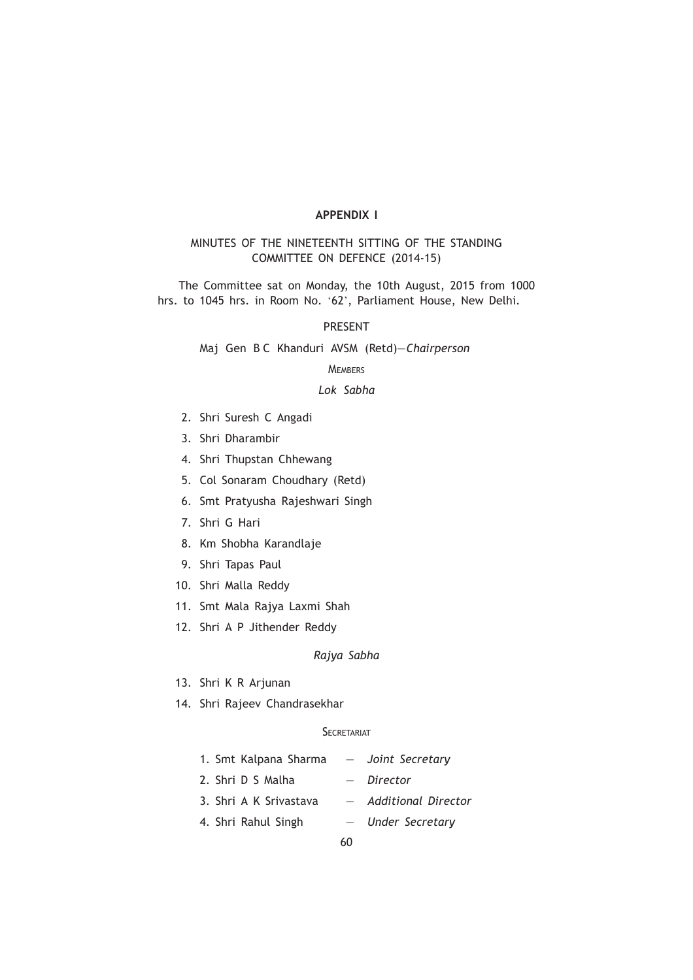# **APPENDIX I**

# MINUTES OF THE NINETEENTH SITTING OF THE STANDING COMMITTEE ON DEFENCE (2014-15)

The Committee sat on Monday, the 10th August, 2015 from 1000 hrs. to 1045 hrs. in Room No. '62', Parliament House, New Delhi.

## PRESENT

Maj Gen B C Khanduri AVSM (Retd)—*Chairperson*

# **MEMBERS**

# *Lok Sabha*

- 2. Shri Suresh C Angadi
- 3. Shri Dharambir
- 4. Shri Thupstan Chhewang
- 5. Col Sonaram Choudhary (Retd)
- 6. Smt Pratyusha Rajeshwari Singh
- 7. Shri G Hari
- 8. Km Shobha Karandlaje
- 9. Shri Tapas Paul
- 10. Shri Malla Reddy
- 11. Smt Mala Rajya Laxmi Shah
- 12. Shri A P Jithender Reddy

*Rajya Sabha*

- 13. Shri K R Arjunan
- 14. Shri Rajeev Chandrasekhar

# **SECRETARIAT**

| 1. Smt Kalpana Sharma  |    | - Joint Secretary     |
|------------------------|----|-----------------------|
| 2. Shri D S Malha      |    | - Director            |
| 3. Shri A K Srivastava |    | - Additional Director |
| 4. Shri Rahul Singh    |    | - Under Secretary     |
|                        | 60 |                       |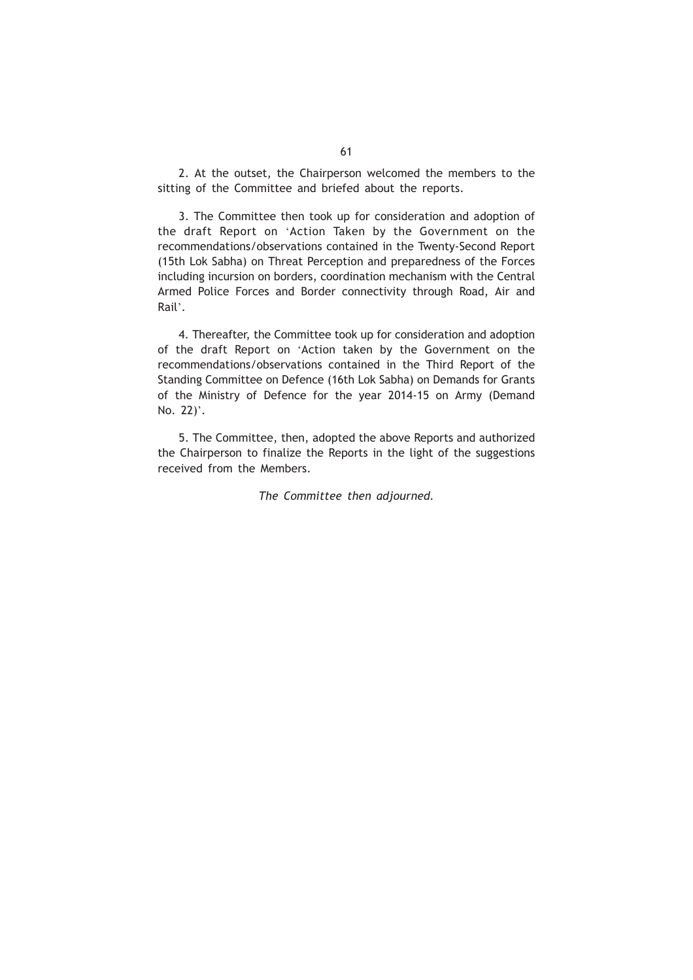2. At the outset, the Chairperson welcomed the members to the sitting of the Committee and briefed about the reports.

3. The Committee then took up for consideration and adoption of the draft Report on 'Action Taken by the Government on the recommendations/observations contained in the Twenty-Second Report (15th Lok Sabha) on Threat Perception and preparedness of the Forces including incursion on borders, coordination mechanism with the Central Armed Police Forces and Border connectivity through Road, Air and Rail'.

4. Thereafter, the Committee took up for consideration and adoption of the draft Report on 'Action taken by the Government on the recommendations/observations contained in the Third Report of the Standing Committee on Defence (16th Lok Sabha) on Demands for Grants of the Ministry of Defence for the year 2014-15 on Army (Demand No. 22)'.

5. The Committee, then, adopted the above Reports and authorized the Chairperson to finalize the Reports in the light of the suggestions received from the Members.

*The Committee then adjourned.*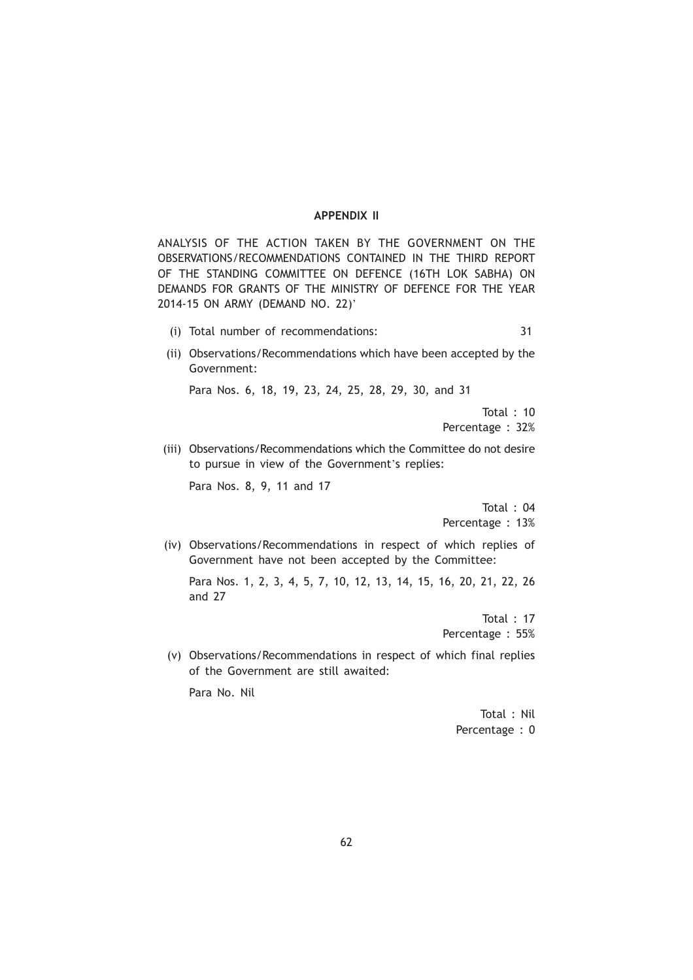#### **APPENDIX II**

ANALYSIS OF THE ACTION TAKEN BY THE GOVERNMENT ON THE OBSERVATIONS/RECOMMENDATIONS CONTAINED IN THE THIRD REPORT OF THE STANDING COMMITTEE ON DEFENCE (16TH LOK SABHA) ON DEMANDS FOR GRANTS OF THE MINISTRY OF DEFENCE FOR THE YEAR 2014-15 ON ARMY (DEMAND NO. 22)'

- (i) Total number of recommendations: 31
- (ii) Observations/Recommendations which have been accepted by the Government:

Para Nos. 6, 18, 19, 23, 24, 25, 28, 29, 30, and 31

Total : 10 Percentage : 32%

(iii) Observations/Recommendations which the Committee do not desire to pursue in view of the Government's replies:

Para Nos. 8, 9, 11 and 17

Total : 04 Percentage : 13%

(iv) Observations/Recommendations in respect of which replies of Government have not been accepted by the Committee:

Para Nos. 1, 2, 3, 4, 5, 7, 10, 12, 13, 14, 15, 16, 20, 21, 22, 26 and 27

> Total : 17 Percentage : 55%

(v) Observations/Recommendations in respect of which final replies of the Government are still awaited:

Para No. Nil

Total : Nil Percentage : 0